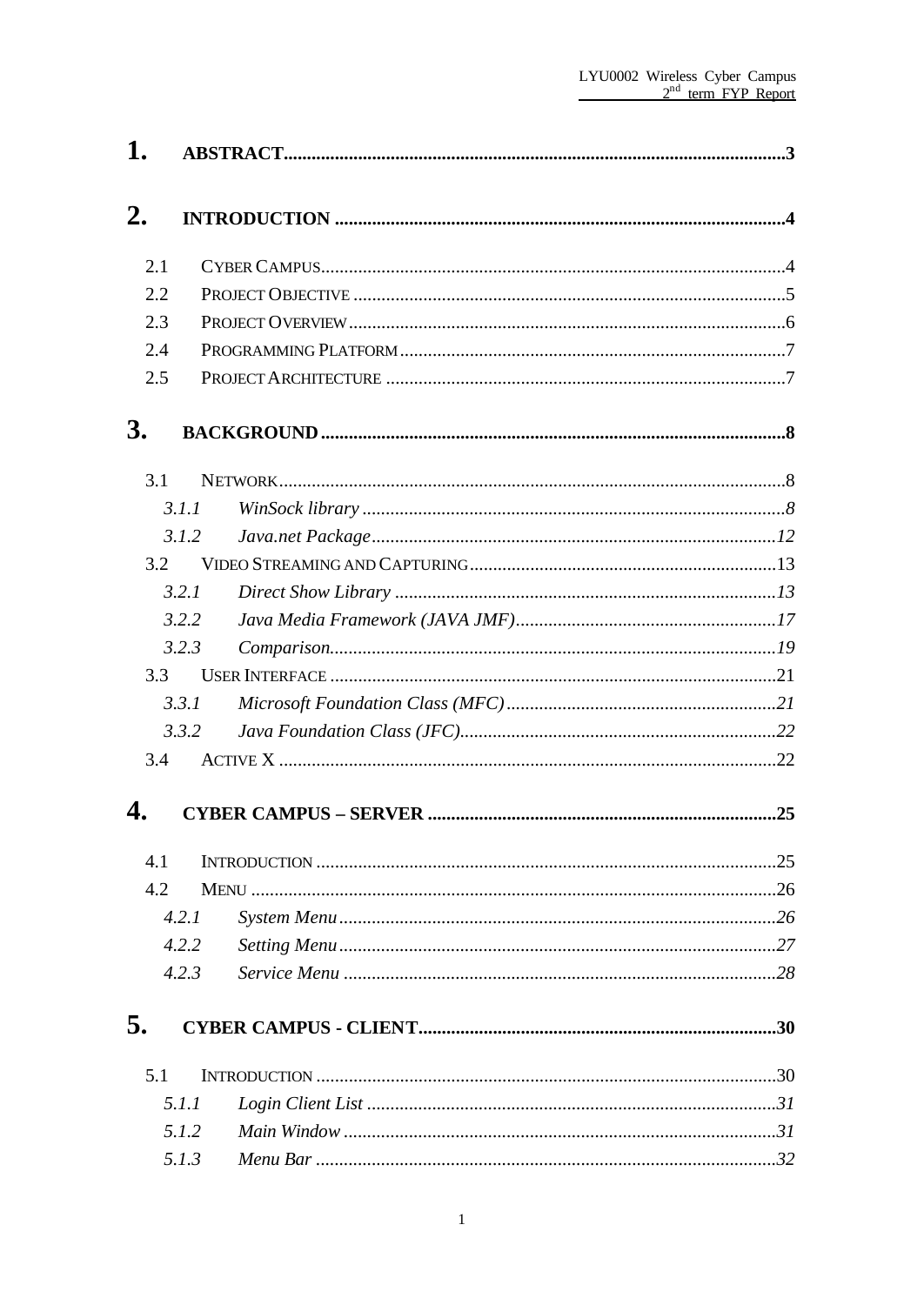| 1.  |       |  |
|-----|-------|--|
| 2.  |       |  |
| 2.1 |       |  |
| 2.2 |       |  |
| 2.3 |       |  |
| 2.4 |       |  |
| 2.5 |       |  |
| 3.  |       |  |
| 3.1 |       |  |
|     | 3.1.1 |  |
|     | 3.1.2 |  |
| 3.2 |       |  |
|     | 3.2.1 |  |
|     | 3.2.2 |  |
|     | 3.2.3 |  |
| 3.3 |       |  |
|     | 3.3.1 |  |
|     | 3.3.2 |  |
| 3.4 |       |  |
| 4.  |       |  |
| 4.1 |       |  |
| 4.2 |       |  |
|     | 4.2.1 |  |
|     | 4.2.2 |  |
|     | 4.2.3 |  |
| 5.  |       |  |
| 5.1 |       |  |
|     | 5.1.1 |  |
|     | 5.1.2 |  |
|     | 5.1.3 |  |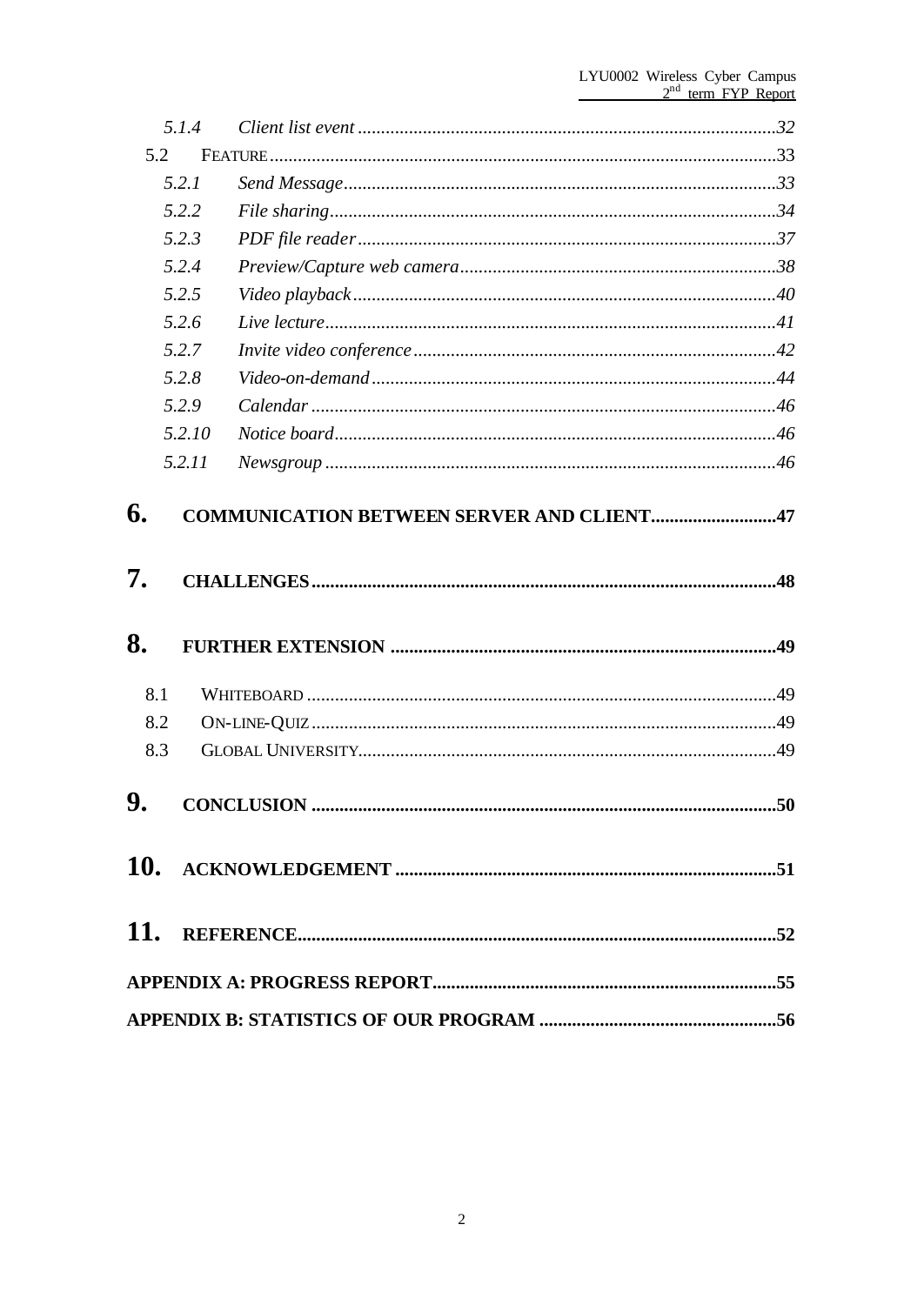|     | 5.1.4  |                   |    |
|-----|--------|-------------------|----|
| 5.2 |        |                   |    |
|     | 5.2.1  |                   |    |
|     | 5.2.2  |                   |    |
|     | 5.2.3  |                   |    |
|     | 5.2.4  |                   |    |
|     | 5.2.5  |                   |    |
|     | 5.2.6  |                   |    |
|     | 5.2.7  |                   |    |
|     | 5.2.8  |                   |    |
|     | 5.2.9  |                   |    |
|     | 5.2.10 |                   |    |
|     | 5.2.11 |                   |    |
|     |        |                   |    |
| 7.  |        |                   |    |
| 8.  |        |                   |    |
| 8.1 |        |                   |    |
| 8.2 |        |                   |    |
| 8.3 |        |                   |    |
| Q   |        | <b>CONCLUSION</b> | 50 |
|     |        |                   |    |
|     |        |                   |    |
|     |        |                   |    |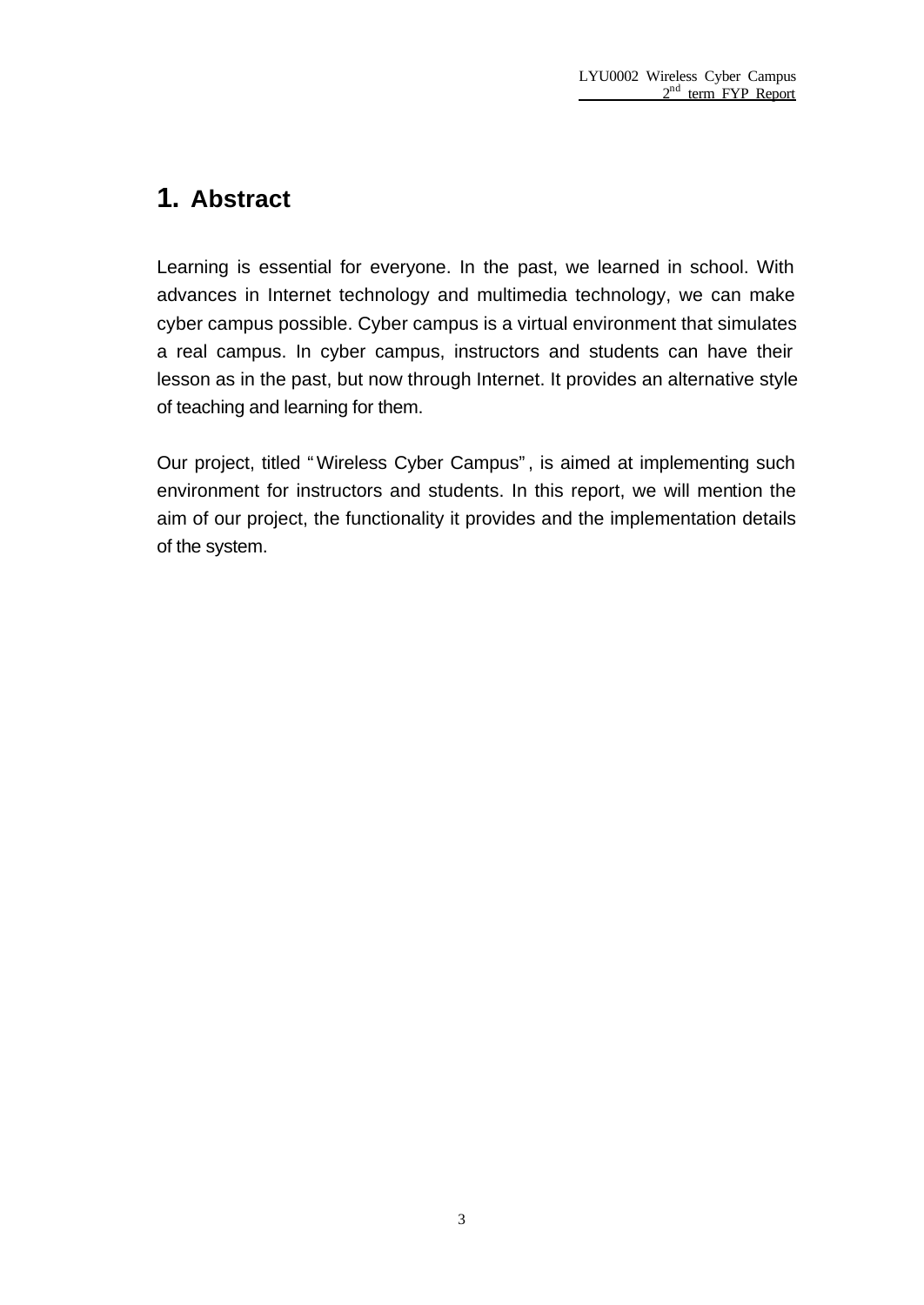## **1. Abstract**

Learning is essential for everyone. In the past, we learned in school. With advances in Internet technology and multimedia technology, we can make cyber campus possible. Cyber campus is a virtual environment that simulates a real campus. In cyber campus, instructors and students can have their lesson as in the past, but now through Internet. It provides an alternative style of teaching and learning for them.

Our project, titled "Wireless Cyber Campus", is aimed at implementing such environment for instructors and students. In this report, we will mention the aim of our project, the functionality it provides and the implementation details of the system.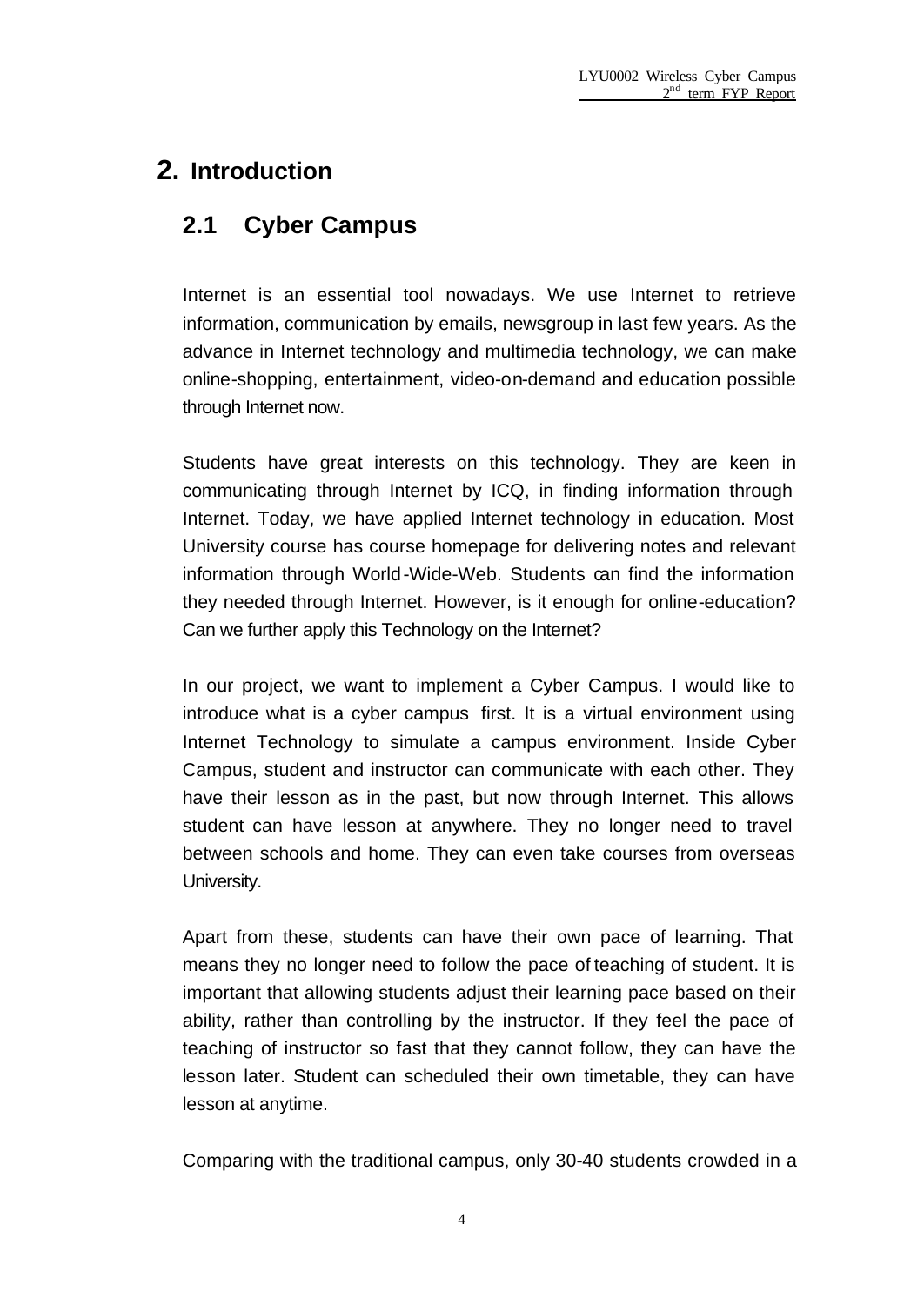## **2. Introduction**

## **2.1 Cyber Campus**

Internet is an essential tool nowadays. We use Internet to retrieve information, communication by emails, newsgroup in last few years. As the advance in Internet technology and multimedia technology, we can make online-shopping, entertainment, video-on-demand and education possible through Internet now.

Students have great interests on this technology. They are keen in communicating through Internet by ICQ, in finding information through Internet. Today, we have applied Internet technology in education. Most University course has course homepage for delivering notes and relevant information through World-Wide-Web. Students can find the information they needed through Internet. However, is it enough for online-education? Can we further apply this Technology on the Internet?

In our project, we want to implement a Cyber Campus. I would like to introduce what is a cyber campus first. It is a virtual environment using Internet Technology to simulate a campus environment. Inside Cyber Campus, student and instructor can communicate with each other. They have their lesson as in the past, but now through Internet. This allows student can have lesson at anywhere. They no longer need to travel between schools and home. They can even take courses from overseas University.

Apart from these, students can have their own pace of learning. That means they no longer need to follow the pace of teaching of student. It is important that allowing students adjust their learning pace based on their ability, rather than controlling by the instructor. If they feel the pace of teaching of instructor so fast that they cannot follow, they can have the lesson later. Student can scheduled their own timetable, they can have lesson at anytime.

Comparing with the traditional campus, only 30-40 students crowded in a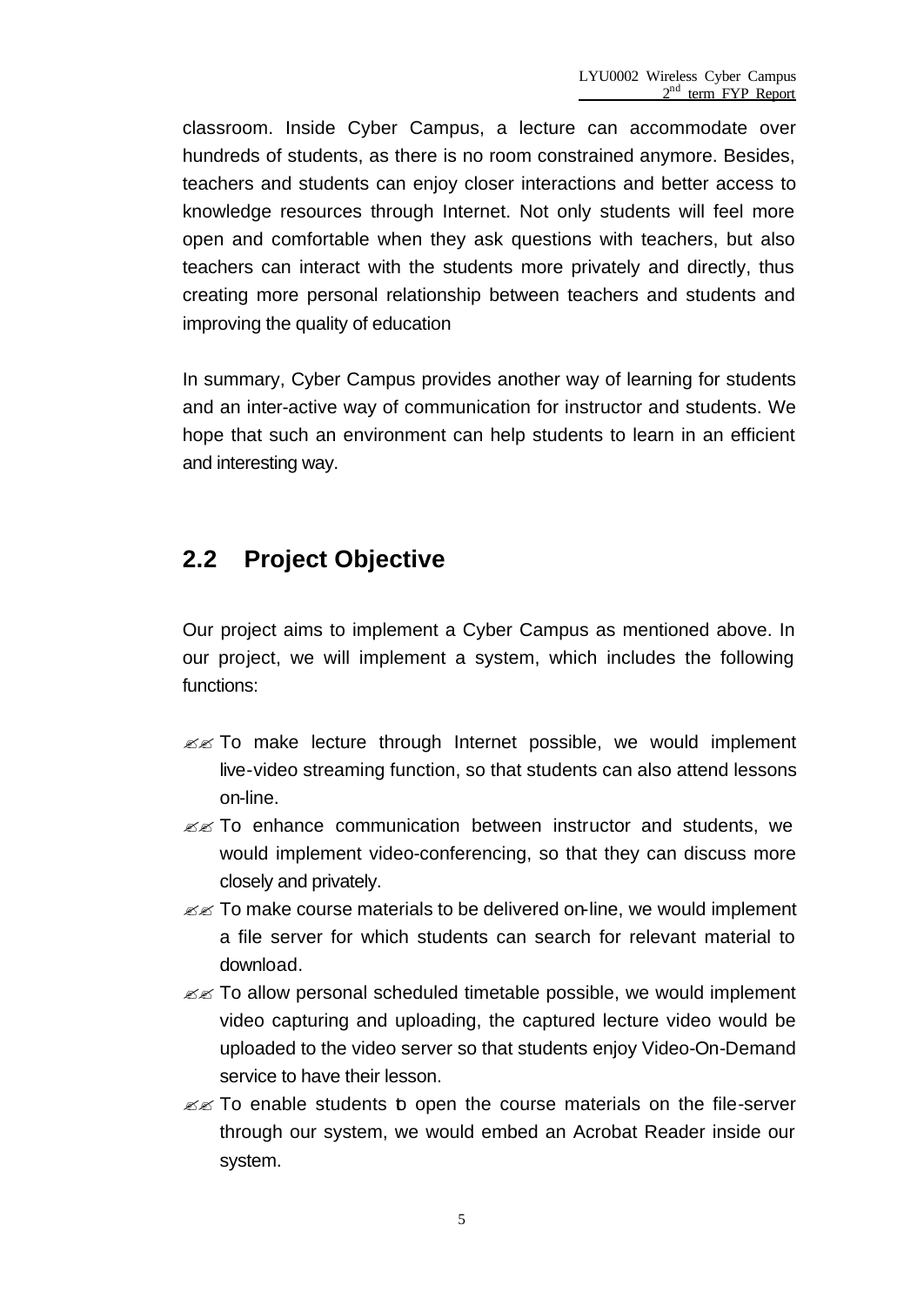classroom. Inside Cyber Campus, a lecture can accommodate over hundreds of students, as there is no room constrained anymore. Besides, teachers and students can enjoy closer interactions and better access to knowledge resources through Internet. Not only students will feel more open and comfortable when they ask questions with teachers, but also teachers can interact with the students more privately and directly, thus creating more personal relationship between teachers and students and improving the quality of education

In summary, Cyber Campus provides another way of learning for students and an inter-active way of communication for instructor and students. We hope that such an environment can help students to learn in an efficient and interesting way.

## **2.2 Project Objective**

Our project aims to implement a Cyber Campus as mentioned above. In our project, we will implement a system, which includes the following functions:

- $\mathbb{Z}$  To make lecture through Internet possible, we would implement live-video streaming function, so that students can also attend lessons on-line.
- $\mathbb{Z}$  To enhance communication between instructor and students, we would implement video-conferencing, so that they can discuss more closely and privately.
- $\mathbb{Z}$  To make course materials to be delivered on-line, we would implement a file server for which students can search for relevant material to download.
- $\mathbb{Z}$  To allow personal scheduled timetable possible, we would implement video capturing and uploading, the captured lecture video would be uploaded to the video server so that students enjoy Video-On-Demand service to have their lesson.
- $\mathbb{Z}$  To enable students b open the course materials on the file-server through our system, we would embed an Acrobat Reader inside our system.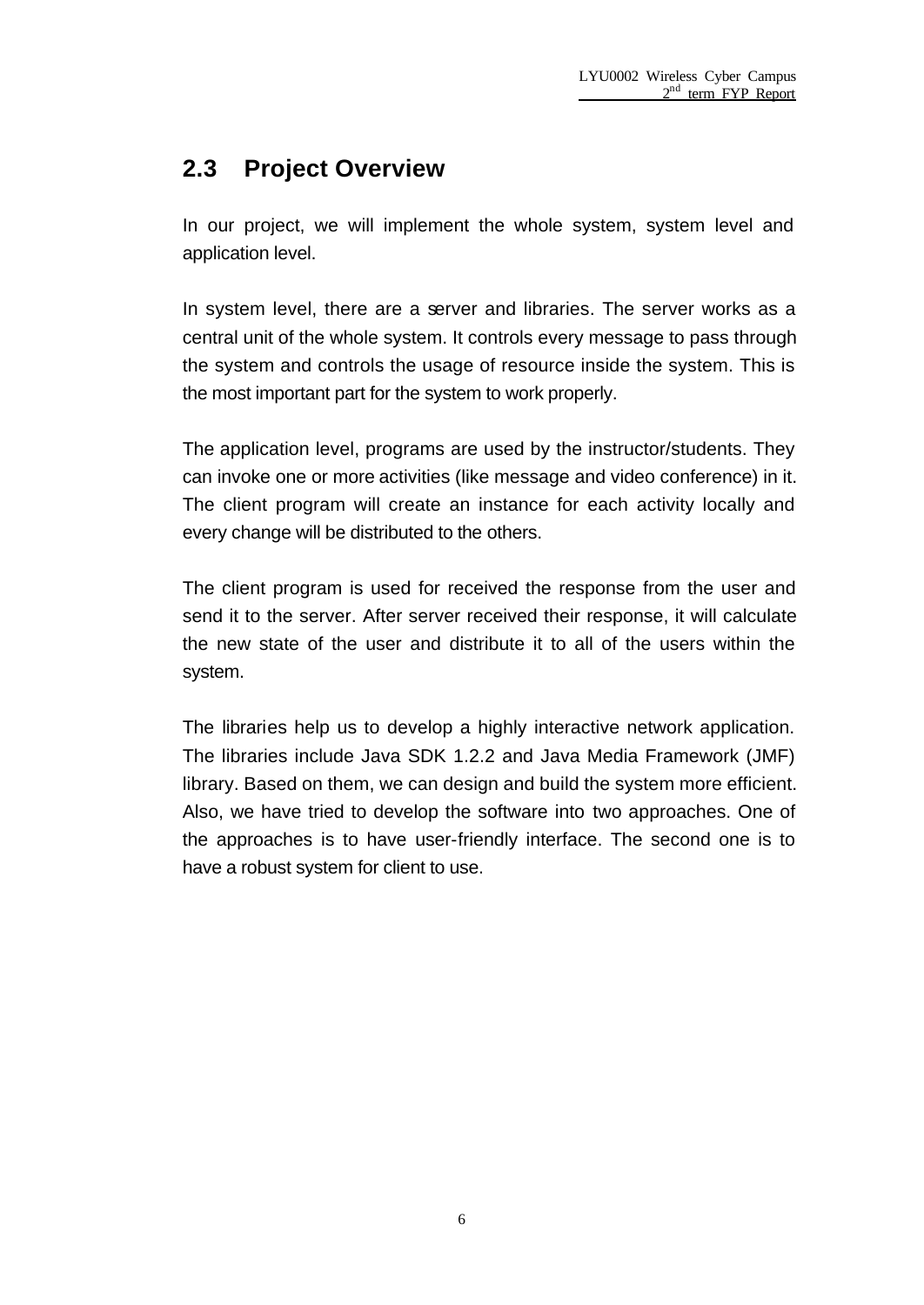## **2.3 Project Overview**

In our project, we will implement the whole system, system level and application level.

In system level, there are a server and libraries. The server works as a central unit of the whole system. It controls every message to pass through the system and controls the usage of resource inside the system. This is the most important part for the system to work properly.

The application level, programs are used by the instructor/students. They can invoke one or more activities (like message and video conference) in it. The client program will create an instance for each activity locally and every change will be distributed to the others.

The client program is used for received the response from the user and send it to the server. After server received their response, it will calculate the new state of the user and distribute it to all of the users within the system.

The libraries help us to develop a highly interactive network application. The libraries include Java SDK 1.2.2 and Java Media Framework (JMF) library. Based on them, we can design and build the system more efficient. Also, we have tried to develop the software into two approaches. One of the approaches is to have user-friendly interface. The second one is to have a robust system for client to use.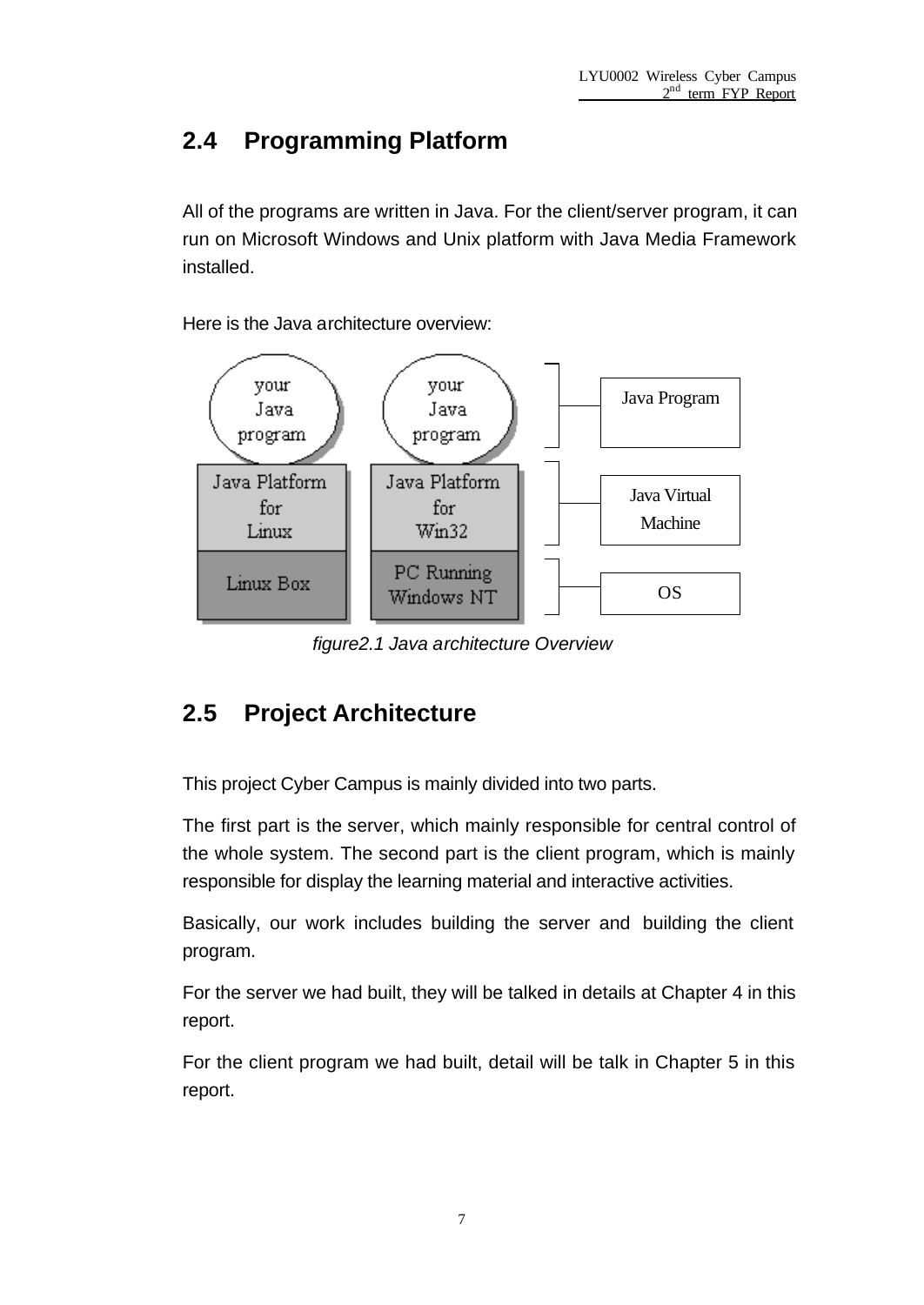## **2.4 Programming Platform**

All of the programs are written in Java. For the client/server program, it can run on Microsoft Windows and Unix platform with Java Media Framework installed.

Here is the Java architecture overview:



*figure2.1 Java architecture Overview*

## **2.5 Project Architecture**

This project Cyber Campus is mainly divided into two parts.

The first part is the server, which mainly responsible for central control of the whole system. The second part is the client program, which is mainly responsible for display the learning material and interactive activities.

Basically, our work includes building the server and building the client program.

For the server we had built, they will be talked in details at Chapter 4 in this report.

For the client program we had built, detail will be talk in Chapter 5 in this report.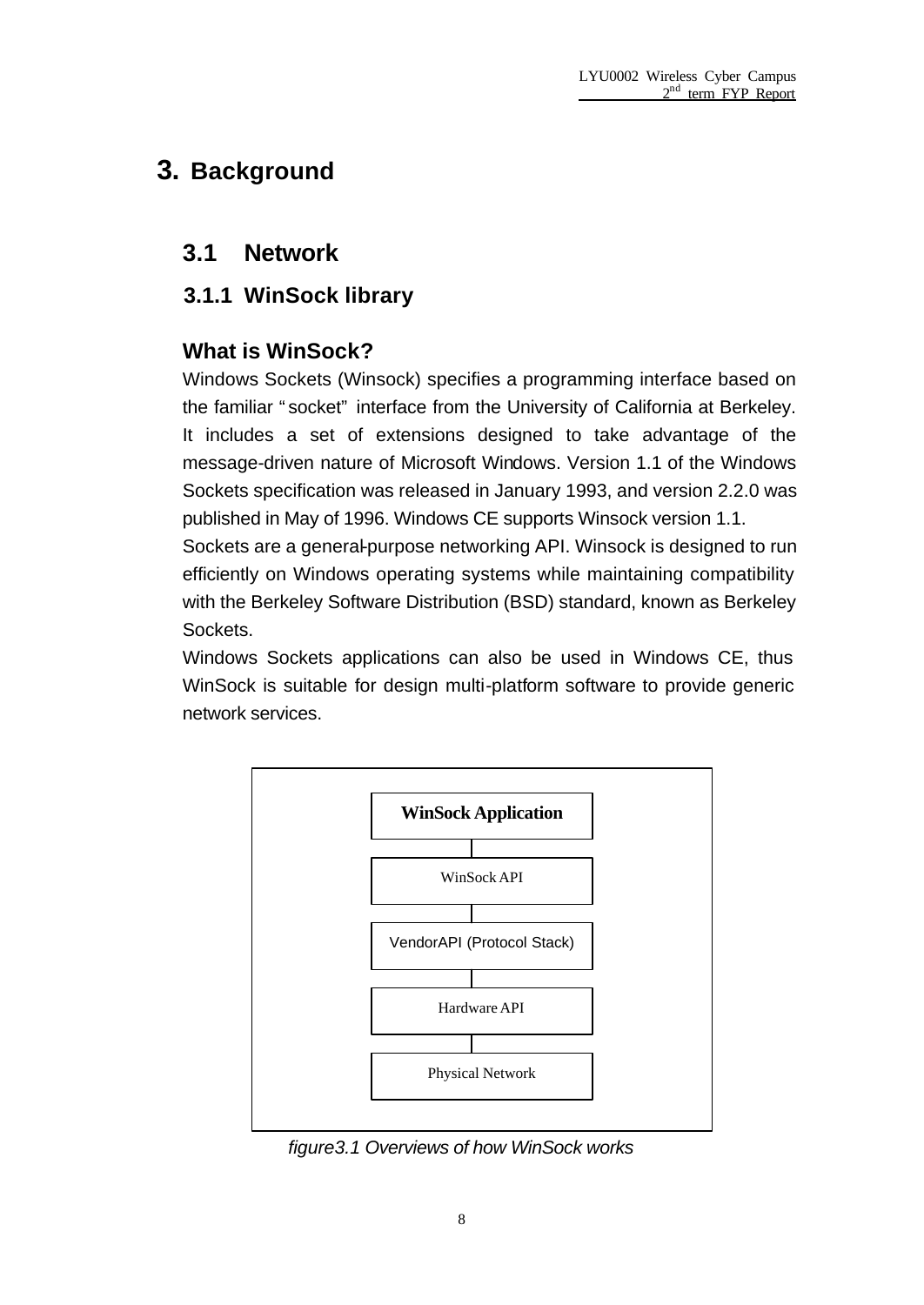# **3. Background**

## **3.1 Network**

### **3.1.1 WinSock library**

### **What is WinSock?**

Windows Sockets (Winsock) specifies a programming interface based on the familiar "socket" interface from the University of California at Berkeley. It includes a set of extensions designed to take advantage of the message-driven nature of Microsoft Windows. Version 1.1 of the Windows Sockets specification was released in January 1993, and version 2.2.0 was published in May of 1996. Windows CE supports Winsock version 1.1. Sockets are a general-purpose networking API. Winsock is designed to run

efficiently on Windows operating systems while maintaining compatibility with the Berkeley Software Distribution (BSD) standard, known as Berkeley Sockets.

Windows Sockets applications can also be used in Windows CE, thus WinSock is suitable for design multi-platform software to provide generic network services.



*figure3.1 Overviews of how WinSock works*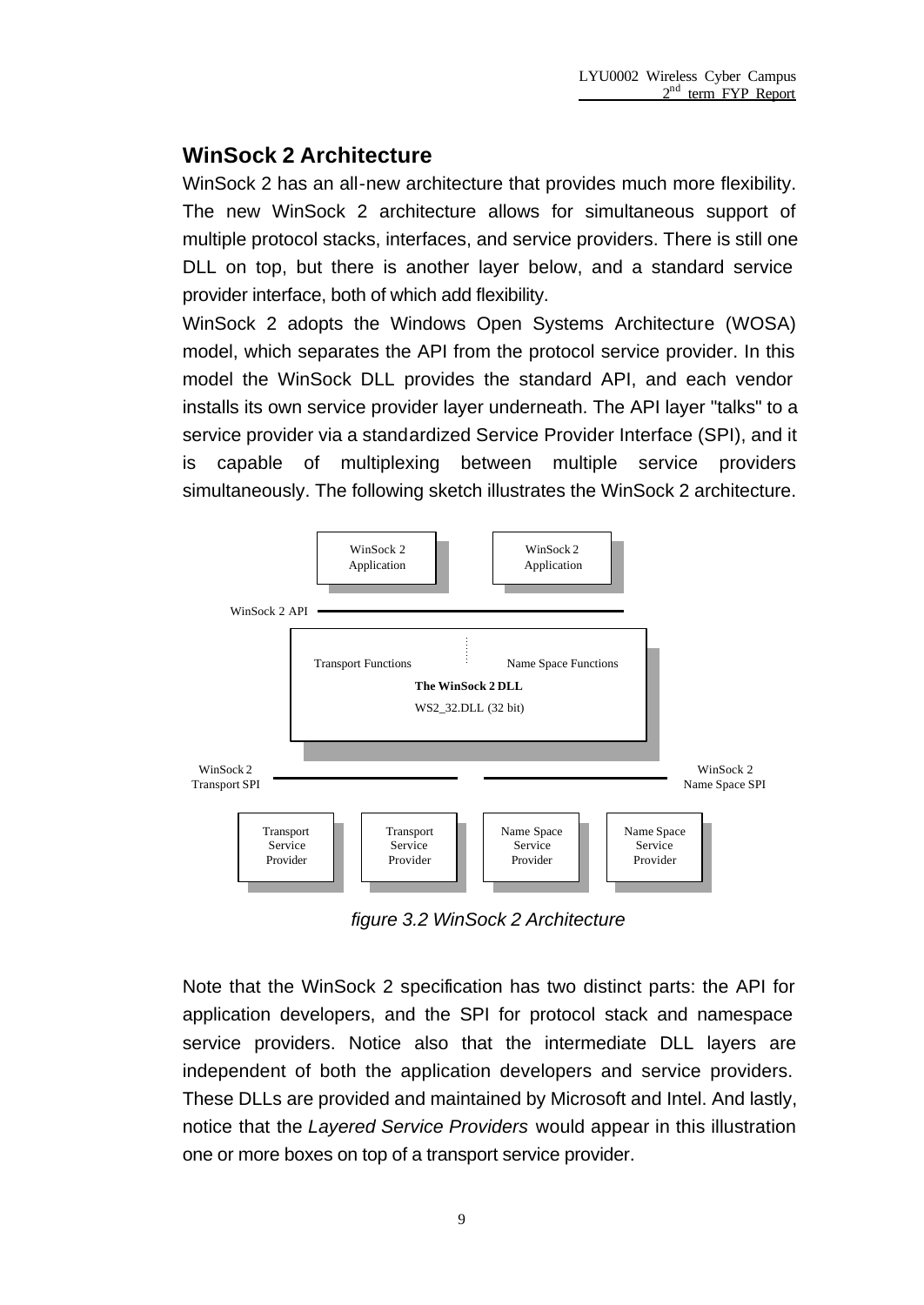### **WinSock 2 Architecture**

WinSock 2 has an all-new architecture that provides much more flexibility. The new WinSock 2 architecture allows for simultaneous support of multiple protocol stacks, interfaces, and service providers. There is still one DLL on top, but there is another layer below, and a standard service provider interface, both of which add flexibility.

WinSock 2 adopts the Windows Open Systems Architecture (WOSA) model, which separates the API from the protocol service provider. In this model the WinSock DLL provides the standard API, and each vendor installs its own service provider layer underneath. The API layer "talks" to a service provider via a standardized Service Provider Interface (SPI), and it is capable of multiplexing between multiple service providers simultaneously. The following sketch illustrates the WinSock 2 architecture.



*figure 3.2 WinSock 2 Architecture*

Note that the WinSock 2 specification has two distinct parts: the API for application developers, and the SPI for protocol stack and namespace service providers. Notice also that the intermediate DLL layers are independent of both the application developers and service providers. These DLLs are provided and maintained by Microsoft and Intel. And lastly, notice that the *Layered Service Providers* would appear in this illustration one or more boxes on top of a transport service provider.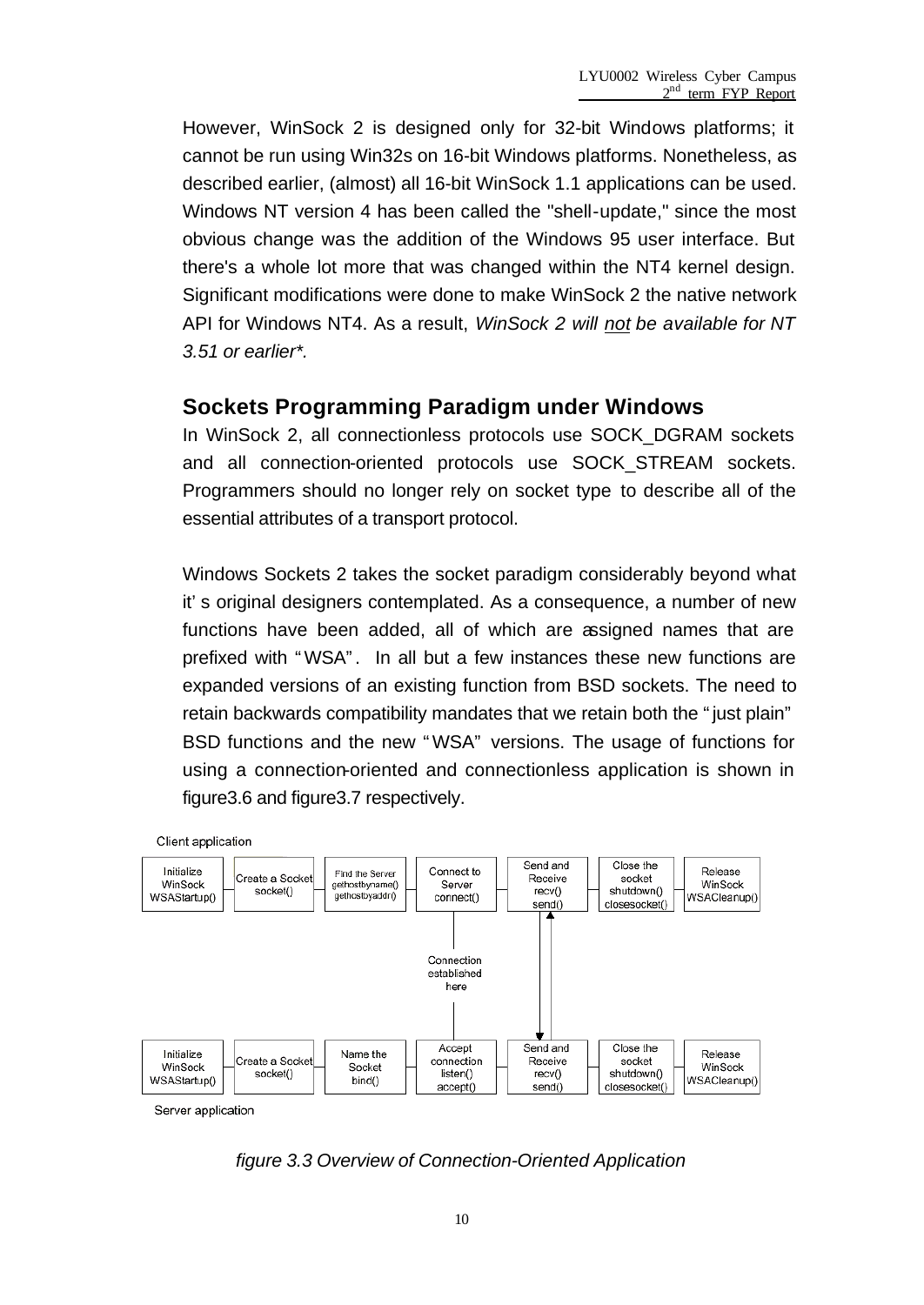However, WinSock 2 is designed only for 32-bit Windows platforms; it cannot be run using Win32s on 16-bit Windows platforms. Nonetheless, as described earlier, (almost) all 16-bit WinSock 1.1 applications can be used. Windows NT version 4 has been called the "shell-update," since the most obvious change was the addition of the Windows 95 user interface. But there's a whole lot more that was changed within the NT4 kernel design. Significant modifications were done to make WinSock 2 the native network API for Windows NT4. As a result, *WinSock 2 will not be available for NT 3.51 or earlier\*.*

#### **Sockets Programming Paradigm under Windows**

In WinSock 2, all connectionless protocols use SOCK\_DGRAM sockets and all connection-oriented protocols use SOCK\_STREAM sockets. Programmers should no longer rely on socket type to describe all of the essential attributes of a transport protocol.

Windows Sockets 2 takes the socket paradigm considerably beyond what it's original designers contemplated. As a consequence, a number of new functions have been added, all of which are assigned names that are prefixed with "WSA". In all but a few instances these new functions are expanded versions of an existing function from BSD sockets. The need to retain backwards compatibility mandates that we retain both the "just plain" BSD functions and the new "WSA" versions. The usage of functions for using a connection-oriented and connectionless application is shown in figure3.6 and figure3.7 respectively.



*figure 3.3 Overview of Connection-Oriented Application*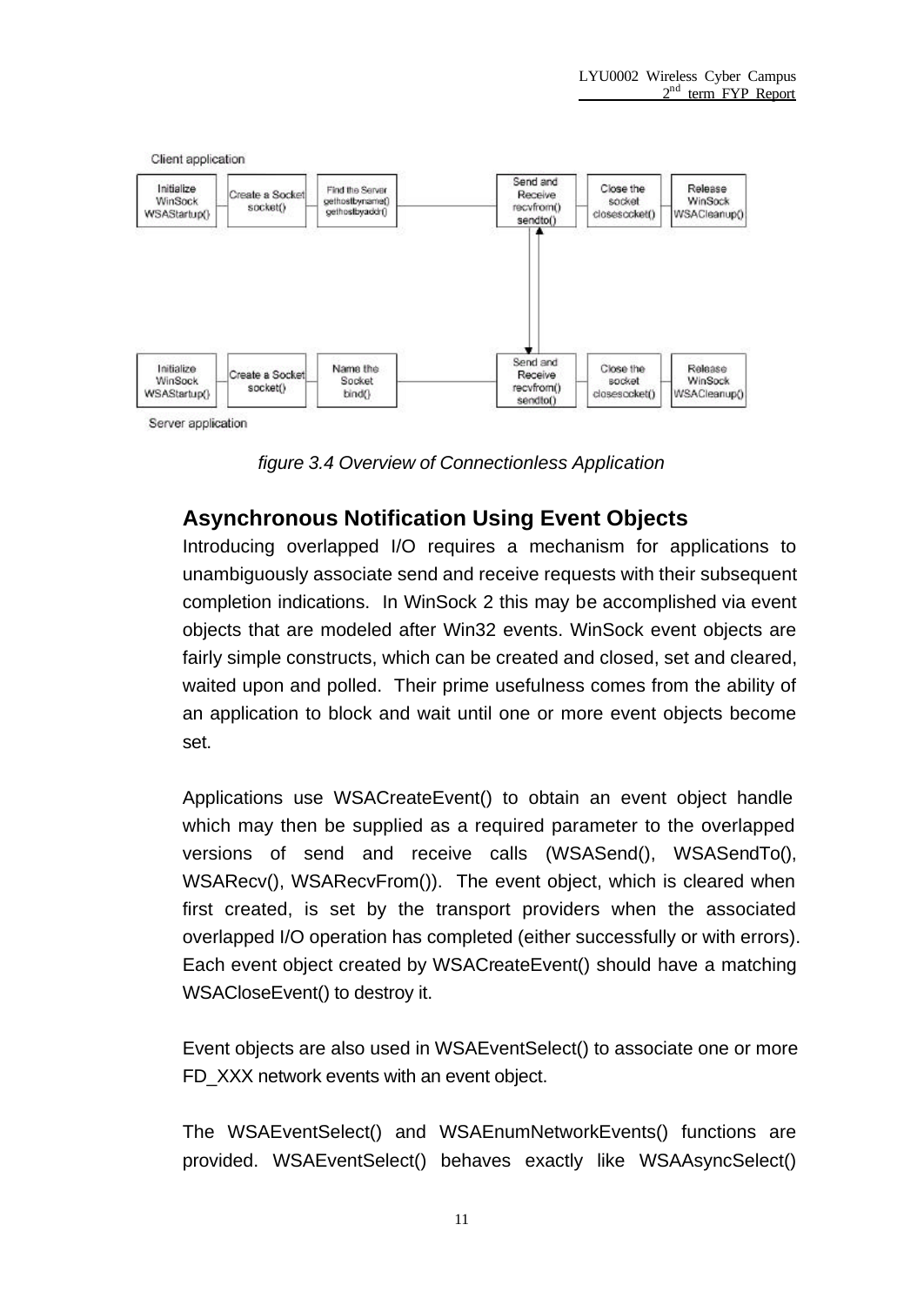

*figure 3.4 Overview of Connectionless Application*

### **Asynchronous Notification Using Event Objects**

Introducing overlapped I/O requires a mechanism for applications to unambiguously associate send and receive requests with their subsequent completion indications. In WinSock 2 this may be accomplished via event objects that are modeled after Win32 events. WinSock event objects are fairly simple constructs, which can be created and closed, set and cleared, waited upon and polled. Their prime usefulness comes from the ability of an application to block and wait until one or more event objects become set.

Applications use WSACreateEvent() to obtain an event object handle which may then be supplied as a required parameter to the overlapped versions of send and receive calls (WSASend(), WSASendTo(), WSARecv(), WSARecvFrom()). The event object, which is cleared when first created, is set by the transport providers when the associated overlapped I/O operation has completed (either successfully or with errors). Each event object created by WSACreateEvent() should have a matching WSACloseEvent() to destroy it.

Event objects are also used in WSAEventSelect() to associate one or more FD XXX network events with an event object.

The WSAEventSelect() and WSAEnumNetworkEvents() functions are provided. WSAEventSelect() behaves exactly like WSAAsyncSelect()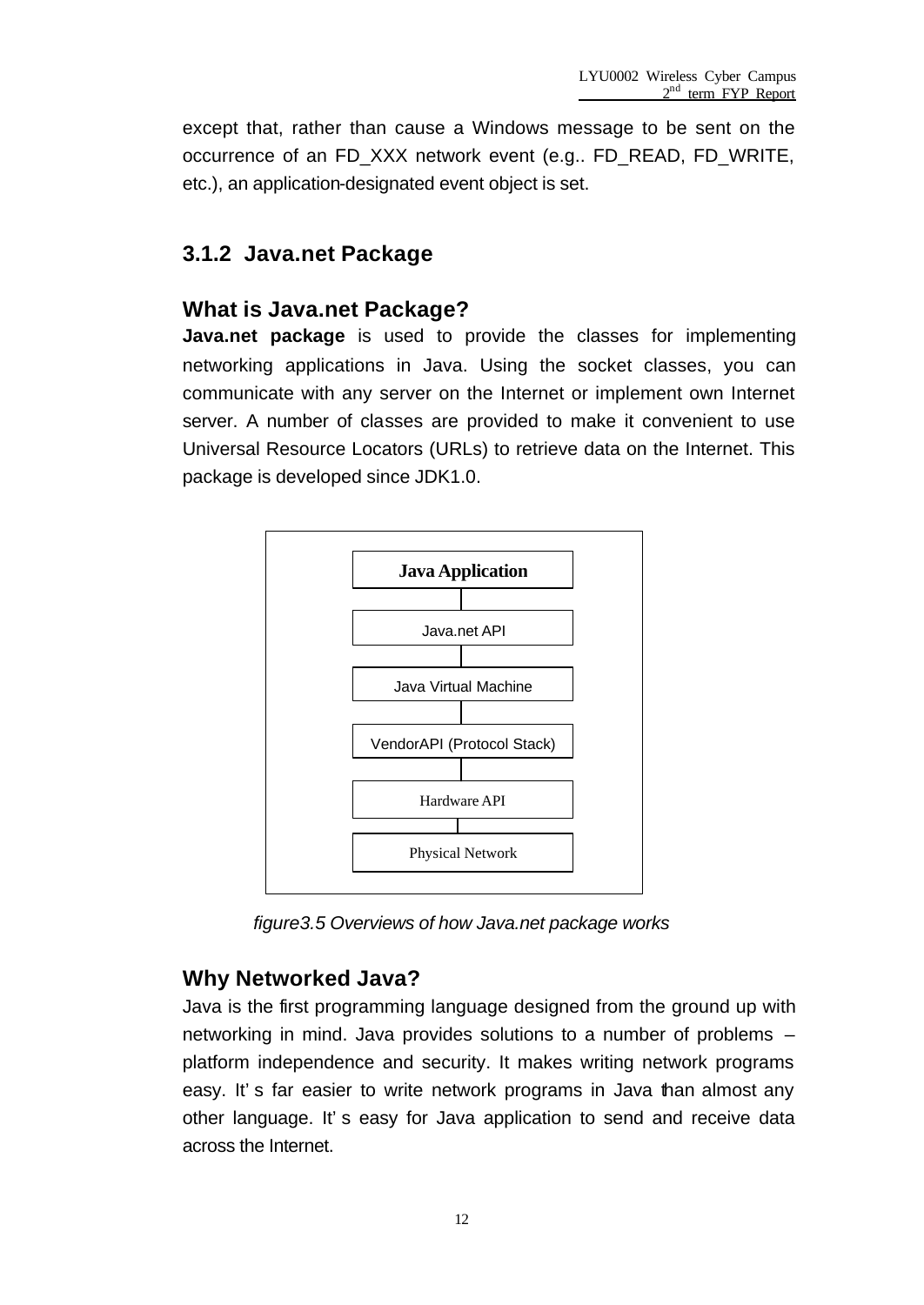except that, rather than cause a Windows message to be sent on the occurrence of an FD\_XXX network event (e.g.. FD\_READ, FD\_WRITE, etc.), an application-designated event object is set.

### **3.1.2 Java.net Package**

### **What is Java.net Package?**

**Java.net package** is used to provide the classes for implementing networking applications in Java. Using the socket classes, you can communicate with any server on the Internet or implement own Internet server. A number of classes are provided to make it convenient to use Universal Resource Locators (URLs) to retrieve data on the Internet. This package is developed since JDK1.0.



*figure3.5 Overviews of how Java.net package works*

### **Why Networked Java?**

Java is the first programming language designed from the ground up with networking in mind. Java provides solutions to a number of problems – platform independence and security. It makes writing network programs easy. It's far easier to write network programs in Java than almost any other language. It's easy for Java application to send and receive data across the Internet.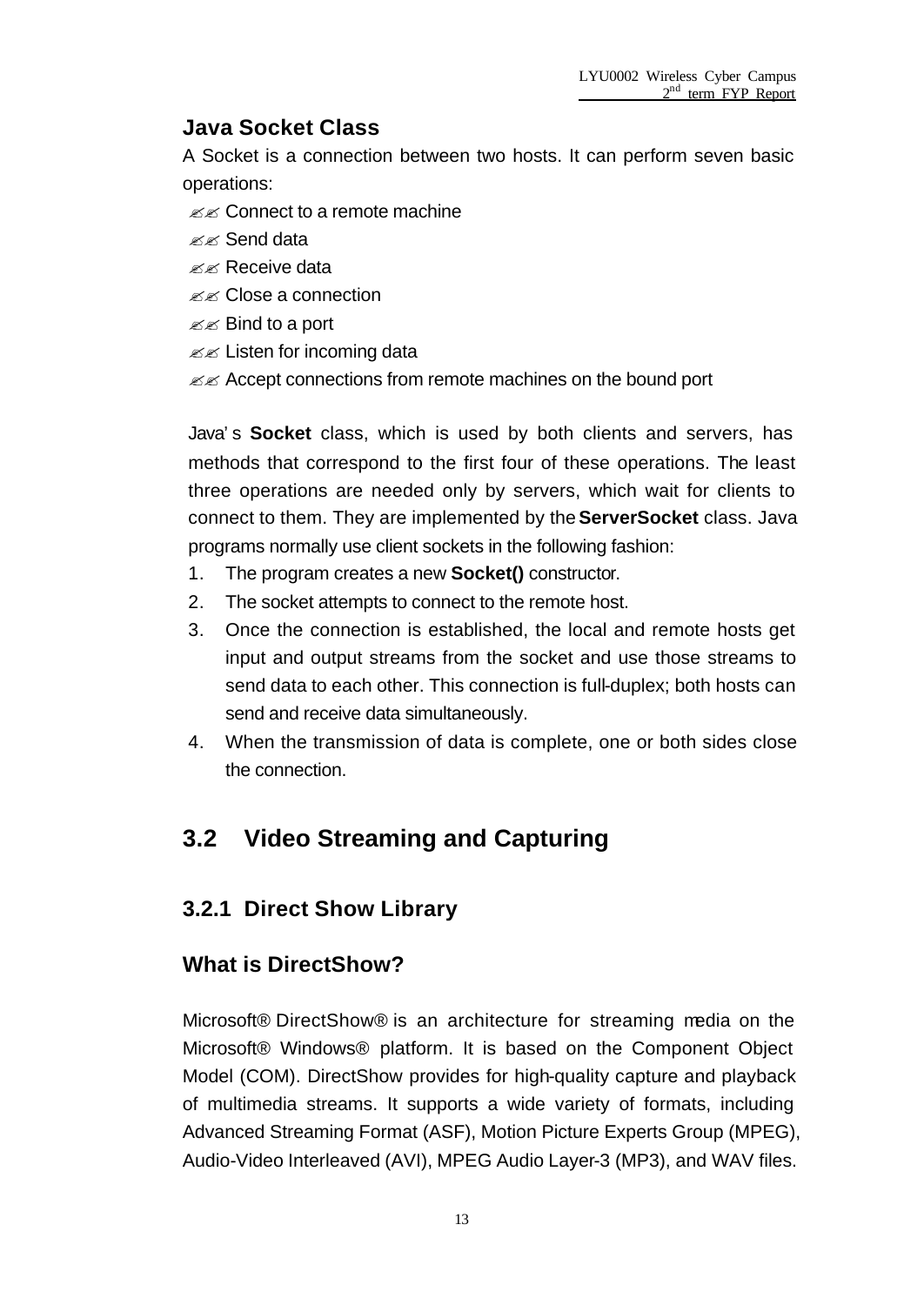### **Java Socket Class**

A Socket is a connection between two hosts. It can perform seven basic operations:

- $\mathscr{A}$  Connect to a remote machine
- $\mathbb{K}\mathbb{K}$  Send data
- $\ll \ll$  Receive data
- **EXECOSE** a connection
- $\mathbb{Z}$   $\mathbb{Z}$  Bind to a port
- $\mathbb{Z}$  Listen for incoming data
- $\mathcal{Z}$  Accept connections from remote machines on the bound port

Java's **Socket** class, which is used by both clients and servers, has methods that correspond to the first four of these operations. The least three operations are needed only by servers, which wait for clients to connect to them. They are implemented by the **ServerSocket** class. Java programs normally use client sockets in the following fashion:

- 1. The program creates a new **Socket()** constructor.
- 2. The socket attempts to connect to the remote host.
- 3. Once the connection is established, the local and remote hosts get input and output streams from the socket and use those streams to send data to each other. This connection is full-duplex; both hosts can send and receive data simultaneously.
- 4. When the transmission of data is complete, one or both sides close the connection.

## **3.2 Video Streaming and Capturing**

### **3.2.1 Direct Show Library**

#### **What is DirectShow?**

Microsoft® DirectShow® is an architecture for streaming media on the Microsoft® Windows® platform. It is based on the Component Object Model (COM). DirectShow provides for high-quality capture and playback of multimedia streams. It supports a wide variety of formats, including Advanced Streaming Format (ASF), Motion Picture Experts Group (MPEG), Audio-Video Interleaved (AVI), MPEG Audio Layer-3 (MP3), and WAV files.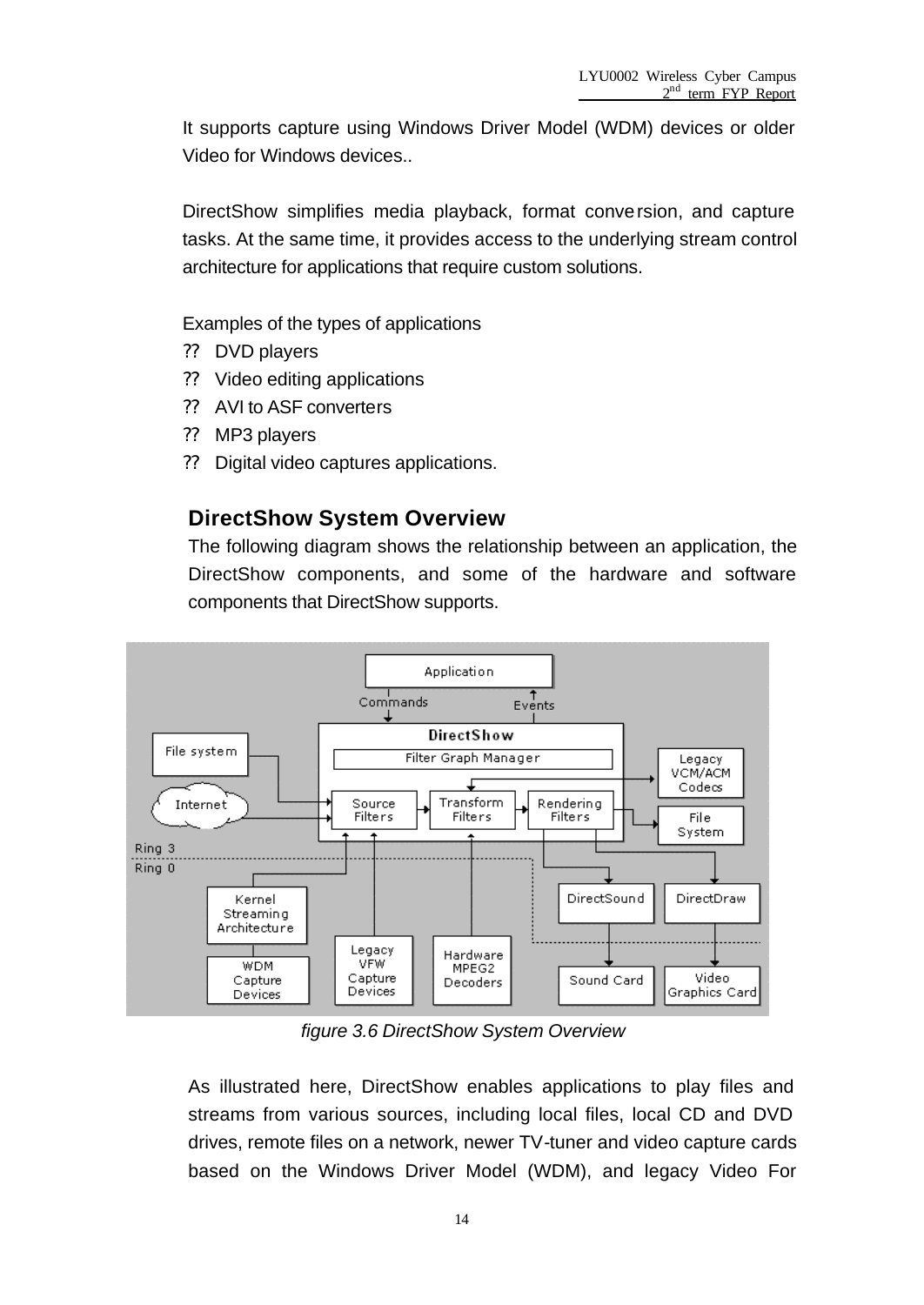It supports capture using Windows Driver Model (WDM) devices or older Video for Windows devices..

DirectShow simplifies media playback, format conversion, and capture tasks. At the same time, it provides access to the underlying stream control architecture for applications that require custom solutions.

Examples of the types of applications

- ?? DVD players
- ?? Video editing applications
- ?? AVI to ASF converters
- ?? MP3 players
- ?? Digital video captures applications.

### **DirectShow System Overview**

The following diagram shows the relationship between an application, the DirectShow components, and some of the hardware and software components that DirectShow supports.



*figure 3.6 DirectShow System Overview*

As illustrated here, DirectShow enables applications to play files and streams from various sources, including local files, local CD and DVD drives, remote files on a network, newer TV-tuner and video capture cards based on the Windows Driver Model (WDM), and legacy Video For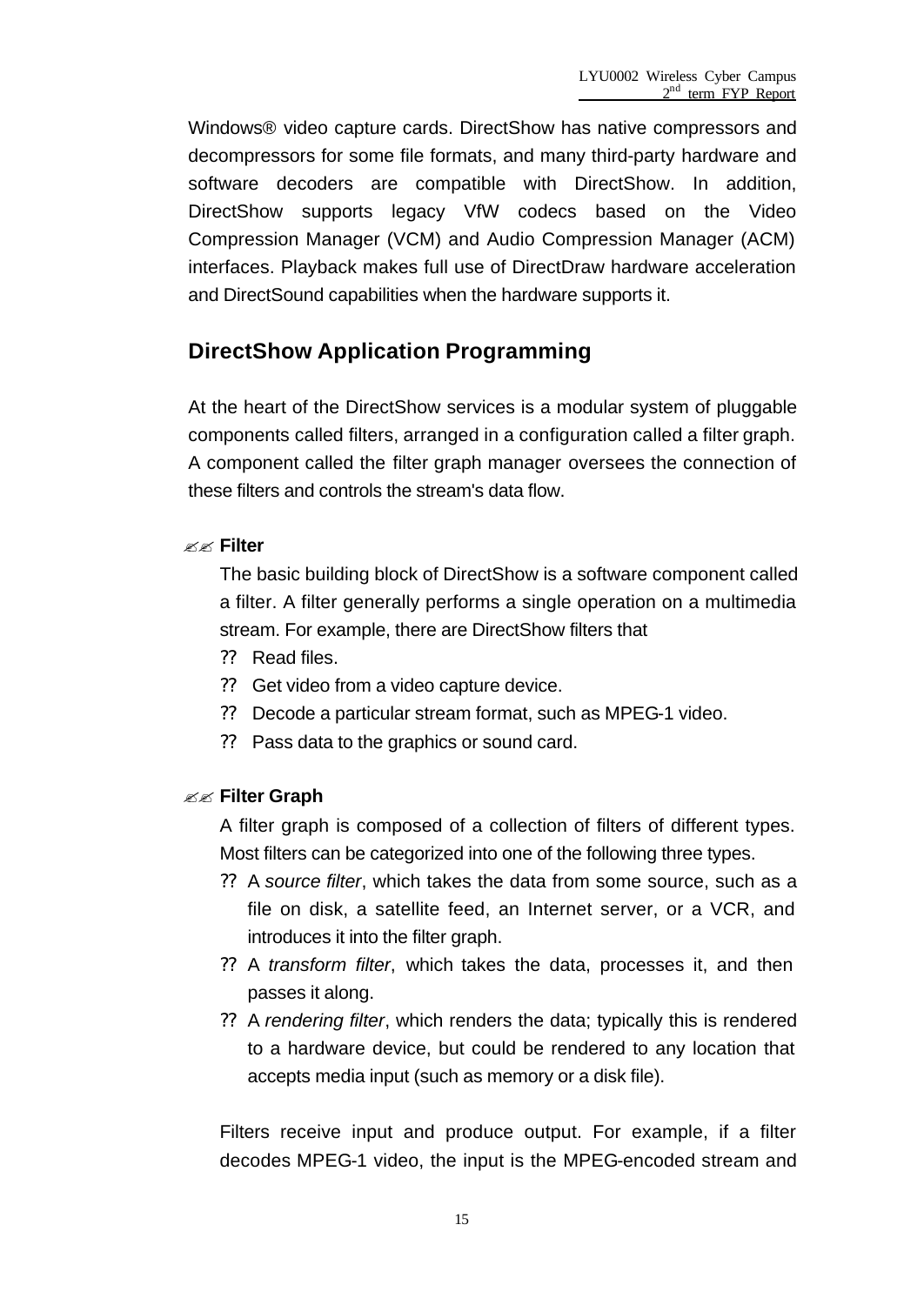Windows® video capture cards. DirectShow has native compressors and decompressors for some file formats, and many third-party hardware and software decoders are compatible with DirectShow. In addition, DirectShow supports legacy VfW codecs based on the Video Compression Manager (VCM) and Audio Compression Manager (ACM) interfaces. Playback makes full use of DirectDraw hardware acceleration and DirectSound capabilities when the hardware supports it.

### **DirectShow Application Programming**

At the heart of the DirectShow services is a modular system of pluggable components called filters, arranged in a configuration called a filter graph. A component called the filter graph manager oversees the connection of these filters and controls the stream's data flow.

#### ?? **Filter**

The basic building block of DirectShow is a software component called a filter. A filter generally performs a single operation on a multimedia stream. For example, there are DirectShow filters that

- ?? Read files.
- ?? Get video from a video capture device.
- ?? Decode a particular stream format, such as MPEG-1 video.
- ?? Pass data to the graphics or sound card.

#### ?? **Filter Graph**

A filter graph is composed of a collection of filters of different types. Most filters can be categorized into one of the following three types.

- ?? A *source filter*, which takes the data from some source, such as a file on disk, a satellite feed, an Internet server, or a VCR, and introduces it into the filter graph.
- ?? A *transform filter*, which takes the data, processes it, and then passes it along.
- ?? A *rendering filter*, which renders the data; typically this is rendered to a hardware device, but could be rendered to any location that accepts media input (such as memory or a disk file).

Filters receive input and produce output. For example, if a filter decodes MPEG-1 video, the input is the MPEG-encoded stream and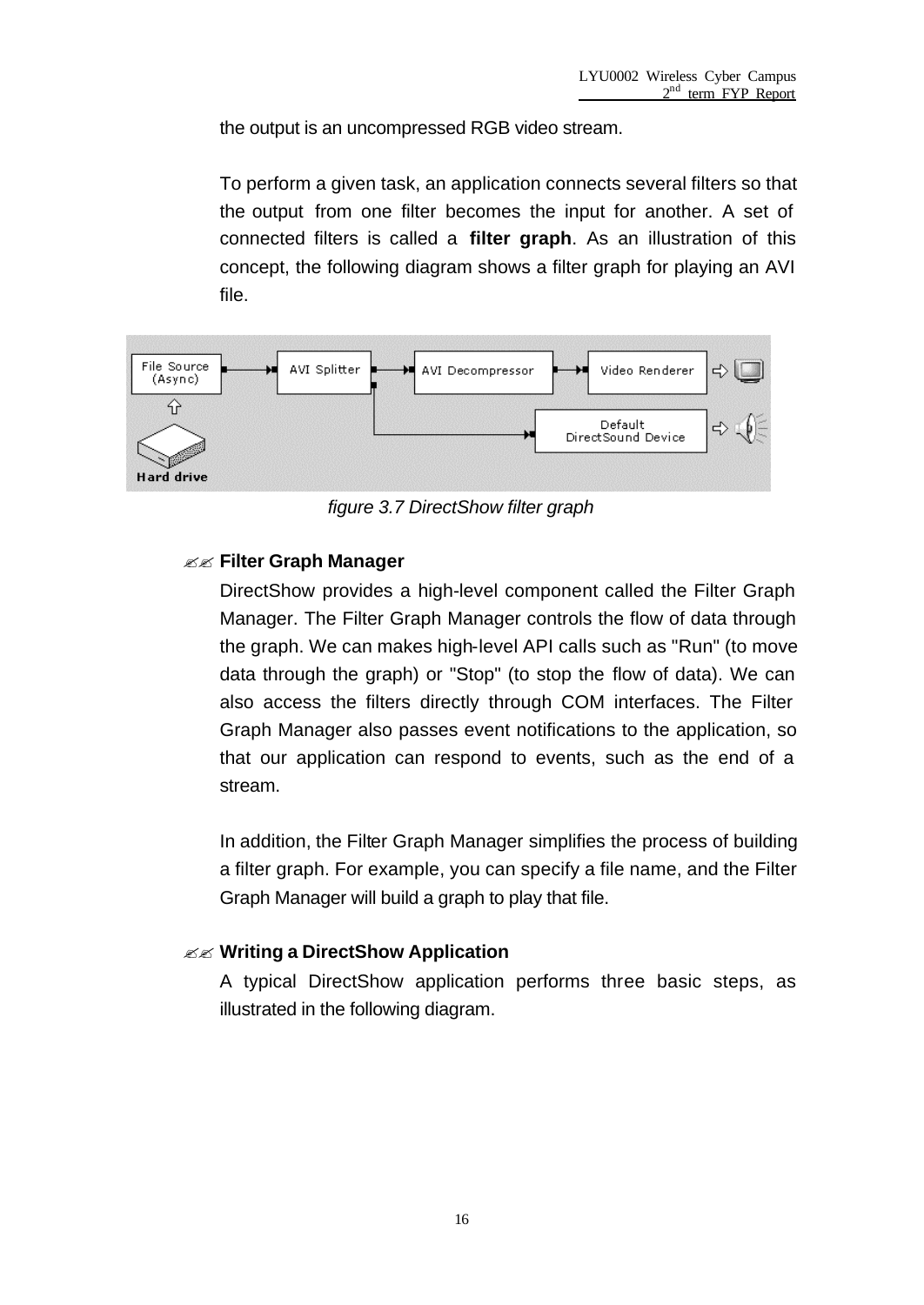the output is an uncompressed RGB video stream.

To perform a given task, an application connects several filters so that the output from one filter becomes the input for another. A set of connected filters is called a **filter graph**. As an illustration of this concept, the following diagram shows a filter graph for playing an AVI file.



*figure 3.7 DirectShow filter graph*

#### ?? **Filter Graph Manager**

DirectShow provides a high-level component called the Filter Graph Manager. The Filter Graph Manager controls the flow of data through the graph. We can makes high-level API calls such as "Run" (to move data through the graph) or "Stop" (to stop the flow of data). We can also access the filters directly through COM interfaces. The Filter Graph Manager also passes event notifications to the application, so that our application can respond to events, such as the end of a stream.

In addition, the Filter Graph Manager simplifies the process of building a filter graph. For example, you can specify a file name, and the Filter Graph Manager will build a graph to play that file.

#### ?? **Writing a DirectShow Application**

A typical DirectShow application performs three basic steps, as illustrated in the following diagram.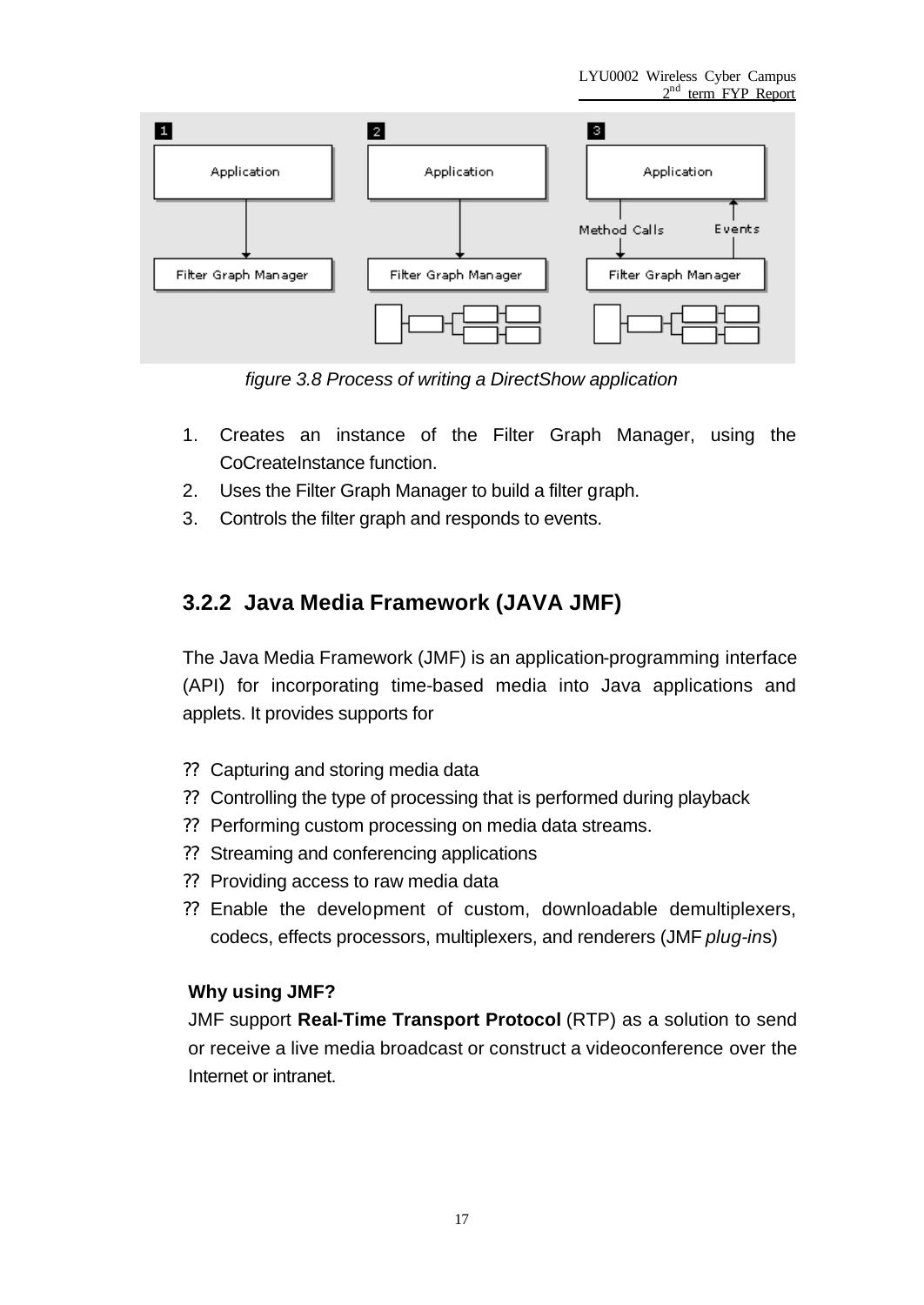

*figure 3.8 Process of writing a DirectShow application*

- 1. Creates an instance of the Filter Graph Manager, using the CoCreateInstance function.
- 2. Uses the Filter Graph Manager to build a filter graph.
- 3. Controls the filter graph and responds to events.

## **3.2.2 Java Media Framework (JAVA JMF)**

The Java Media Framework (JMF) is an application-programming interface (API) for incorporating time-based media into Java applications and applets. It provides supports for

- ?? Capturing and storing media data
- ?? Controlling the type of processing that is performed during playback
- ?? Performing custom processing on media data streams.
- ?? Streaming and conferencing applications
- ?? Providing access to raw media data
- ?? Enable the development of custom, downloadable demultiplexers, codecs, effects processors, multiplexers, and renderers (JMF *plug-in*s)

#### **Why using JMF?**

JMF support **Real-Time Transport Protocol** (RTP) as a solution to send or receive a live media broadcast or construct a videoconference over the Internet or intranet.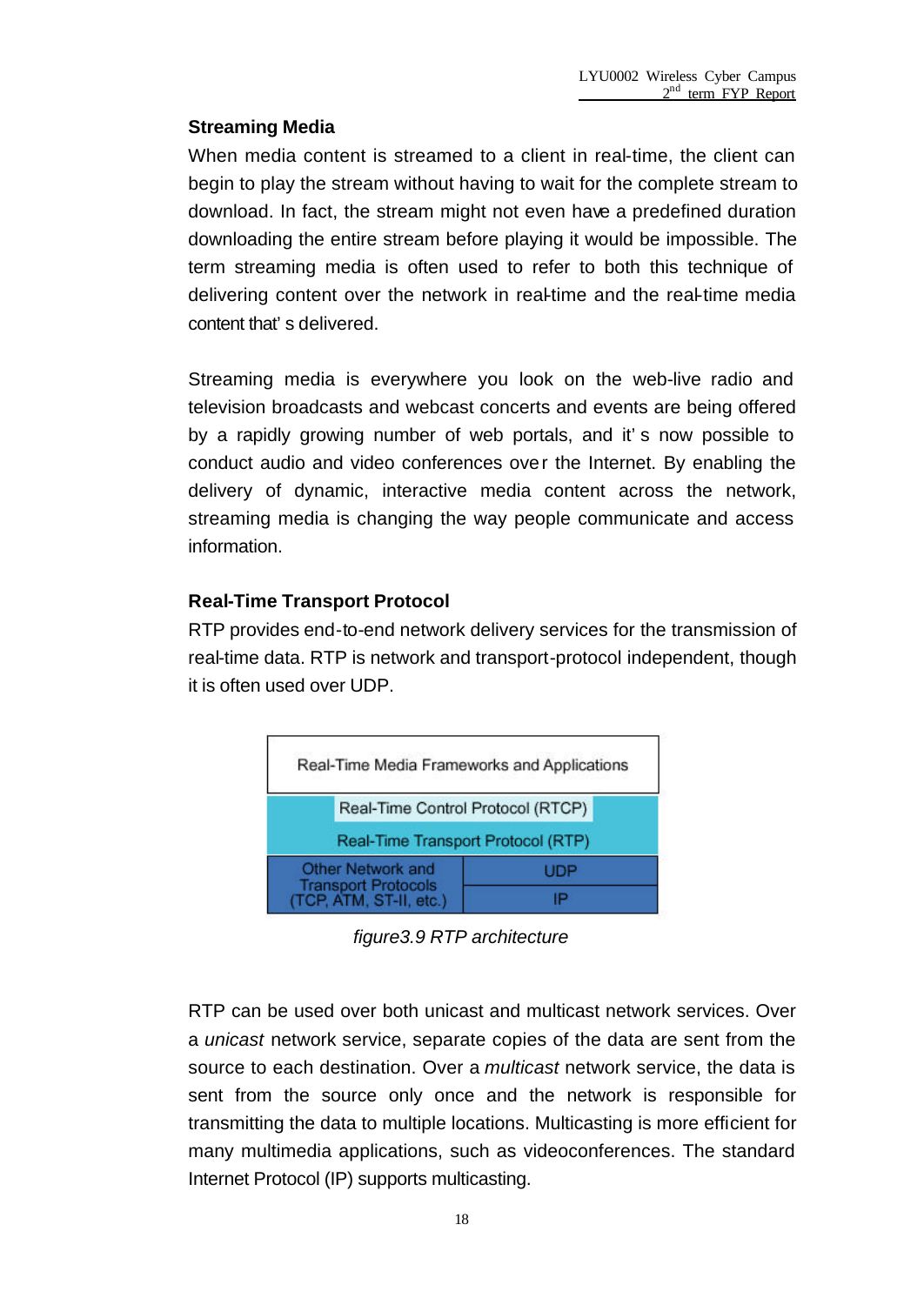#### **Streaming Media**

When media content is streamed to a client in real-time, the client can begin to play the stream without having to wait for the complete stream to download. In fact, the stream might not even have a predefined duration downloading the entire stream before playing it would be impossible. The term streaming media is often used to refer to both this technique of delivering content over the network in real-time and the real-time media content that's delivered.

Streaming media is everywhere you look on the web-live radio and television broadcasts and webcast concerts and events are being offered by a rapidly growing number of web portals, and it's now possible to conduct audio and video conferences over the Internet. By enabling the delivery of dynamic, interactive media content across the network, streaming media is changing the way people communicate and access information.

#### **Real-Time Transport Protocol**

RTP provides end-to-end network delivery services for the transmission of real-time data. RTP is network and transport-protocol independent, though it is often used over UDP.



*figure3.9 RTP architecture*

RTP can be used over both unicast and multicast network services. Over a *unicast* network service, separate copies of the data are sent from the source to each destination. Over a *multicast* network service, the data is sent from the source only once and the network is responsible for transmitting the data to multiple locations. Multicasting is more efficient for many multimedia applications, such as videoconferences. The standard Internet Protocol (IP) supports multicasting.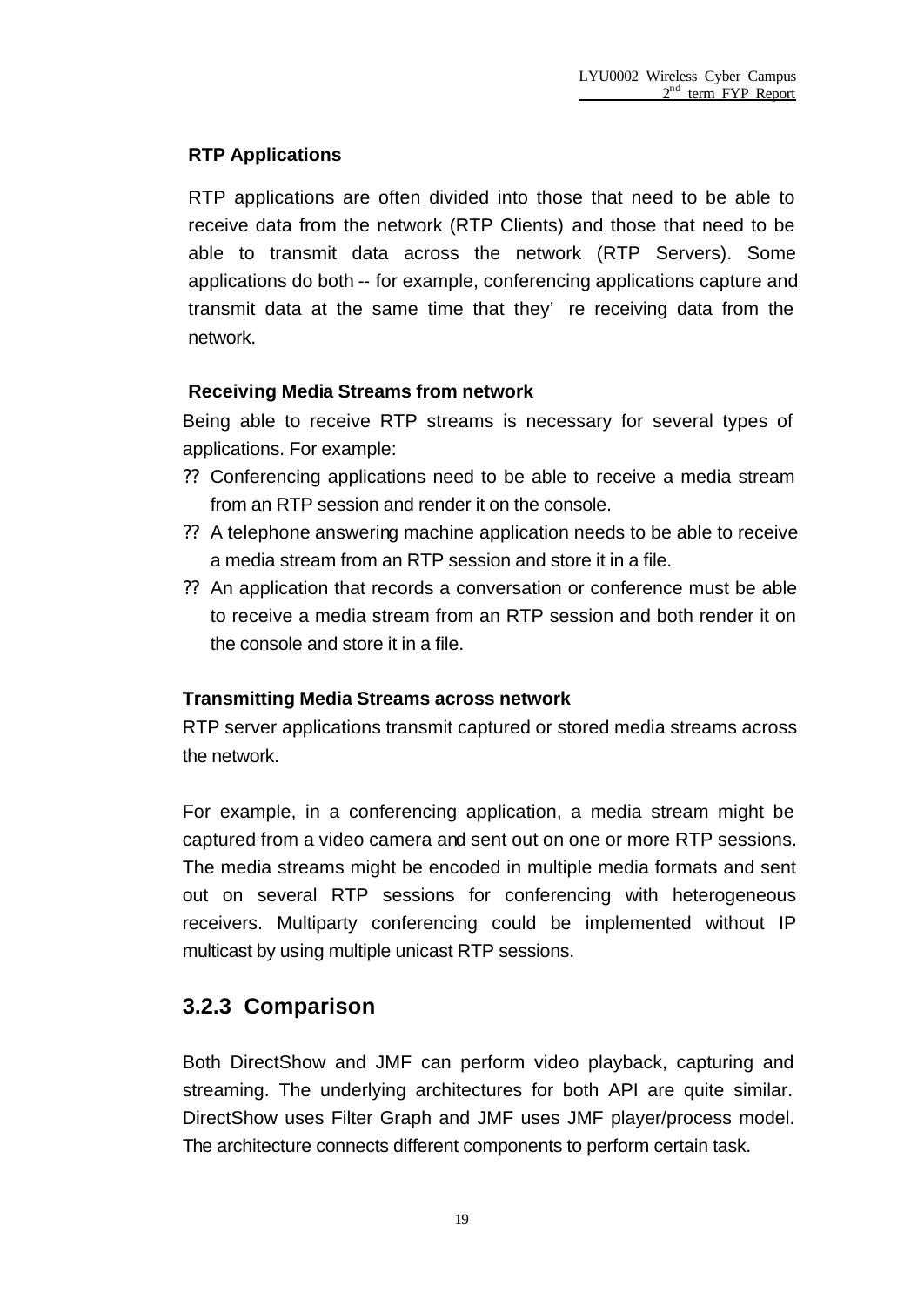#### **RTP Applications**

RTP applications are often divided into those that need to be able to receive data from the network (RTP Clients) and those that need to be able to transmit data across the network (RTP Servers). Some applications do both -- for example, conferencing applications capture and transmit data at the same time that they' re receiving data from the network.

#### **Receiving Media Streams from network**

Being able to receive RTP streams is necessary for several types of applications. For example:

- ?? Conferencing applications need to be able to receive a media stream from an RTP session and render it on the console.
- ?? A telephone answering machine application needs to be able to receive a media stream from an RTP session and store it in a file.
- ?? An application that records a conversation or conference must be able to receive a media stream from an RTP session and both render it on the console and store it in a file.

#### **Transmitting Media Streams across network**

RTP server applications transmit captured or stored media streams across the network.

For example, in a conferencing application, a media stream might be captured from a video camera and sent out on one or more RTP sessions. The media streams might be encoded in multiple media formats and sent out on several RTP sessions for conferencing with heterogeneous receivers. Multiparty conferencing could be implemented without IP multicast by using multiple unicast RTP sessions.

### **3.2.3 Comparison**

Both DirectShow and JMF can perform video playback, capturing and streaming. The underlying architectures for both API are quite similar. DirectShow uses Filter Graph and JMF uses JMF player/process model. The architecture connects different components to perform certain task.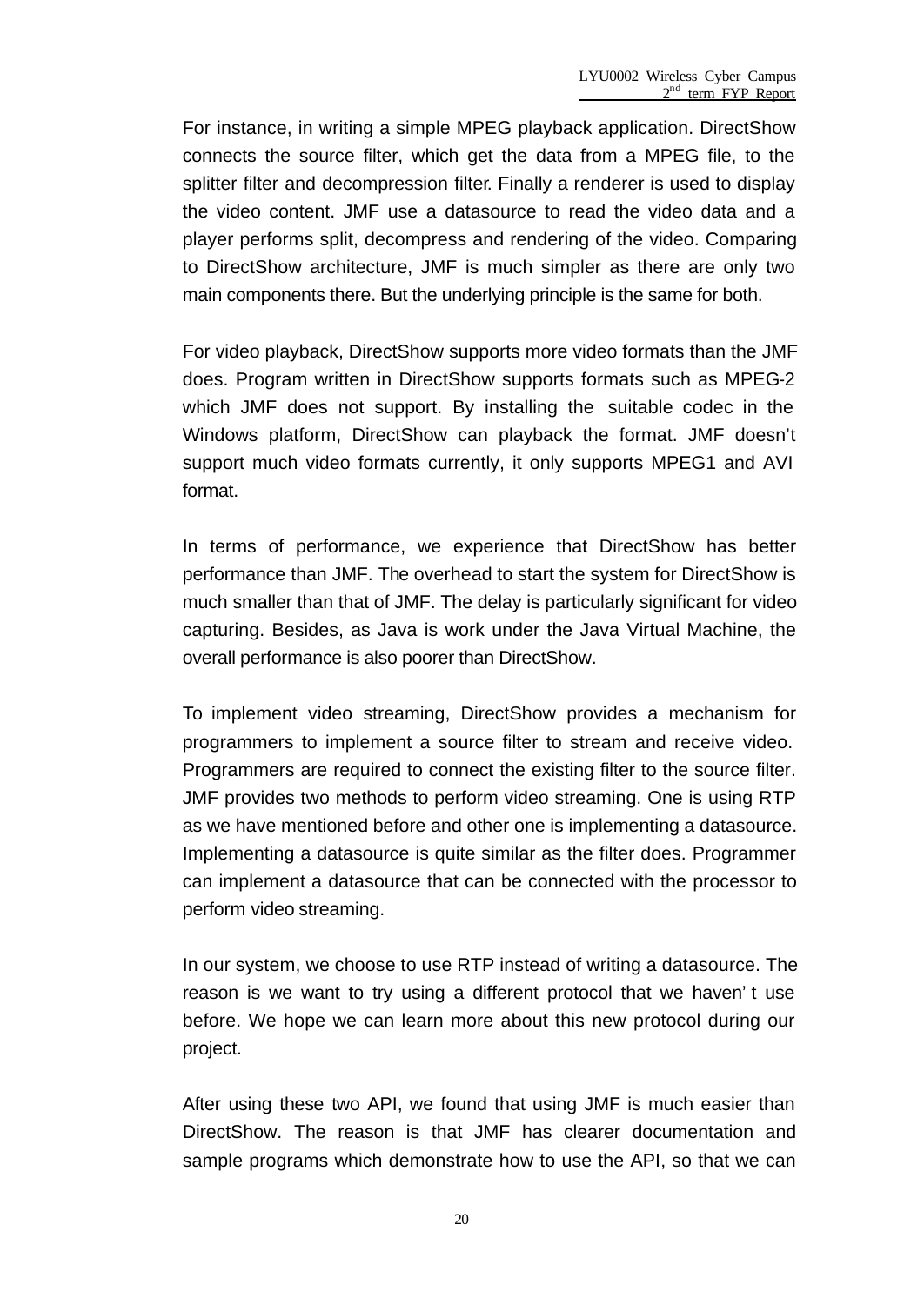For instance, in writing a simple MPEG playback application. DirectShow connects the source filter, which get the data from a MPEG file, to the splitter filter and decompression filter. Finally a renderer is used to display the video content. JMF use a datasource to read the video data and a player performs split, decompress and rendering of the video. Comparing to DirectShow architecture, JMF is much simpler as there are only two main components there. But the underlying principle is the same for both.

For video playback, DirectShow supports more video formats than the JMF does. Program written in DirectShow supports formats such as MPEG-2 which JMF does not support. By installing the suitable codec in the Windows platform, DirectShow can playback the format. JMF doesn't support much video formats currently, it only supports MPEG1 and AVI format.

In terms of performance, we experience that DirectShow has better performance than JMF. The overhead to start the system for DirectShow is much smaller than that of JMF. The delay is particularly significant for video capturing. Besides, as Java is work under the Java Virtual Machine, the overall performance is also poorer than DirectShow.

To implement video streaming, DirectShow provides a mechanism for programmers to implement a source filter to stream and receive video. Programmers are required to connect the existing filter to the source filter. JMF provides two methods to perform video streaming. One is using RTP as we have mentioned before and other one is implementing a datasource. Implementing a datasource is quite similar as the filter does. Programmer can implement a datasource that can be connected with the processor to perform video streaming.

In our system, we choose to use RTP instead of writing a datasource. The reason is we want to try using a different protocol that we haven't use before. We hope we can learn more about this new protocol during our project.

After using these two API, we found that using JMF is much easier than DirectShow. The reason is that JMF has clearer documentation and sample programs which demonstrate how to use the API, so that we can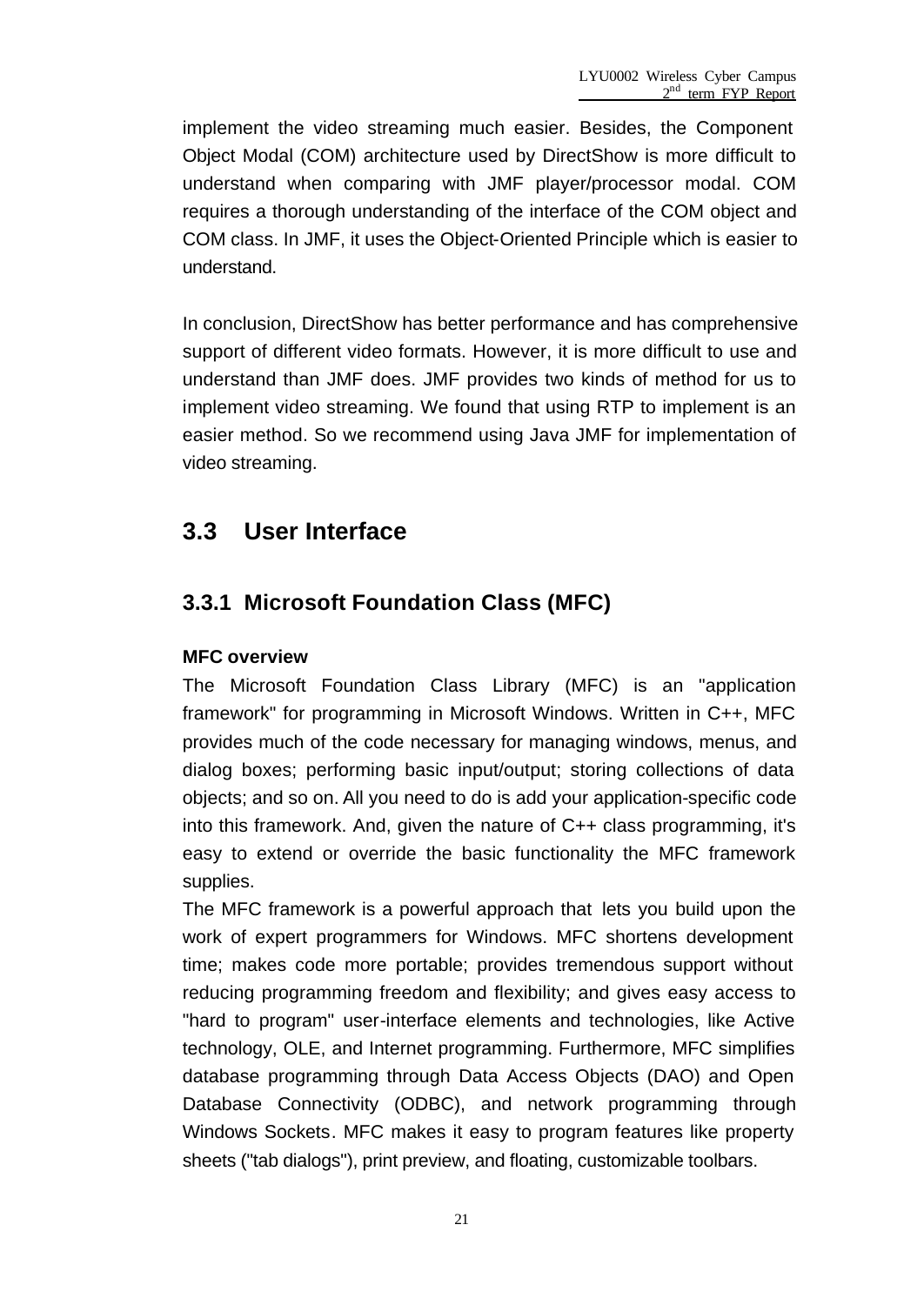implement the video streaming much easier. Besides, the Component Object Modal (COM) architecture used by DirectShow is more difficult to understand when comparing with JMF player/processor modal. COM requires a thorough understanding of the interface of the COM object and COM class. In JMF, it uses the Object-Oriented Principle which is easier to understand.

In conclusion, DirectShow has better performance and has comprehensive support of different video formats. However, it is more difficult to use and understand than JMF does. JMF provides two kinds of method for us to implement video streaming. We found that using RTP to implement is an easier method. So we recommend using Java JMF for implementation of video streaming.

## **3.3 User Interface**

## **3.3.1 Microsoft Foundation Class (MFC)**

#### **MFC overview**

The Microsoft Foundation Class Library (MFC) is an "application framework" for programming in Microsoft Windows. Written in C++, MFC provides much of the code necessary for managing windows, menus, and dialog boxes; performing basic input/output; storing collections of data objects; and so on. All you need to do is add your application-specific code into this framework. And, given the nature of C++ class programming, it's easy to extend or override the basic functionality the MFC framework supplies.

The MFC framework is a powerful approach that lets you build upon the work of expert programmers for Windows. MFC shortens development time; makes code more portable; provides tremendous support without reducing programming freedom and flexibility; and gives easy access to "hard to program" user-interface elements and technologies, like Active technology, OLE, and Internet programming. Furthermore, MFC simplifies database programming through Data Access Objects (DAO) and Open Database Connectivity (ODBC), and network programming through Windows Sockets. MFC makes it easy to program features like property sheets ("tab dialogs"), print preview, and floating, customizable toolbars.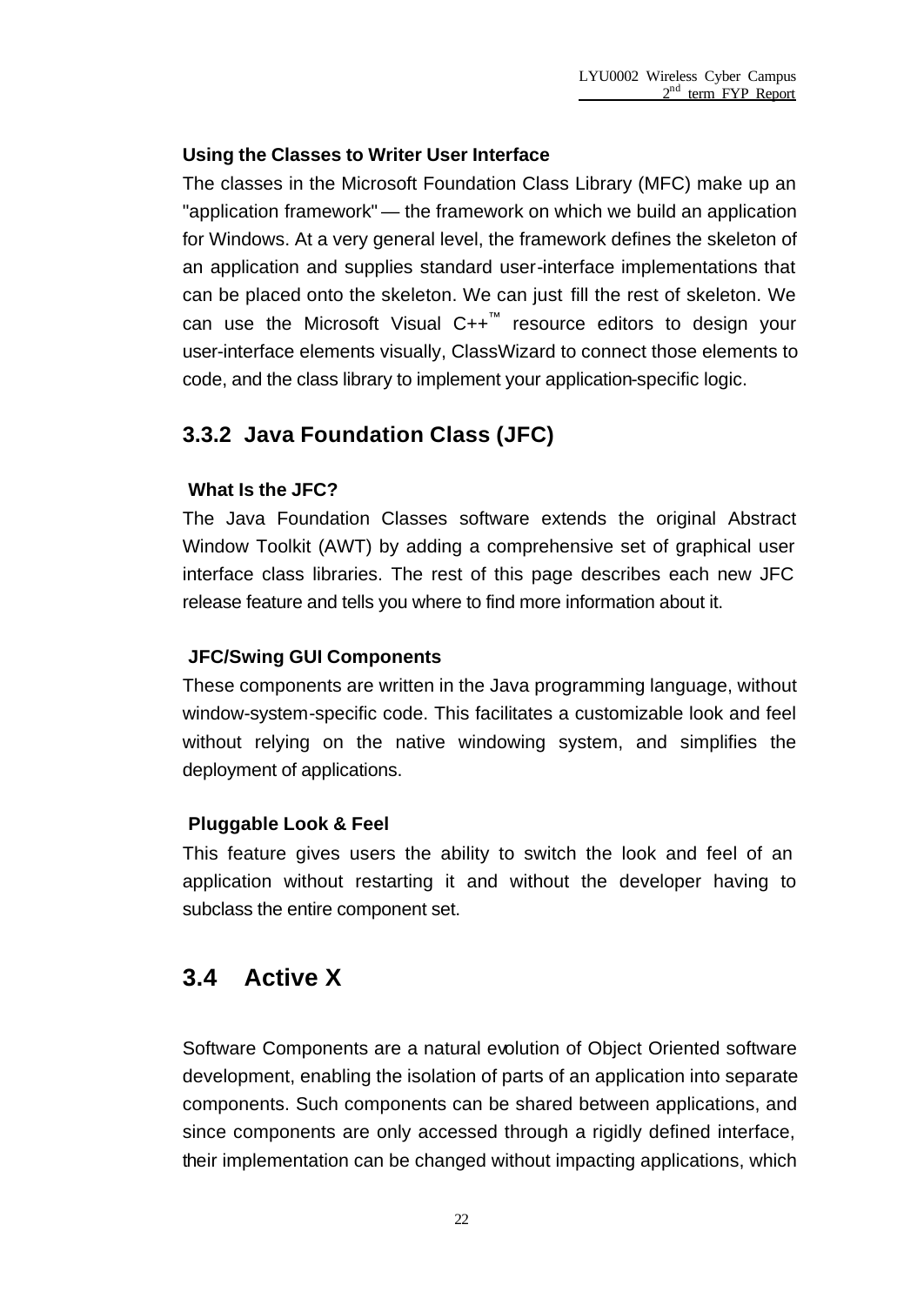#### **Using the Classes to Writer User Interface**

The classes in the Microsoft Foundation Class Library (MFC) make up an "application framework" — the framework on which we build an application for Windows. At a very general level, the framework defines the skeleton of an application and supplies standard user-interface implementations that can be placed onto the skeleton. We can just fill the rest of skeleton. We can use the Microsoft Visual C++<sup>™</sup> resource editors to design your user-interface elements visually, ClassWizard to connect those elements to code, and the class library to implement your application-specific logic.

### **3.3.2 Java Foundation Class (JFC)**

#### **What Is the JFC?**

The Java Foundation Classes software extends the original Abstract Window Toolkit (AWT) by adding a comprehensive set of graphical user interface class libraries. The rest of this page describes each new JFC release feature and tells you where to find more information about it.

#### **JFC/Swing GUI Components**

These components are written in the Java programming language, without window-system-specific code. This facilitates a customizable look and feel without relying on the native windowing system, and simplifies the deployment of applications.

#### **Pluggable Look & Feel**

This feature gives users the ability to switch the look and feel of an application without restarting it and without the developer having to subclass the entire component set.

## **3.4 Active X**

Software Components are a natural evolution of Object Oriented software development, enabling the isolation of parts of an application into separate components. Such components can be shared between applications, and since components are only accessed through a rigidly defined interface, their implementation can be changed without impacting applications, which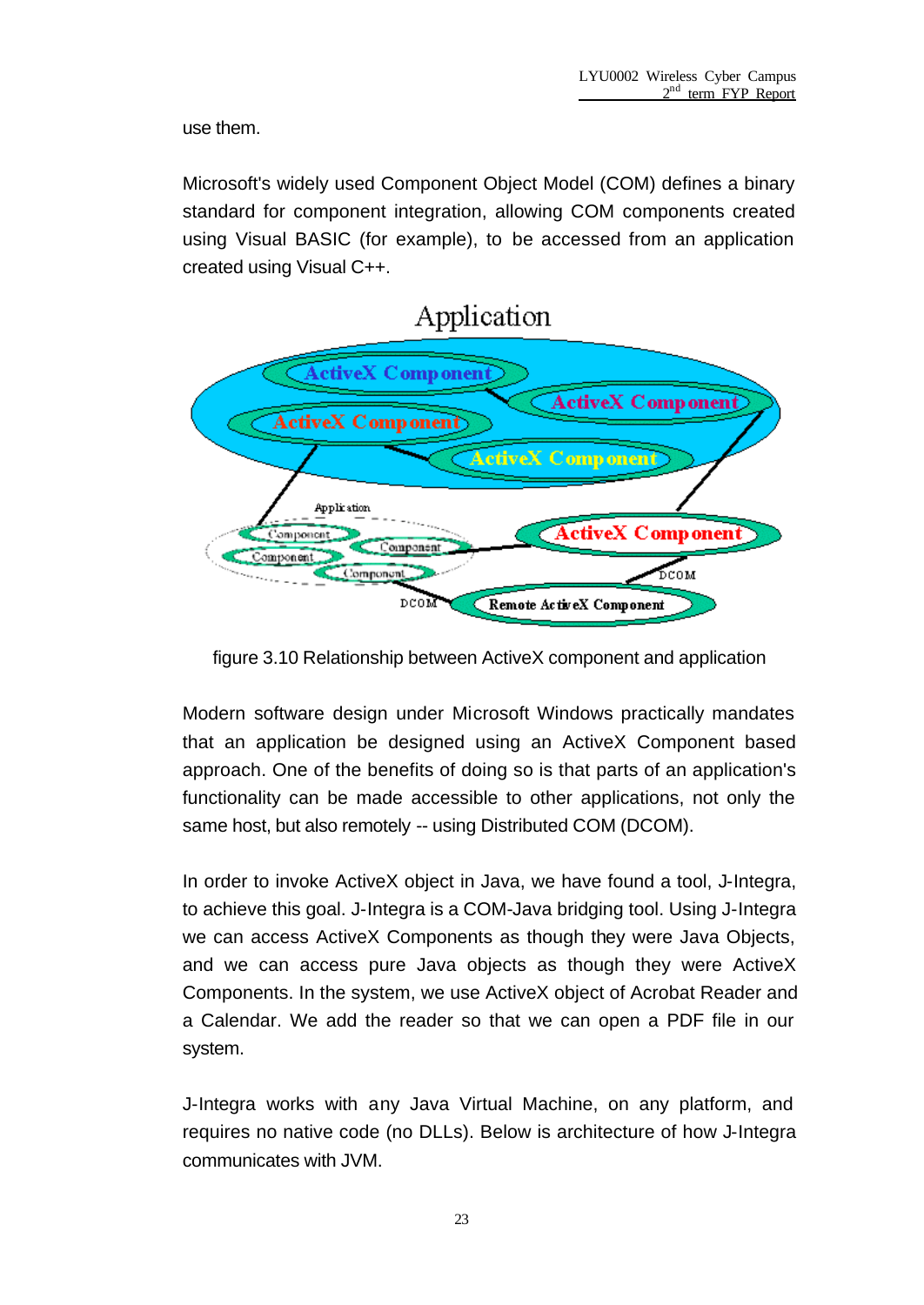use them.

Microsoft's widely used Component Object Model (COM) defines a binary standard for component integration, allowing COM components created using Visual BASIC (for example), to be accessed from an application created using Visual C++.



figure 3.10 Relationship between ActiveX component and application

Modern software design under Microsoft Windows practically mandates that an application be designed using an ActiveX Component based approach. One of the benefits of doing so is that parts of an application's functionality can be made accessible to other applications, not only the same host, but also remotely -- using Distributed COM (DCOM).

In order to invoke ActiveX object in Java, we have found a tool, J-Integra, to achieve this goal. J-Integra is a COM-Java bridging tool. Using J-Integra we can access ActiveX Components as though they were Java Objects, and we can access pure Java objects as though they were ActiveX Components. In the system, we use ActiveX object of Acrobat Reader and a Calendar. We add the reader so that we can open a PDF file in our system.

J-Integra works with any Java Virtual Machine, on any platform, and requires no native code (no DLLs). Below is architecture of how J-Integra communicates with JVM.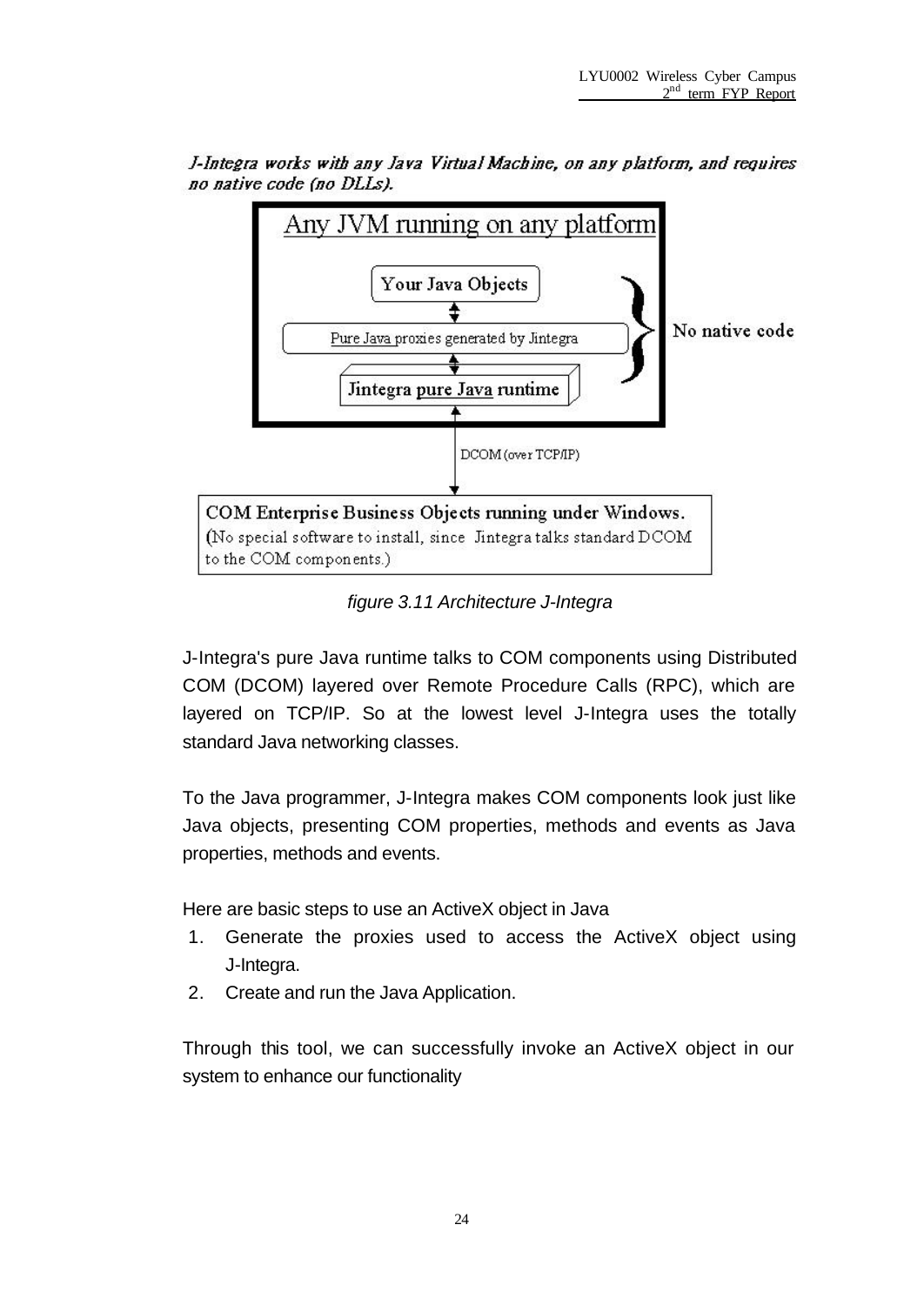



*figure 3.11 Architecture J-Integra*

J-Integra's pure Java runtime talks to COM components using Distributed COM (DCOM) layered over Remote Procedure Calls (RPC), which are layered on TCP/IP. So at the lowest level J-Integra uses the totally standard Java networking classes.

To the Java programmer, J-Integra makes COM components look just like Java objects, presenting COM properties, methods and events as Java properties, methods and events.

Here are basic steps to use an ActiveX object in Java

- 1. Generate the proxies used to access the ActiveX object using J-Integra.
- 2. Create and run the Java Application.

Through this tool, we can successfully invoke an ActiveX object in our system to enhance our functionality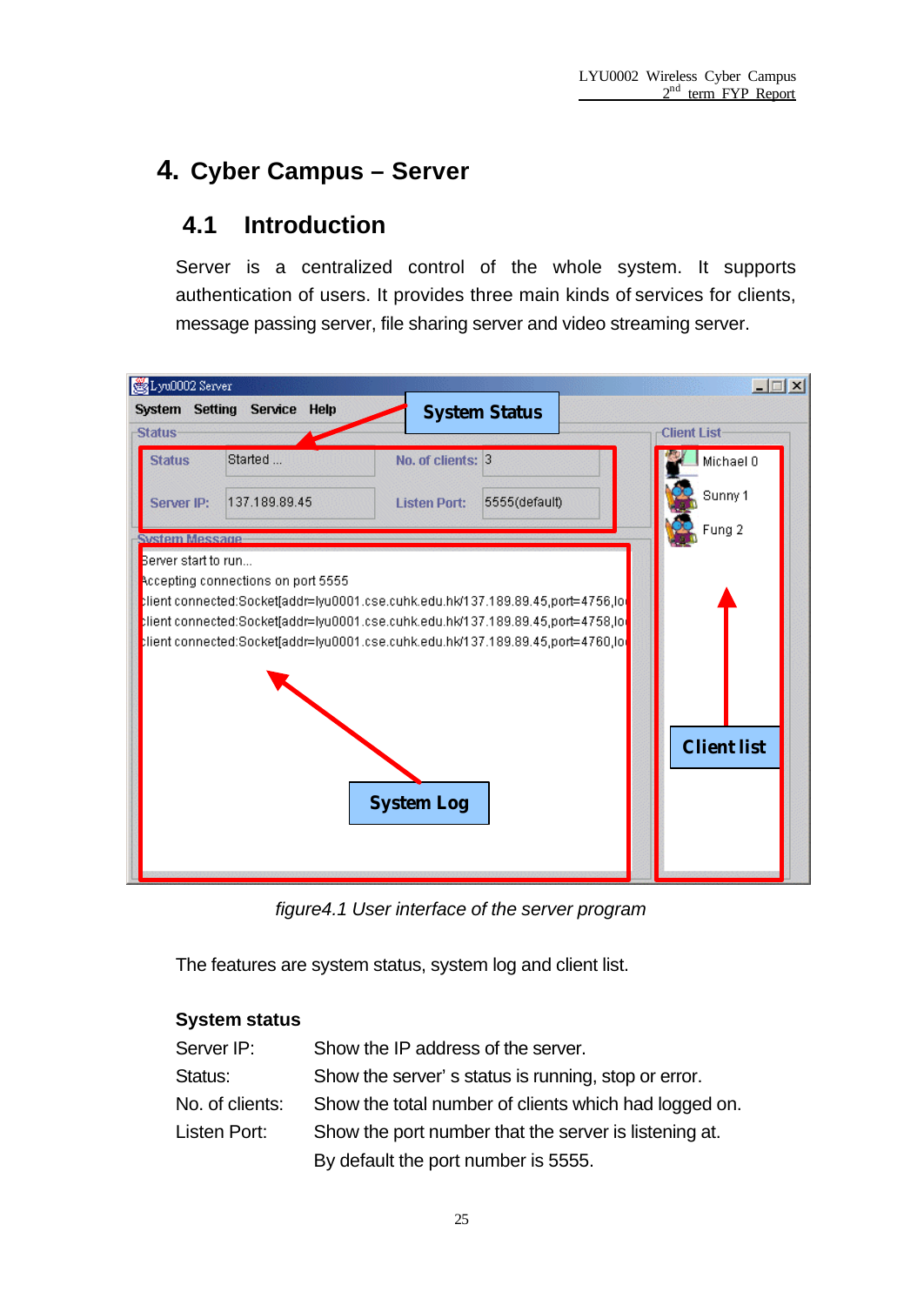## **4. Cyber Campus – Server**

## **4.1 Introduction**

Server is a centralized control of the whole system. It supports authentication of users. It provides three main kinds of services for clients, message passing server, file sharing server and video streaming server.



*figure4.1 User interface of the server program*

The features are system status, system log and client list.

#### **System status**

| Server IP:      | Show the IP address of the server.                    |
|-----------------|-------------------------------------------------------|
| Status:         | Show the server's status is running, stop or error.   |
| No. of clients: | Show the total number of clients which had logged on. |
| Listen Port:    | Show the port number that the server is listening at. |
|                 | By default the port number is 5555.                   |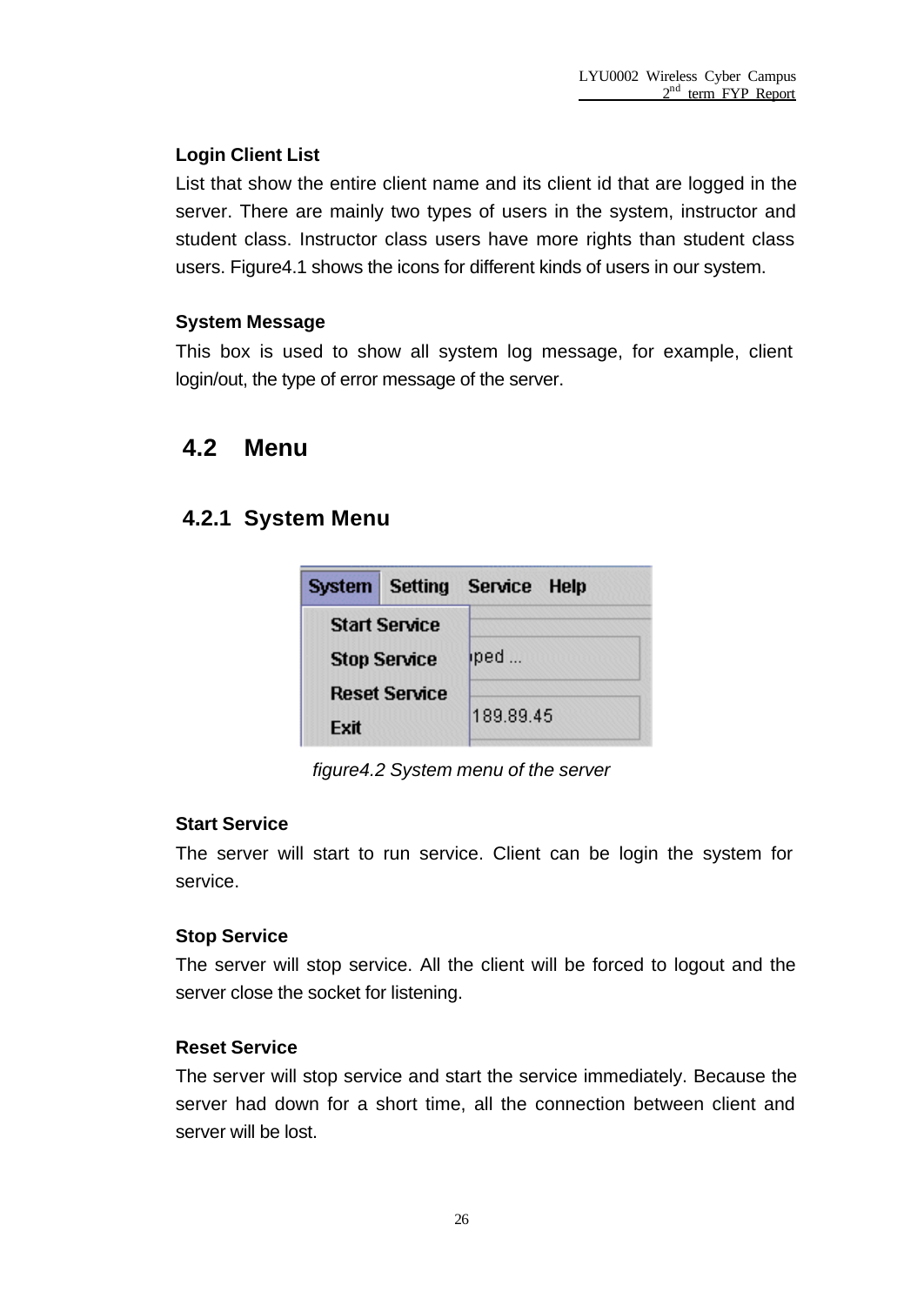#### **Login Client List**

List that show the entire client name and its client id that are logged in the server. There are mainly two types of users in the system, instructor and student class. Instructor class users have more rights than student class users. Figure4.1 shows the icons for different kinds of users in our system.

#### **System Message**

This box is used to show all system log message, for example, client login/out, the type of error message of the server.

### **4.2 Menu**

### **4.2.1 System Menu**

| <b>System Setting Service Help</b> |           |
|------------------------------------|-----------|
| <b>Start Service</b>               |           |
| <b>Stop Service</b>                | iped      |
| <b>Reset Service</b>               |           |
| Fxit                               | 189.89.45 |

*figure4.2 System menu of the server*

#### **Start Service**

The server will start to run service. Client can be login the system for service.

#### **Stop Service**

The server will stop service. All the client will be forced to logout and the server close the socket for listening.

#### **Reset Service**

The server will stop service and start the service immediately. Because the server had down for a short time, all the connection between client and server will be lost.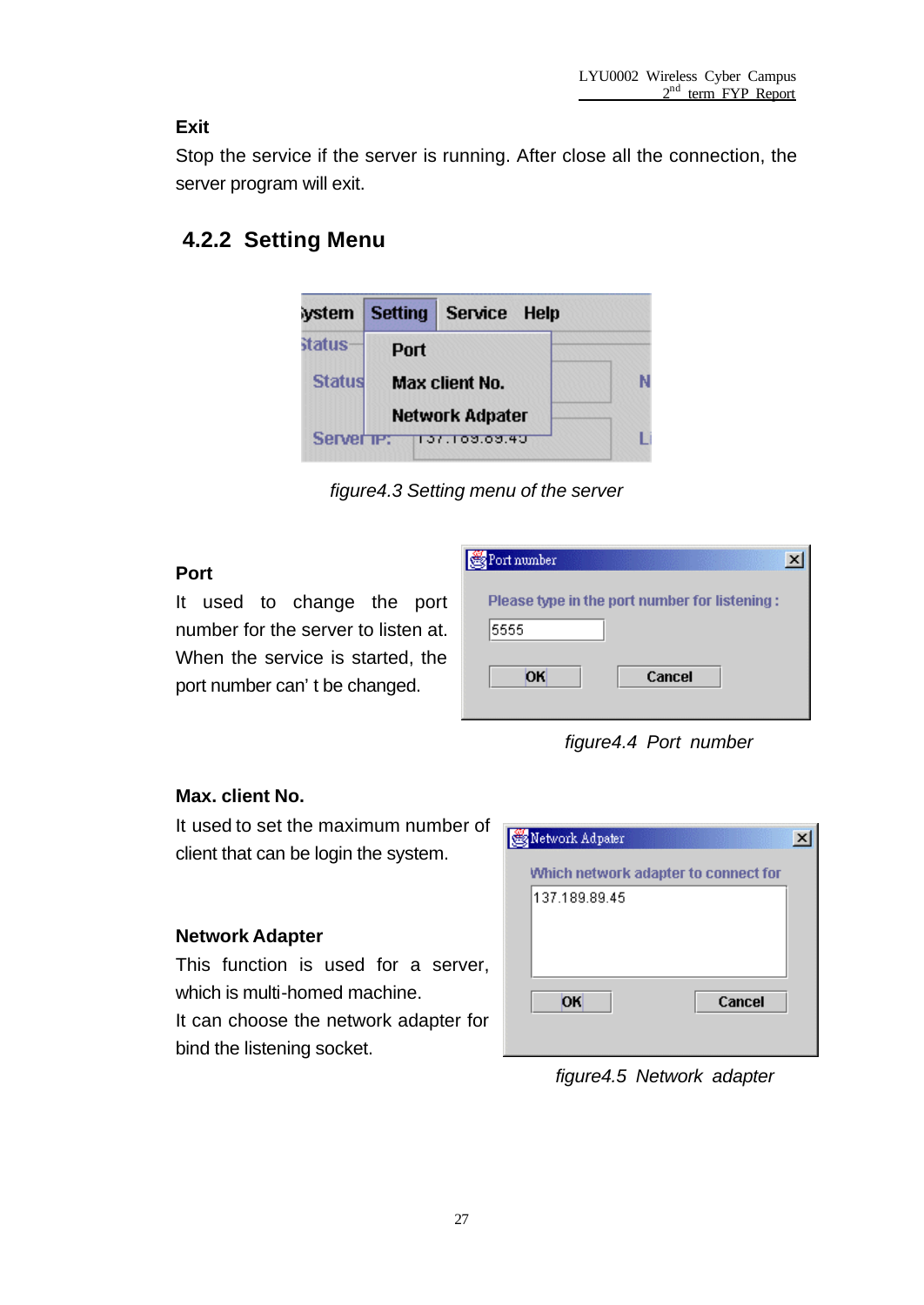#### **Exit**

Stop the service if the server is running. After close all the connection, the server program will exit.

### **4.2.2 Setting Menu**



*figure4.3 Setting menu of the server*

#### **Port**

It used to change the port number for the server to listen at. When the service is started, the port number can't be changed.

| Port number                                   |        |  |
|-----------------------------------------------|--------|--|
| Please type in the port number for listening: |        |  |
| 5555                                          |        |  |
| OK                                            | Cancel |  |

*figure4.4 Port number*

#### **Max. client No.**

It used to set the maximum number of client that can be login the system.

#### **Network Adapter**

This function is used for a server, which is multi-homed machine. It can choose the network adapter for

bind the listening socket.

| Network Adpater                      |  |
|--------------------------------------|--|
| Which network adapter to connect for |  |
| 137.189.89.45                        |  |
|                                      |  |
|                                      |  |
|                                      |  |
| OK<br>Cancel                         |  |
|                                      |  |

*figure4.5 Network adapter*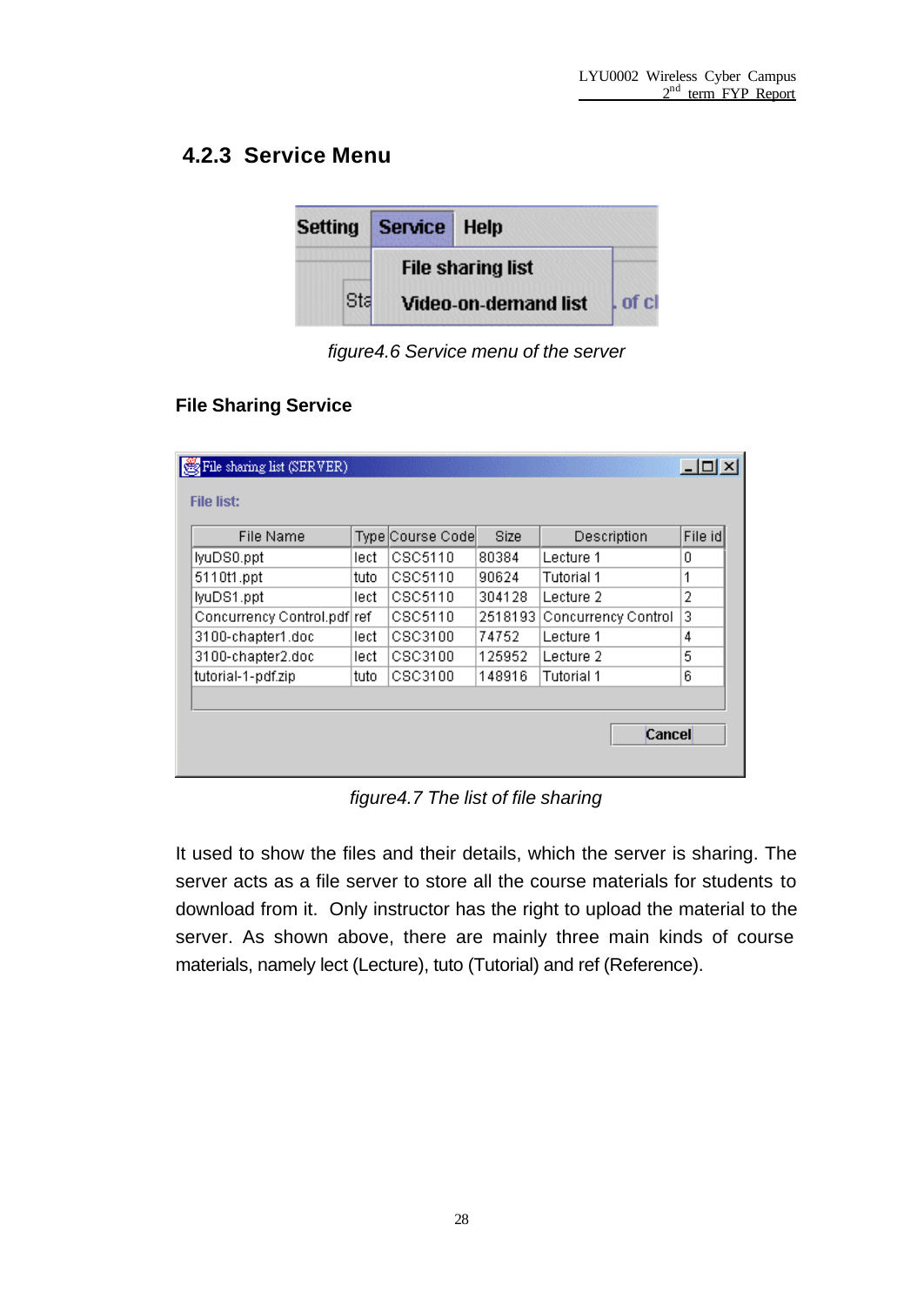### **4.2.3 Service Menu**

| <b>Setting</b> | Service Help |                             |         |
|----------------|--------------|-----------------------------|---------|
|                |              | <b>File sharing list</b>    |         |
| Sta            |              | <b>Video-on-demand list</b> | l of cl |

*figure4.6 Service menu of the server*

#### **File Sharing Service**

| File sharing list (SERVER)  |       |                  |         |                     | $ \Box$ $\times$ |
|-----------------------------|-------|------------------|---------|---------------------|------------------|
| <b>File list:</b>           |       |                  |         |                     |                  |
| <b>File Name</b>            |       | Type Course Code | Size    | Description         | File id          |
| lyuDS0.ppt                  | lect  | CSC5110          | 80384   | Lecture 1           | 0                |
| 5110t1.ppt                  | tuto  | CSC5110          | 90624   | Tutorial 1          | 1                |
| lyuDS1.ppt                  | lect  | CSC5110          | 304128  | Lecture 2           | 2                |
| Concurrency Control.pdf ref |       | CSC5110          | 2518193 | Concurrency Control | 3                |
| 3100-chapter1.doc           | lecti | CSC3100          | 74752   | Lecture 1           | 4                |
| 3100-chapter2.doc           | lect  | CSC3100          | 125952  | Lecture 2           | 5                |
| tutorial-1-pdf.zip          | tuto  | CSC3100          | 148916  | Tutorial 1          | 6                |
|                             |       |                  |         |                     |                  |
|                             |       |                  |         |                     |                  |
|                             |       |                  |         | Cancel              |                  |
|                             |       |                  |         |                     |                  |

*figure4.7 The list of file sharing*

It used to show the files and their details, which the server is sharing. The server acts as a file server to store all the course materials for students to download from it. Only instructor has the right to upload the material to the server. As shown above, there are mainly three main kinds of course materials, namely lect (Lecture), tuto (Tutorial) and ref (Reference).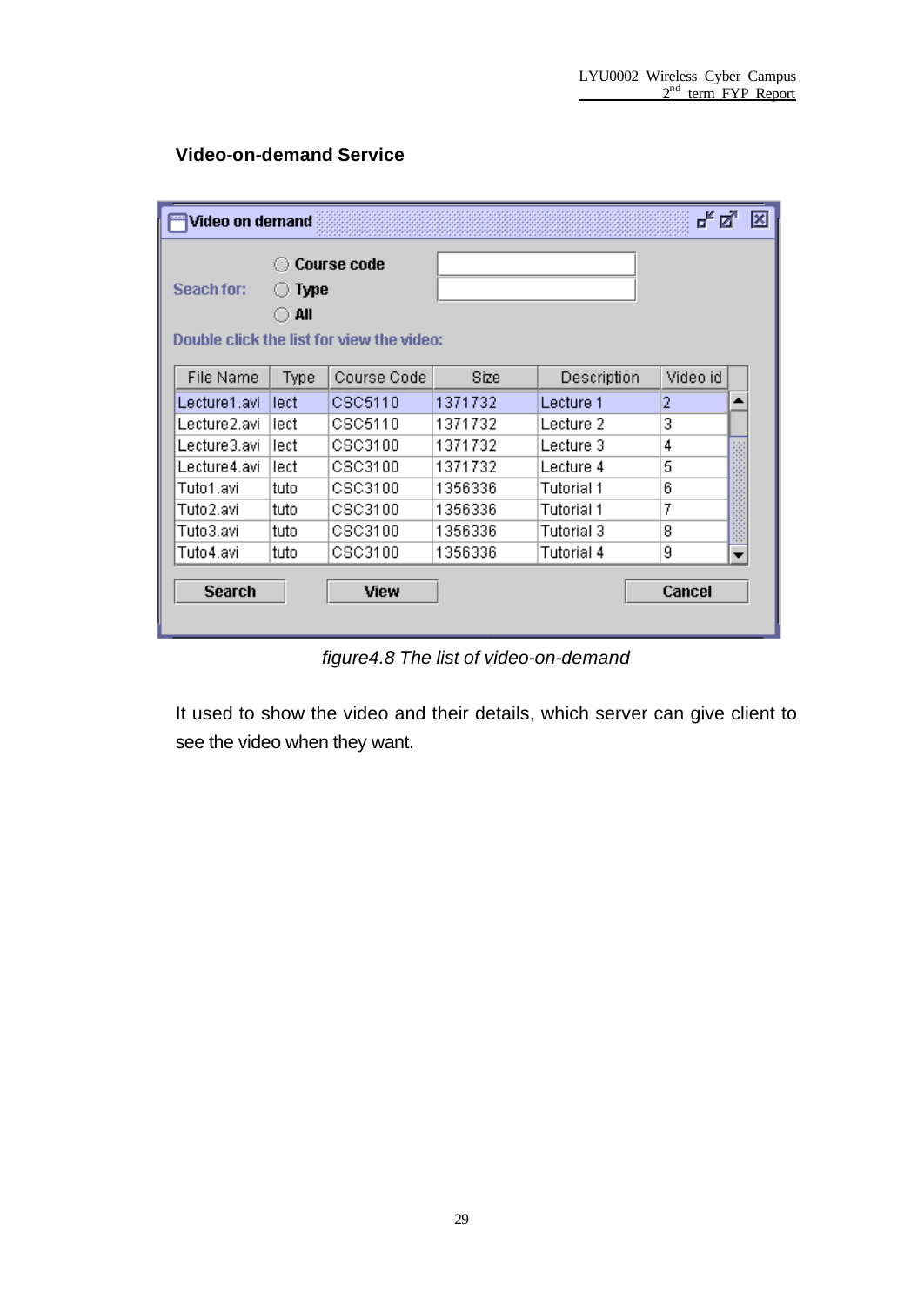#### **Video-on-demand Service**

| Video on demand  |                    |                                           |         |             | ದ್.⊠           | × |
|------------------|--------------------|-------------------------------------------|---------|-------------|----------------|---|
| Seach for:       | <b>Type</b><br>All | <b>Course code</b>                        |         |             |                |   |
|                  |                    | Double click the list for view the video: |         |             |                |   |
| <b>File Name</b> | Type               | Course Code                               | Size    | Description | Video id       |   |
| Lecture1.avi     | lect               | CSC5110                                   | 1371732 | Lecture 1   | $\overline{2}$ | ▲ |
| Lecture2.avi     | lect               | CSC5110                                   | 1371732 | Lecture 2   | 3              |   |
| Lecture3.avi     | lect               | CSC3100                                   | 1371732 | Lecture 3   | 4              |   |
| Lecture4.avi     | lect               | CSC3100                                   | 1371732 | Lecture 4   | 5              |   |
| Tuto1.avi        | tuto               | CSC3100                                   | 1356336 | Tutorial 1  | 6              |   |
| Tuto2.avi        | tuto               | CSC3100                                   | 1356336 | Tutorial 1  | 7              |   |
| Tuto3.avi        | tuto               | CSC3100                                   | 1356336 | Tutorial 3  | 8              |   |
| Tuto4.avi        | tuto               | CSC3100                                   | 1356336 | Tutorial 4  | 9              |   |
| <b>Search</b>    |                    | View                                      |         |             | Cancel         |   |

*figure4.8 The list of video-on-demand*

It used to show the video and their details, which server can give client to see the video when they want.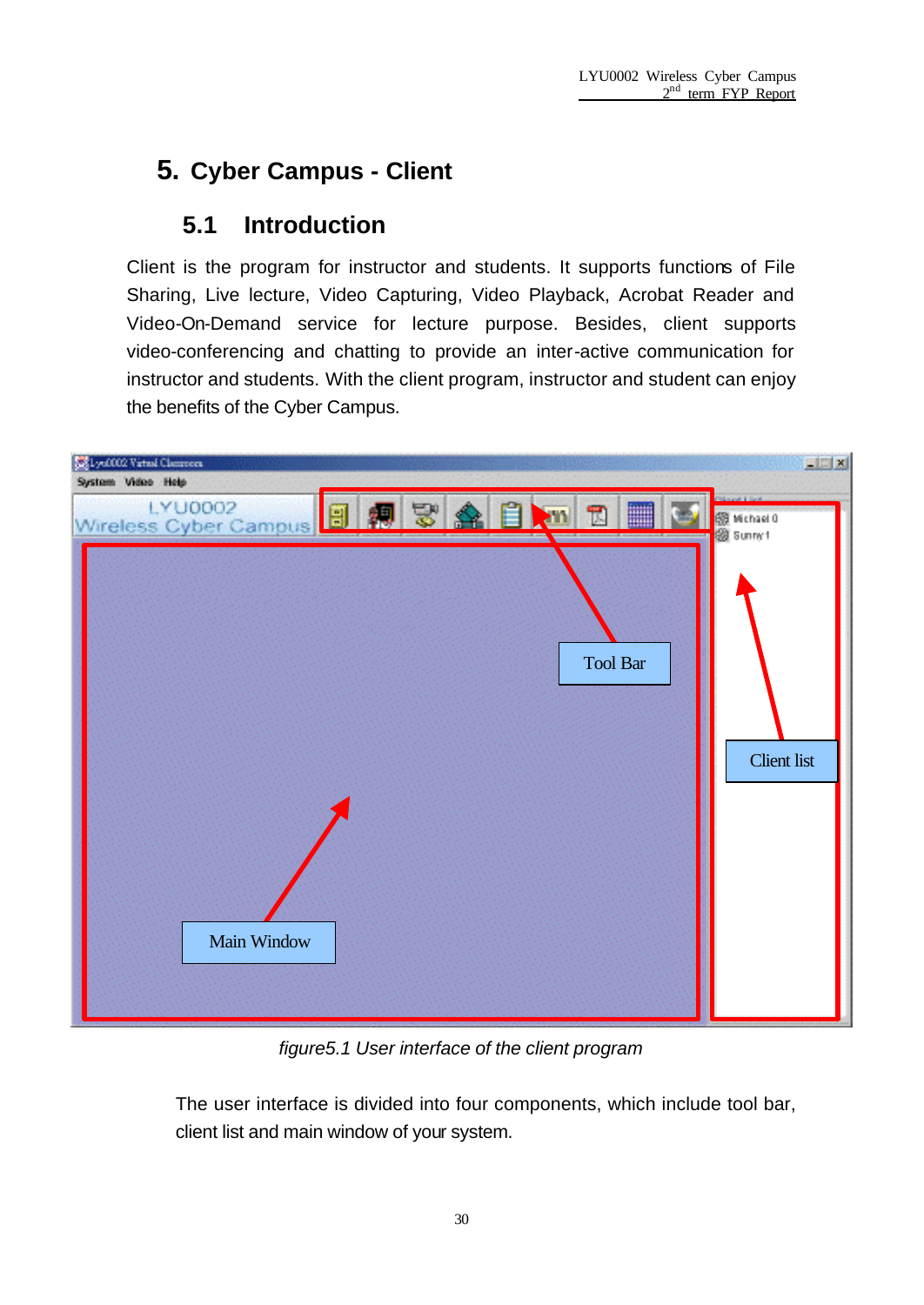# **5. Cyber Campus - Client**

## **5.1 Introduction**

Client is the program for instructor and students. It supports functions of File Sharing, Live lecture, Video Capturing, Video Playback, Acrobat Reader and Video-On-Demand service for lecture purpose. Besides, client supports video-conferencing and chatting to provide an inter-active communication for instructor and students. With the client program, instructor and student can enjoy the benefits of the Cyber Campus.



*figure5.1 User interface of the client program*

The user interface is divided into four components, which include tool bar, client list and main window of your system.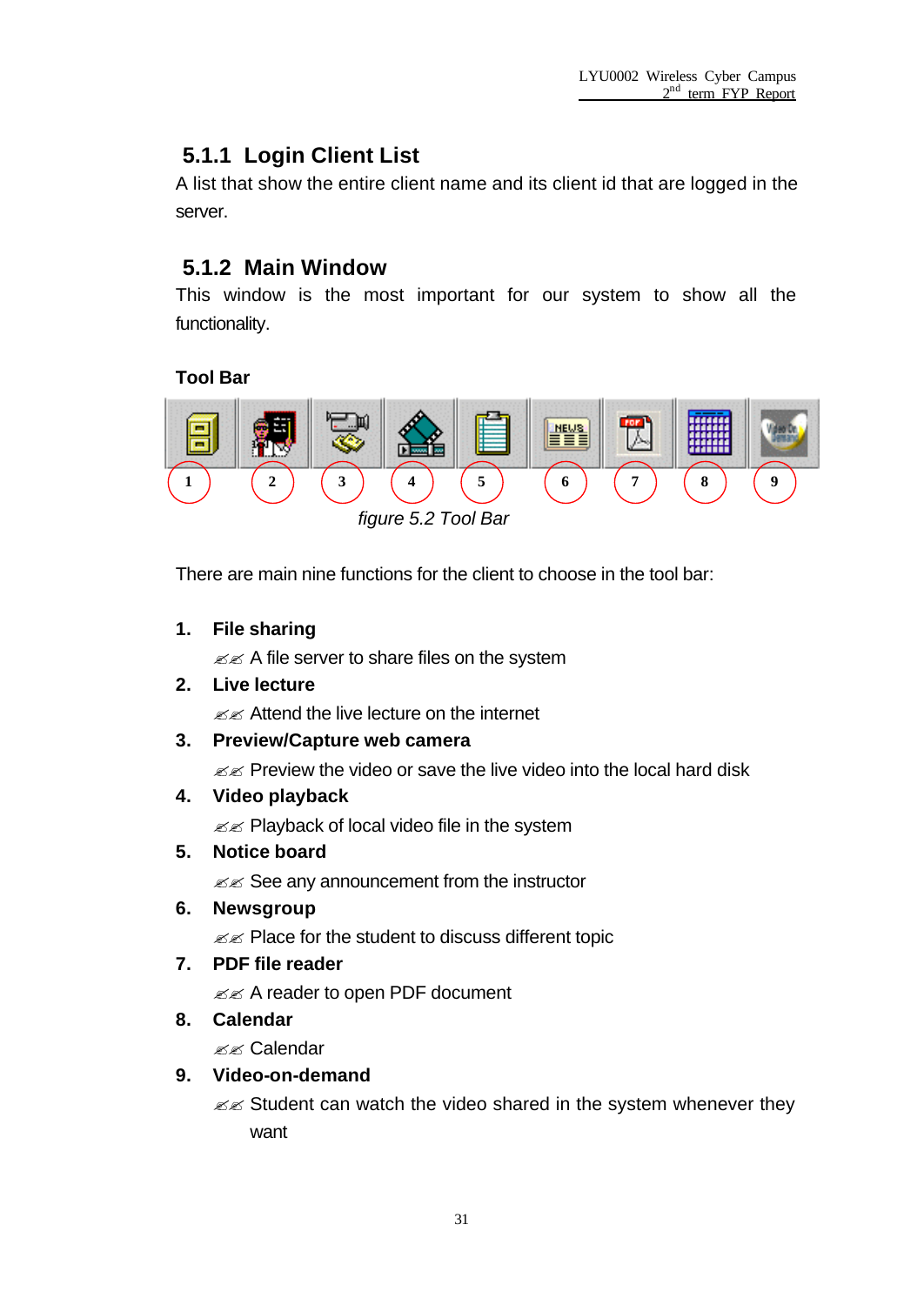### **5.1.1 Login Client List**

A list that show the entire client name and its client id that are logged in the server.

### **5.1.2 Main Window**

This window is the most important for our system to show all the functionality.

#### **Tool Bar**



*figure 5.2 Tool Bar*

There are main nine functions for the client to choose in the tool bar:

#### **1. File sharing**

 $\mathcal{Z} \mathcal{Z}$  A file server to share files on the system

**2. Live lecture**

 $\ll$  Attend the live lecture on the internet

#### **3. Preview/Capture web camera**

 $\mathbb{Z}$  Preview the video or save the live video into the local hard disk

**4. Video playback**

 $\mathbb{Z}$  Playback of local video file in the system

**5. Notice board**

 $\mathcal{Z}$  See any announcement from the instructor

**6. Newsgroup**

 $\mathscr{A}$  Place for the student to discuss different topic

**7. PDF file reader**

 $\mathbb{Z}$  A reader to open PDF document

**8. Calendar**

 $\ll \ll$  Calendar

#### **9. Video-on-demand**

 $\mathbb{Z}$  Student can watch the video shared in the system whenever they want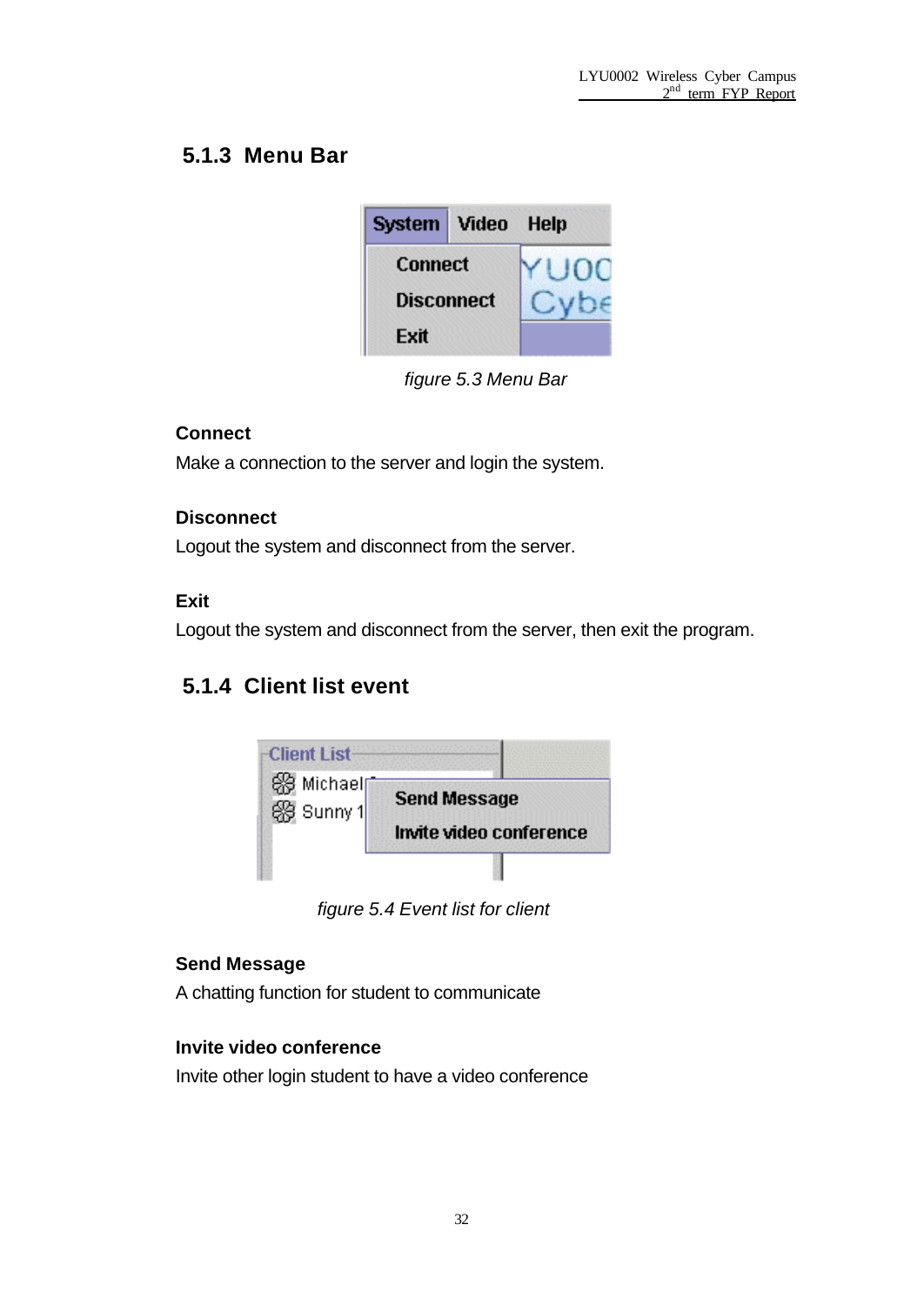### **5.1.3 Menu Bar**

| System Video      | Help |
|-------------------|------|
| <b>Connect</b>    |      |
| <b>Disconnect</b> |      |
| Exit              |      |

*figure 5.3 Menu Bar*

#### **Connect**

Make a connection to the server and login the system.

#### **Disconnect**

Logout the system and disconnect from the server.

#### **Exit**

Logout the system and disconnect from the server, then exit the program.

### **5.1.4 Client list event**



*figure 5.4 Event list for client*

#### **Send Message**

A chatting function for student to communicate

#### **Invite video conference**

Invite other login student to have a video conference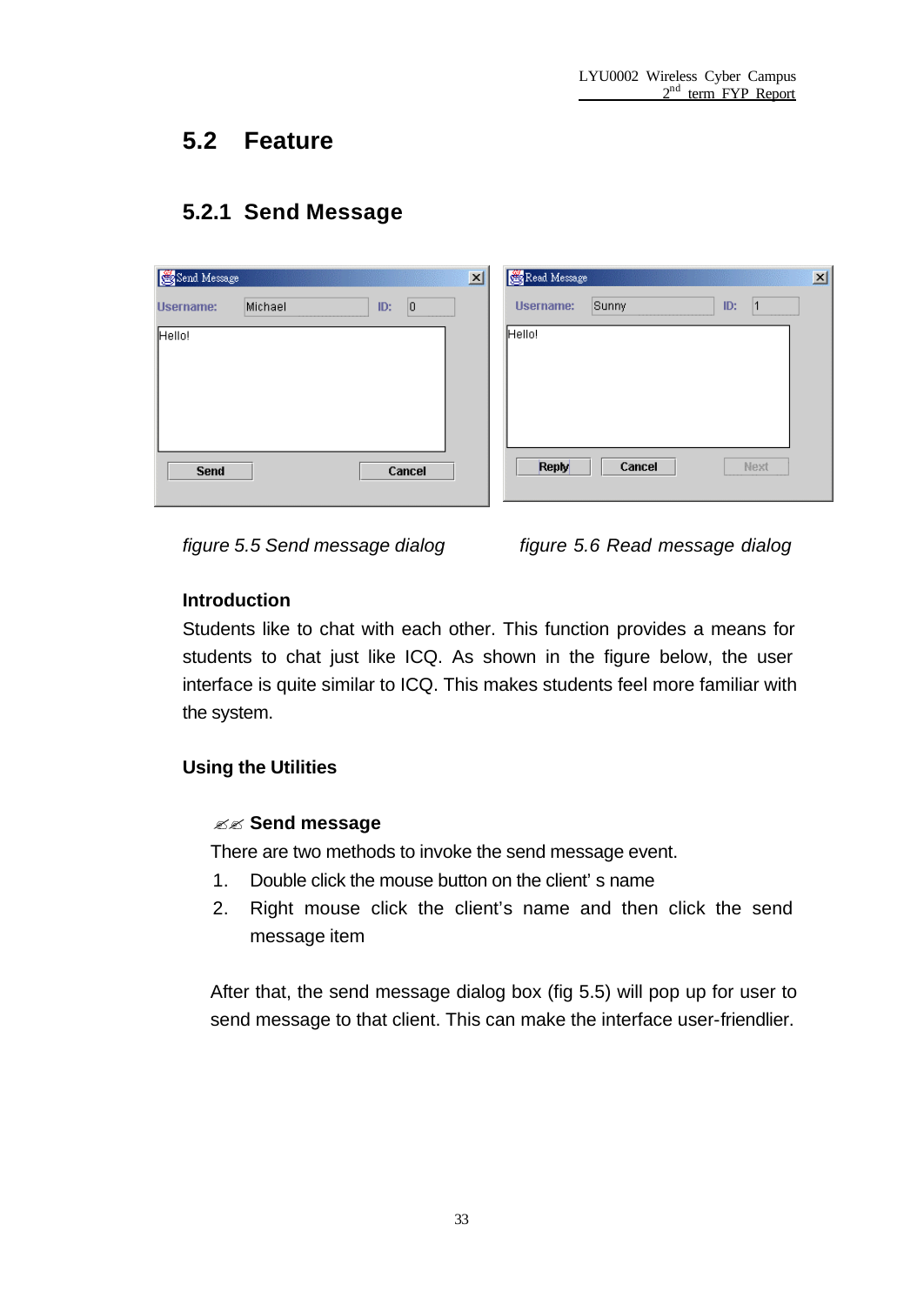## **5.2 Feature**

### **5.2.1 Send Message**

| Send Message     |         |     |        | $\mathbf{x}$ | Read Message     |        |     |      | $\vert x \vert$ |
|------------------|---------|-----|--------|--------------|------------------|--------|-----|------|-----------------|
| <b>Username:</b> | Michael | ID: | 0      |              | <b>Username:</b> | Sunny  | ID: |      |                 |
| Hello!           |         |     |        |              | Hello!           |        |     |      |                 |
| <b>Send</b>      |         |     | Cancel |              | Reply            | Cancel |     | Next |                 |

*figure 5.5 Send message dialog figure 5.6 Read message dialog*

#### **Introduction**

Students like to chat with each other. This function provides a means for students to chat just like ICQ. As shown in the figure below, the user interface is quite similar to ICQ. This makes students feel more familiar with the system.

#### **Using the Utilities**

#### ?? **Send message**

There are two methods to invoke the send message event.

- 1. Double click the mouse button on the client's name
- 2. Right mouse click the client's name and then click the send message item

After that, the send message dialog box (fig 5.5) will pop up for user to send message to that client. This can make the interface user-friendlier.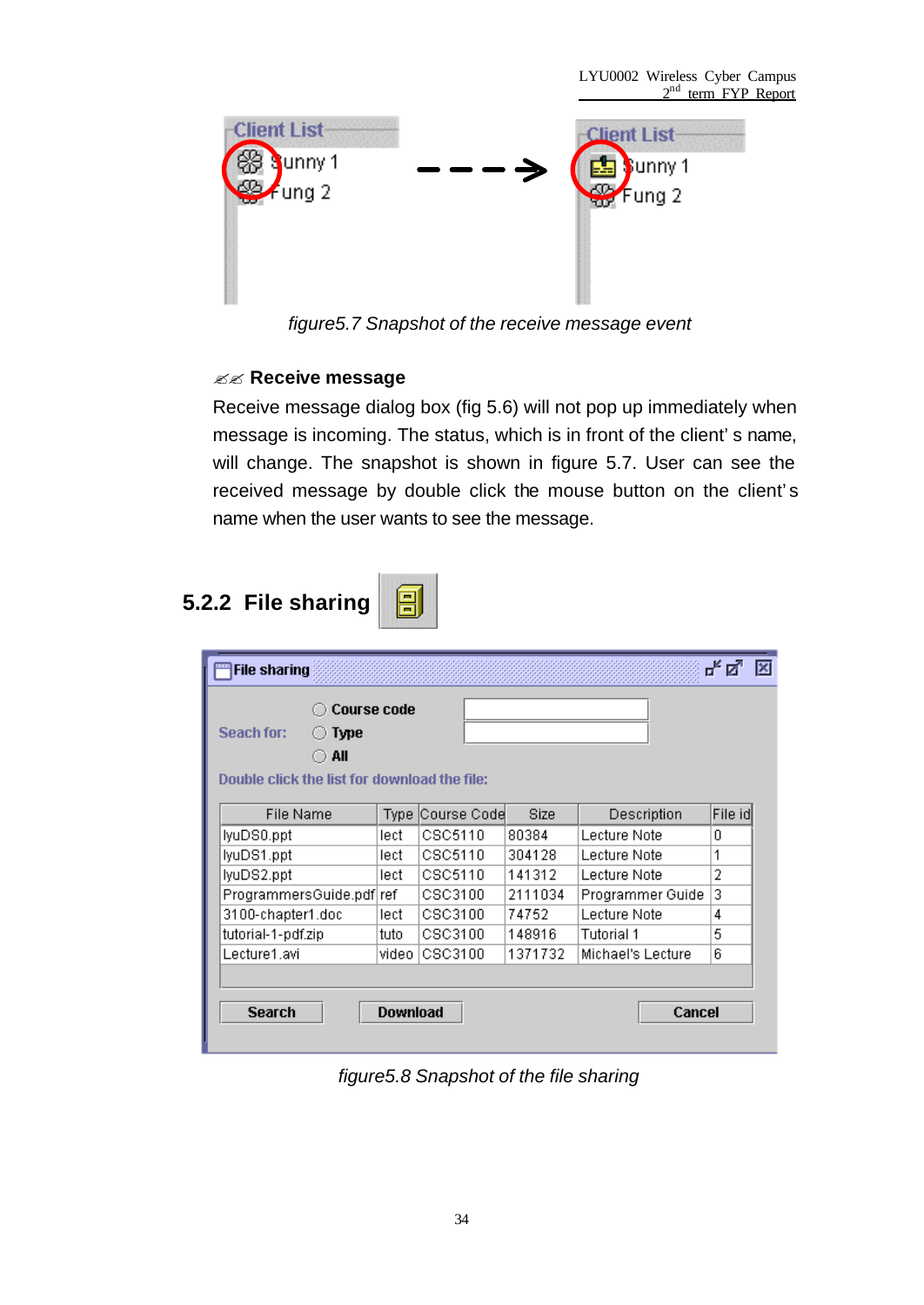

*figure5.7 Snapshot of the receive message event*

#### ?? **Receive message**

Receive message dialog box (fig 5.6) will not pop up immediately when message is incoming. The status, which is in front of the client's name, will change. The snapshot is shown in figure 5.7. User can see the received message by double click the mouse button on the client's name when the user wants to see the message.

# **5.2.2 File sharing**



| <b>Course code</b><br>Seach for:<br><b>Type</b><br>All |                 |                  |         |                   |          |
|--------------------------------------------------------|-----------------|------------------|---------|-------------------|----------|
| Double click the list for download the file:           |                 |                  |         |                   |          |
| <b>File Name</b>                                       |                 | Type Course Code | Size    | Description       | File idl |
| lyuDS0.ppt                                             | lect            | CSC5110          | 80384   | Lecture Note      | n        |
| lyuDS1.ppt                                             | lecti           | CSC5110          | 304128  | Lecture Note      | 1        |
| lyuDS2.ppt                                             | lecti           | CSC5110          | 141312  | Lecture Note      | 2        |
| ProgrammersGuide.pdf ref                               |                 | CSC3100          | 2111034 | Programmer Guide  | 3        |
| 3100-chapter1.doc                                      | lecti           | CSC3100          | 74752   | Lecture Note      | 4        |
| tutorial-1-pdf.zip                                     | tuto            | CSC3100          | 148916  | Tutorial 1        | 5        |
| Lecture1.avi                                           | video I         | CSC3100          | 1371732 | Michael's Lecture | 6        |
|                                                        |                 |                  |         |                   |          |
| <b>Search</b>                                          | <b>Download</b> |                  |         | Cancel            |          |

*figure5.8 Snapshot of the file sharing*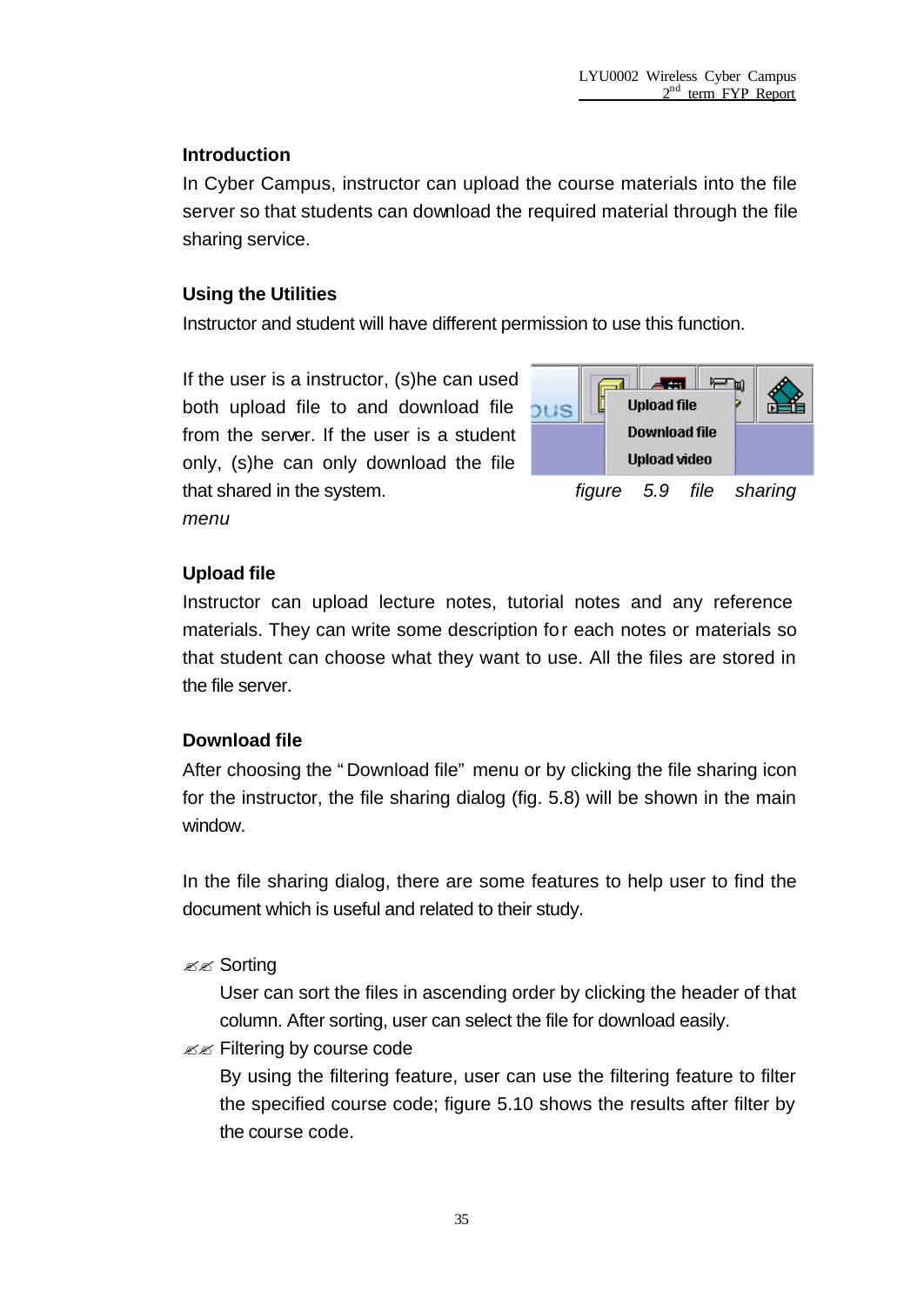#### **Introduction**

In Cyber Campus, instructor can upload the course materials into the file server so that students can download the required material through the file sharing service.

#### **Using the Utilities**

Instructor and student will have different permission to use this function.

If the user is a instructor, (s)he can used both upload file to and download file from the server. If the user is a student only, (s)he can only download the file that shared in the system. *figure 5.9 file sharing menu*



#### **Upload file**

Instructor can upload lecture notes, tutorial notes and any reference materials. They can write some description for each notes or materials so that student can choose what they want to use. All the files are stored in the file server.

#### **Download file**

After choosing the "Download file" menu or by clicking the file sharing icon for the instructor, the file sharing dialog (fig. 5.8) will be shown in the main window.

In the file sharing dialog, there are some features to help user to find the document which is useful and related to their study.

**E** Sorting

User can sort the files in ascending order by clicking the header of that column. After sorting, user can select the file for download easily.

 $\mathscr{B} \mathscr{B}$  Filtering by course code

By using the filtering feature, user can use the filtering feature to filter the specified course code; figure 5.10 shows the results after filter by the course code.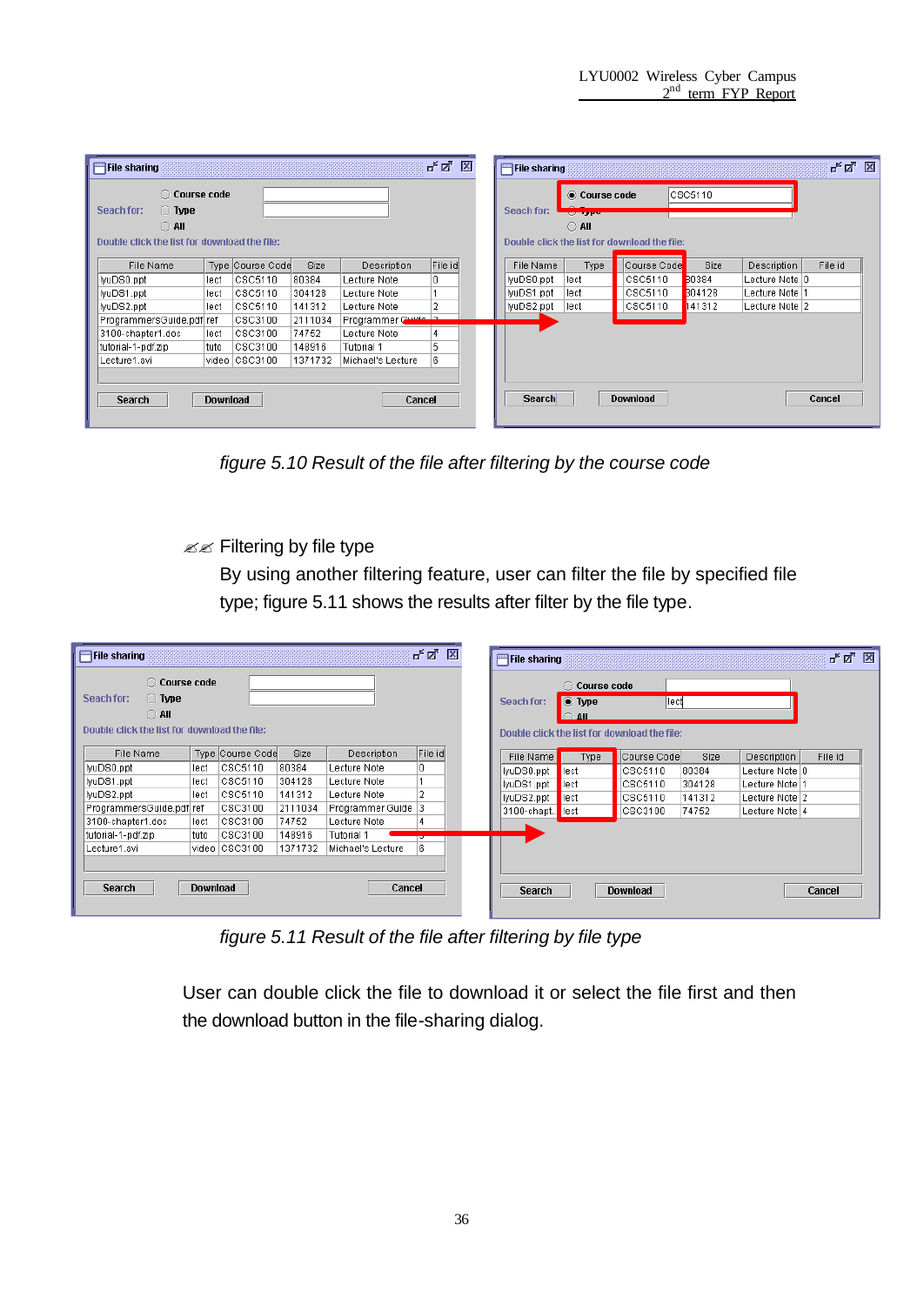| $\bigcirc$ Course code<br>$ {\cos 6110}$<br>Course code<br>$\bigcirc$ Type<br>Seach for:<br>Seach for:<br><b>Service State</b><br>$\bigcirc$ all<br>$\bigcirc$ aii<br>Double click the list for download the file:<br>Double click the list for download the file:<br>File id<br>Course Code<br>Type Course Code<br>Size<br>Size<br>File Name<br>Type<br>File Name<br>Description<br>Description<br>۱o<br>CSC5110<br>30384<br>lyuDS0.ppt<br> CSC5110 <br>80384<br>lyuDS0.ppt<br>lect<br>Lecture Note   0<br>lect<br>Lecture Note<br>CSC5110<br>llyuDS1.ppt<br>304128<br>CSC5110<br>304128<br>Lecture Note   1<br>lyuDS1.ppt<br>Lecture Note<br>lect<br>lect<br>CSC5110<br>lyuDS2.ppt<br>141312<br>CSC5110<br>Lecture Note 2<br>lect<br>141312<br>lect<br>lyuDS2.ppt<br>Lecture Note<br>Programmer Cuide<br>ProgrammersGuide.pdf ref<br>CSC3100<br>2111034<br>3100-chapter1.doc<br>Lecture Note<br>CSC3100<br>74752<br>lect<br>CSC3100<br>tutorial-1-pdf.zip<br>148916<br>Tutorial 1<br>tuto<br>video CSC3100<br>6.<br>1371732<br>Michael's Lecture<br>Lecture1.avi | ದ್. ದೃ<br>図<br>막의 図<br>$F =$ File sharing<br>File sharing |                 |  |  |        |  |               |  |                 |  |        |
|--------------------------------------------------------------------------------------------------------------------------------------------------------------------------------------------------------------------------------------------------------------------------------------------------------------------------------------------------------------------------------------------------------------------------------------------------------------------------------------------------------------------------------------------------------------------------------------------------------------------------------------------------------------------------------------------------------------------------------------------------------------------------------------------------------------------------------------------------------------------------------------------------------------------------------------------------------------------------------------------------------------------------------------------------------------------|-----------------------------------------------------------|-----------------|--|--|--------|--|---------------|--|-----------------|--|--------|
|                                                                                                                                                                                                                                                                                                                                                                                                                                                                                                                                                                                                                                                                                                                                                                                                                                                                                                                                                                                                                                                                    |                                                           |                 |  |  |        |  |               |  |                 |  |        |
| File id                                                                                                                                                                                                                                                                                                                                                                                                                                                                                                                                                                                                                                                                                                                                                                                                                                                                                                                                                                                                                                                            |                                                           |                 |  |  |        |  |               |  |                 |  |        |
|                                                                                                                                                                                                                                                                                                                                                                                                                                                                                                                                                                                                                                                                                                                                                                                                                                                                                                                                                                                                                                                                    |                                                           |                 |  |  |        |  |               |  |                 |  |        |
|                                                                                                                                                                                                                                                                                                                                                                                                                                                                                                                                                                                                                                                                                                                                                                                                                                                                                                                                                                                                                                                                    |                                                           |                 |  |  |        |  |               |  |                 |  |        |
|                                                                                                                                                                                                                                                                                                                                                                                                                                                                                                                                                                                                                                                                                                                                                                                                                                                                                                                                                                                                                                                                    |                                                           |                 |  |  |        |  |               |  |                 |  |        |
|                                                                                                                                                                                                                                                                                                                                                                                                                                                                                                                                                                                                                                                                                                                                                                                                                                                                                                                                                                                                                                                                    |                                                           |                 |  |  |        |  |               |  |                 |  |        |
|                                                                                                                                                                                                                                                                                                                                                                                                                                                                                                                                                                                                                                                                                                                                                                                                                                                                                                                                                                                                                                                                    |                                                           |                 |  |  |        |  |               |  |                 |  |        |
|                                                                                                                                                                                                                                                                                                                                                                                                                                                                                                                                                                                                                                                                                                                                                                                                                                                                                                                                                                                                                                                                    |                                                           |                 |  |  |        |  |               |  |                 |  |        |
|                                                                                                                                                                                                                                                                                                                                                                                                                                                                                                                                                                                                                                                                                                                                                                                                                                                                                                                                                                                                                                                                    |                                                           |                 |  |  |        |  |               |  |                 |  |        |
|                                                                                                                                                                                                                                                                                                                                                                                                                                                                                                                                                                                                                                                                                                                                                                                                                                                                                                                                                                                                                                                                    |                                                           |                 |  |  |        |  |               |  |                 |  |        |
|                                                                                                                                                                                                                                                                                                                                                                                                                                                                                                                                                                                                                                                                                                                                                                                                                                                                                                                                                                                                                                                                    |                                                           |                 |  |  |        |  |               |  |                 |  |        |
|                                                                                                                                                                                                                                                                                                                                                                                                                                                                                                                                                                                                                                                                                                                                                                                                                                                                                                                                                                                                                                                                    | <b>Search</b>                                             | <b>Download</b> |  |  | Cancel |  | <b>Search</b> |  | <b>Download</b> |  | Cancel |

*figure 5.10 Result of the file after filtering by the course code*

 $\mathbb{Z}$  Filtering by file type

By using another filtering feature, user can filter the file by specified file type; figure 5.11 shows the results after filter by the file type.

| File sharing                                                                                                     |                                                                  |                  |         |                    | 막 직<br>図       |  | File sharing |                                                    |                                                       |        |                  | <u>ជើធា នា</u> |  |
|------------------------------------------------------------------------------------------------------------------|------------------------------------------------------------------|------------------|---------|--------------------|----------------|--|--------------|----------------------------------------------------|-------------------------------------------------------|--------|------------------|----------------|--|
| ◯ Course code<br>Seach for:<br>$\bigcirc$ Type<br>$\bigcirc$ All<br>Double click the list for download the file: |                                                                  |                  |         |                    |                |  | Seach for:   | <b>Course code</b><br>$\bullet$ Type<br>$\cap$ all | llect<br>Double click the list for download the file: |        |                  |                |  |
| File Name                                                                                                        |                                                                  | Type Course Code | Size    | Description        | File id        |  | File Name    | <b>Type</b>                                        | Course Code                                           | Size   | Description      | File id        |  |
| lyuDS0.ppt                                                                                                       | llect                                                            | CSC5110          | 80384   | Lecture Note       | 0              |  | liyuDS0.ppt  | llect                                              | ICSC5110                                              | 80384  | Lecture Note   0 |                |  |
| lyuDS1.ppt                                                                                                       | llect                                                            | CSC5110          | 304128  | Lecture Note       |                |  | llyuDS1.ppt  | llect                                              | CSC5110                                               | 304128 | Lecture Note l1  |                |  |
| lyuDS2.ppt                                                                                                       | llect                                                            | CSC5110          | 141312  | Lecture Note       | $\overline{2}$ |  | llyuDS2.ppt  | llect                                              | $ $ ICSC5110                                          | 141312 | Lecture Note 2   |                |  |
| ProgrammersGuide.pdf ref                                                                                         |                                                                  | CSC3100          | 2111034 | Programmer Guide 3 |                |  | 3100-chapt   | lect                                               | $ $ CSC3100                                           | 74752  | Lecture Note 4   |                |  |
| 3100-chapter1.doc                                                                                                | llect                                                            | CSC3100          | 74752   | Lecture Note       |                |  |              |                                                    |                                                       |        |                  |                |  |
| tutorial-1-pdf.zip                                                                                               | tuto.                                                            | CSC3100          | 148916  | Tutorial 1         | ᢖ              |  |              |                                                    |                                                       |        |                  |                |  |
| Lecture1.avi                                                                                                     |                                                                  | video CSC3100    | 1371732 | Michael's Lecture  | 6              |  |              |                                                    |                                                       |        |                  |                |  |
| <b>Search</b>                                                                                                    | Download<br>Cancel<br><b>Download</b><br><b>Search</b><br>Cancel |                  |         |                    |                |  |              |                                                    |                                                       |        |                  |                |  |

*figure 5.11 Result of the file after filtering by file type*

User can double click the file to download it or select the file first and then the download button in the file-sharing dialog.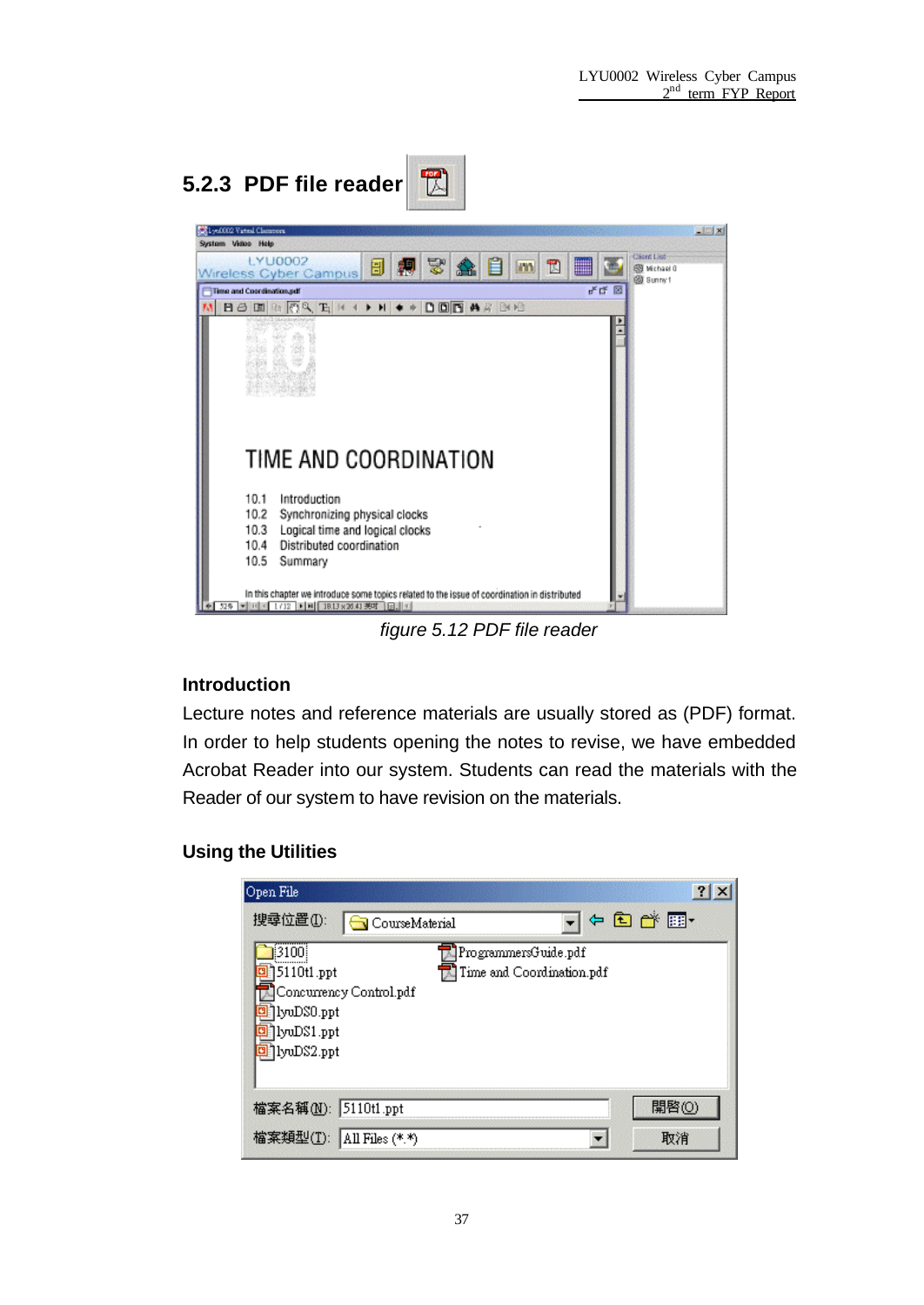

*figure 5.12 PDF file reader*

#### **Introduction**

Lecture notes and reference materials are usually stored as (PDF) format. In order to help students opening the notes to revise, we have embedded Acrobat Reader into our system. Students can read the materials with the Reader of our system to have revision on the materials.

#### **Using the Utilities**

| Open File                                                                                                                                        | $?$ $\times$ |
|--------------------------------------------------------------------------------------------------------------------------------------------------|--------------|
| 搜尋位置(I):<br><b>S</b> CourseMaterial                                                                                                              | 中国首都         |
| ₿3100)<br>ProgrammersGuide.pdf<br>Time and Coordination.pdf<br>5110t1.ppt<br>Concurrency Control.pdf<br>]lyuDS0.ppt<br>lyuDS1.ppt<br>]lyuDS2.ppt |              |
| 檔案名稱(N): 5110t1.ppt                                                                                                                              | 開啓(0)        |
| 檔案類型(T): All Files (*.*)                                                                                                                         | 取消           |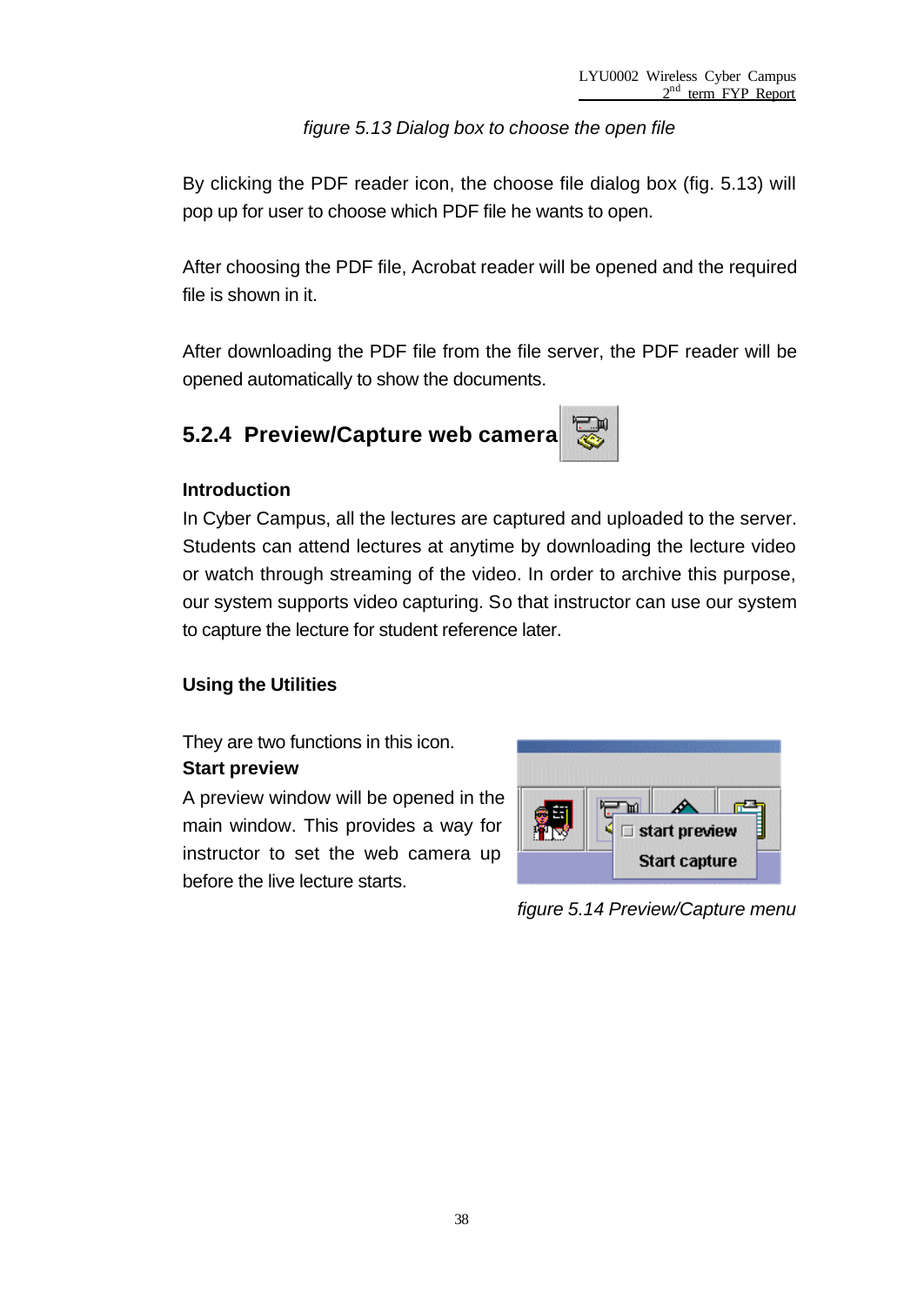*figure 5.13 Dialog box to choose the open file*

By clicking the PDF reader icon, the choose file dialog box (fig. 5.13) will pop up for user to choose which PDF file he wants to open.

After choosing the PDF file, Acrobat reader will be opened and the required file is shown in it.

After downloading the PDF file from the file server, the PDF reader will be opened automatically to show the documents.

## **5.2.4 Preview/Capture web camera**



#### **Introduction**

In Cyber Campus, all the lectures are captured and uploaded to the server. Students can attend lectures at anytime by downloading the lecture video or watch through streaming of the video. In order to archive this purpose, our system supports video capturing. So that instructor can use our system to capture the lecture for student reference later.

#### **Using the Utilities**

They are two functions in this icon.

#### **Start preview**

A preview window will be opened in the main window. This provides a way for instructor to set the web camera up before the live lecture starts.



*figure 5.14 Preview/Capture menu*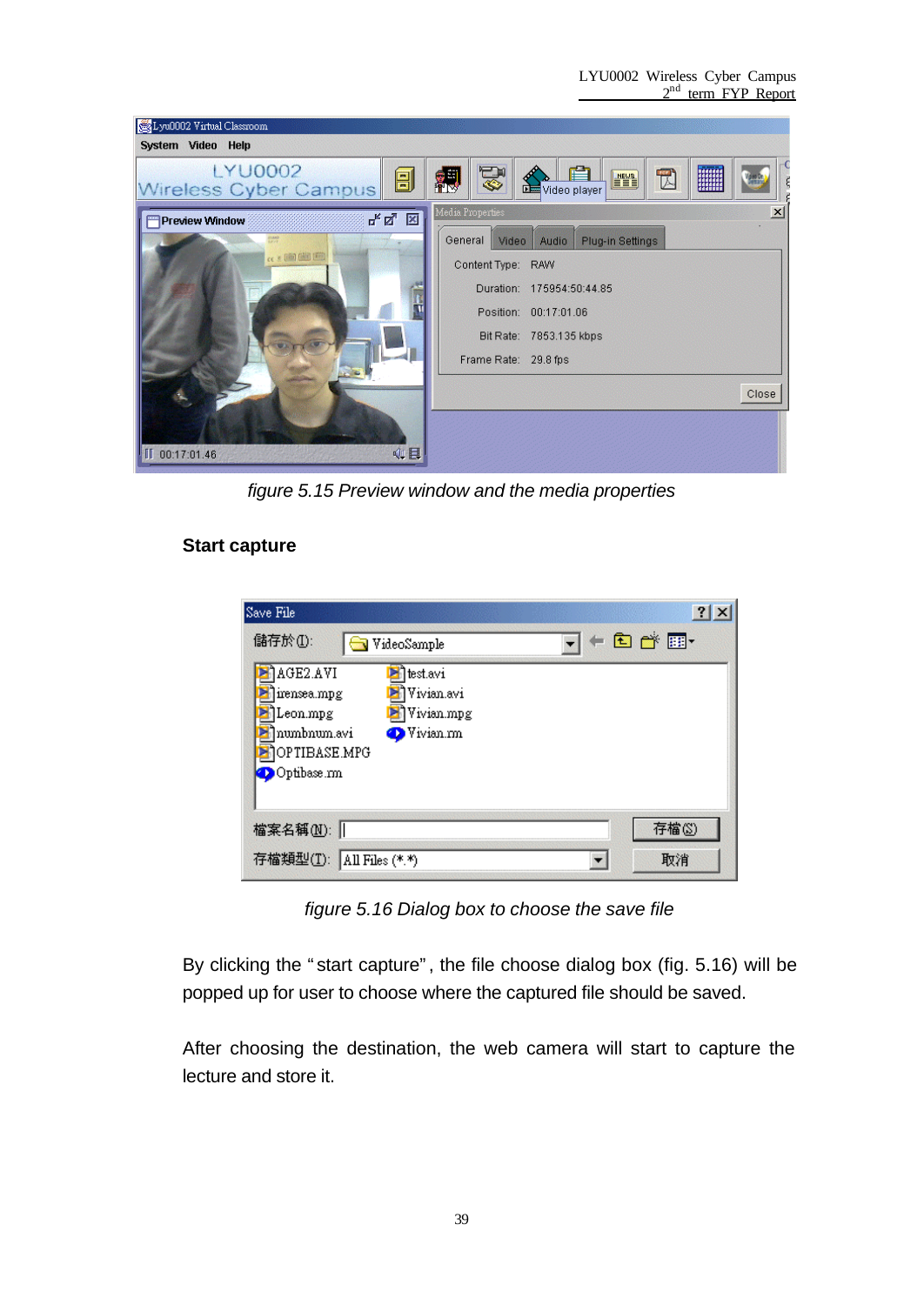

*figure 5.15 Preview window and the media properties*

#### **Start capture**

| Save File                                                                                                                                  |                     |
|--------------------------------------------------------------------------------------------------------------------------------------------|---------------------|
| 儲存於(I):<br>VideoSample                                                                                                                     | $+$ and $+$ and $+$ |
| AGE2.AVI<br>test.avi<br>j] Vivian.avi<br>lirensea.mpg<br>Vivian.mpg<br>Leon.mpg<br>numbnum.avi<br>Vivian.mn<br>OPTIBASE.MPG<br>Optibase.mn |                     |
| 檔案名稱(M):                                                                                                                                   | 存檔(S)               |
| 存檔類型(T):<br>All Files $(*,*)$                                                                                                              | 取消                  |

*figure 5.16 Dialog box to choose the save file*

By clicking the "start capture", the file choose dialog box (fig. 5.16) will be popped up for user to choose where the captured file should be saved.

After choosing the destination, the web camera will start to capture the lecture and store it.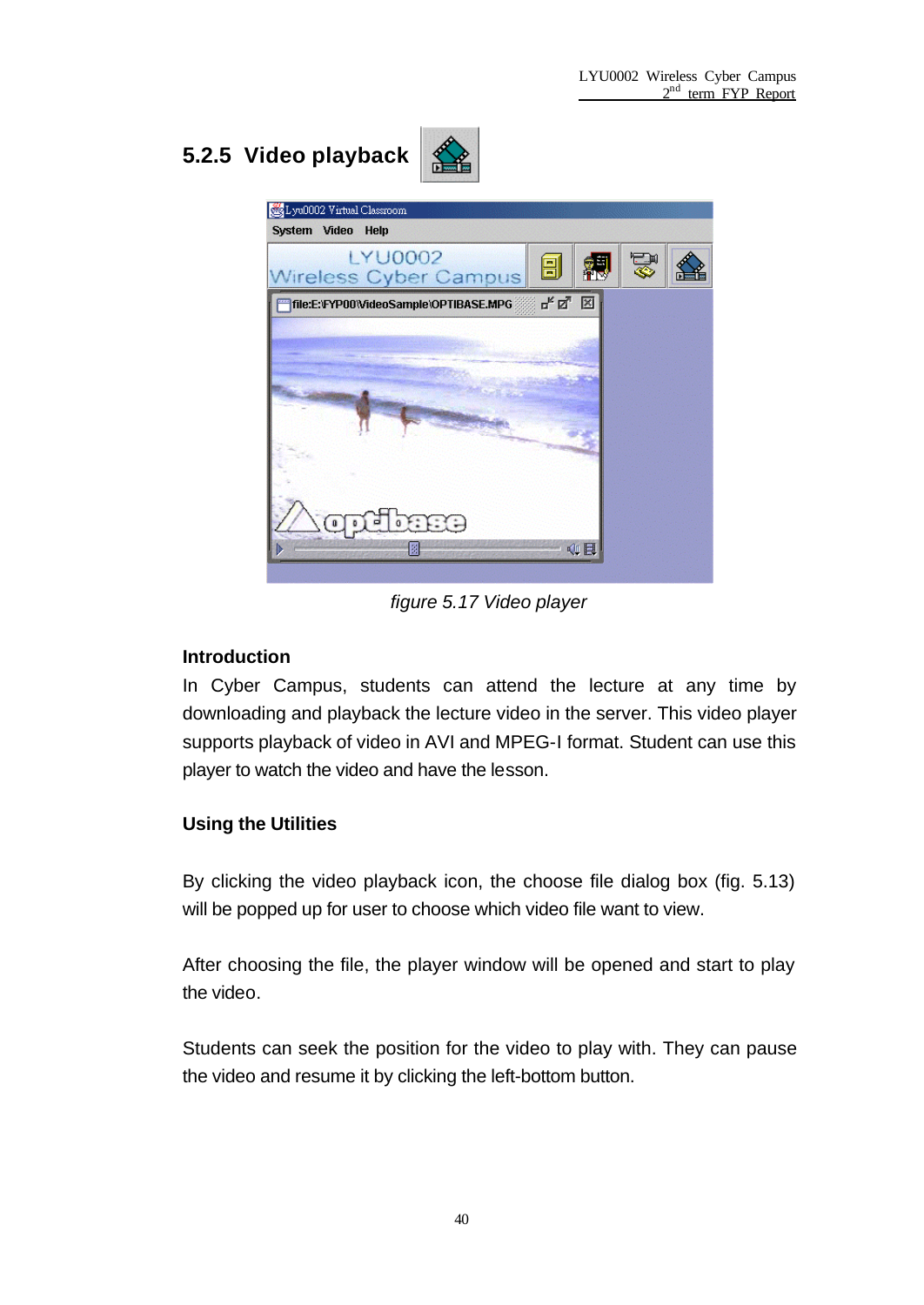## **5.2.5 Video playback**





*figure 5.17 Video player*

#### **Introduction**

In Cyber Campus, students can attend the lecture at any time by downloading and playback the lecture video in the server. This video player supports playback of video in AVI and MPEG-I format. Student can use this player to watch the video and have the lesson.

#### **Using the Utilities**

By clicking the video playback icon, the choose file dialog box (fig. 5.13) will be popped up for user to choose which video file want to view.

After choosing the file, the player window will be opened and start to play the video.

Students can seek the position for the video to play with. They can pause the video and resume it by clicking the left-bottom button.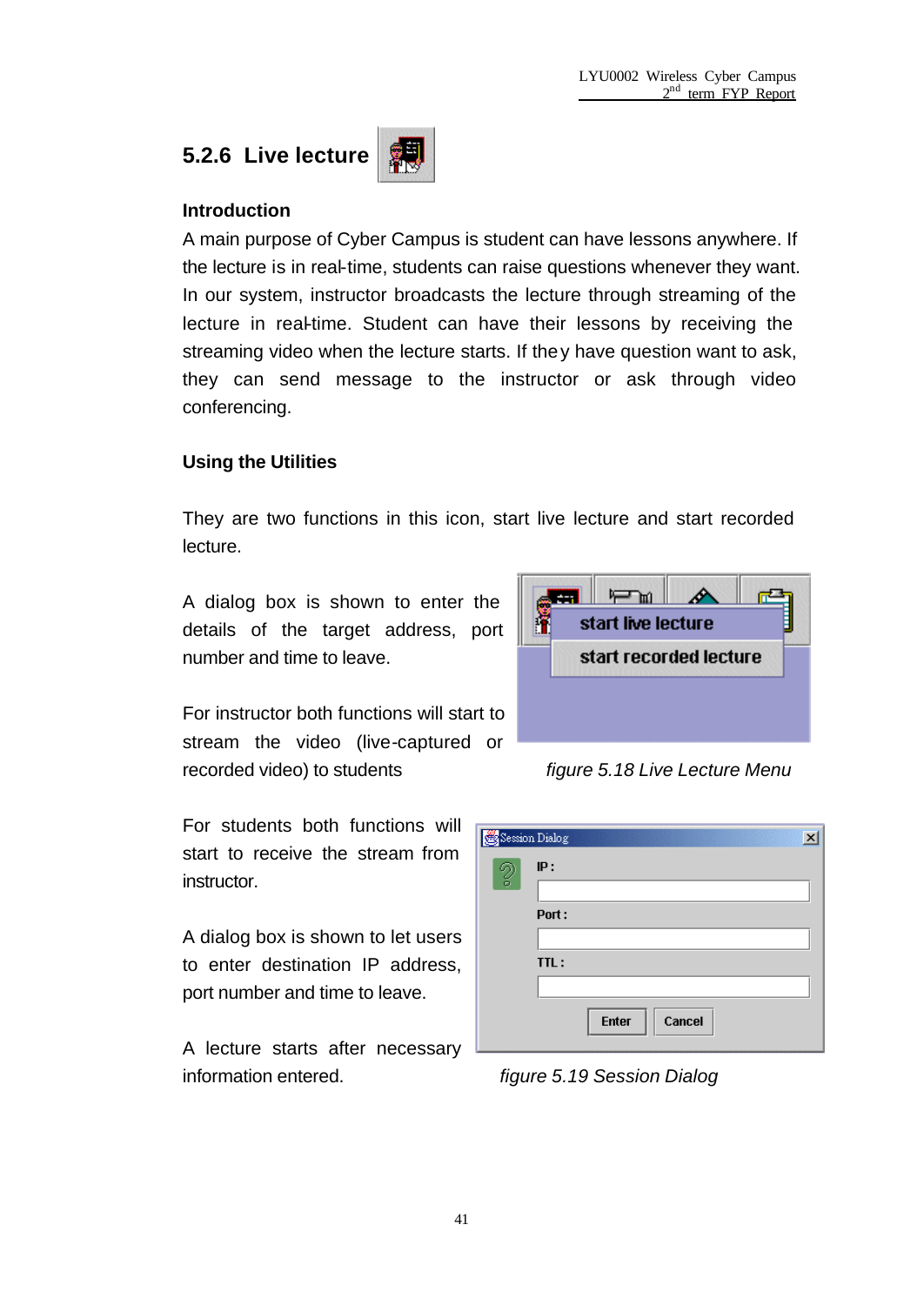## **5.2.6 Live lecture**



#### **Introduction**

A main purpose of Cyber Campus is student can have lessons anywhere. If the lecture is in real-time, students can raise questions whenever they want. In our system, instructor broadcasts the lecture through streaming of the lecture in real-time. Student can have their lessons by receiving the streaming video when the lecture starts. If they have question want to ask, they can send message to the instructor or ask through video conferencing.

#### **Using the Utilities**

They are two functions in this icon, start live lecture and start recorded lecture.

A dialog box is shown to enter the details of the target address, port number and time to leave.

For instructor both functions will start to stream the video (live-captured or recorded video) to students *figure 5.18 Live Lecture Menu*

For students both functions will start to receive the stream from instructor.

A dialog box is shown to let users to enter destination IP address, port number and time to leave.

A lecture starts after necessary information entered. *figure 5.19 Session Dialog*

|                        |  | start live lecture |  |  |  |  |  |  |
|------------------------|--|--------------------|--|--|--|--|--|--|
| start recorded lecture |  |                    |  |  |  |  |  |  |
|                        |  |                    |  |  |  |  |  |  |
|                        |  |                    |  |  |  |  |  |  |
|                        |  |                    |  |  |  |  |  |  |

| Session Dialog | $\vert x \vert$        |
|----------------|------------------------|
| Ø,             | IP:                    |
|                |                        |
|                | Port:                  |
|                |                        |
|                | TTL:                   |
|                |                        |
|                | <b>Enter</b><br>Cancel |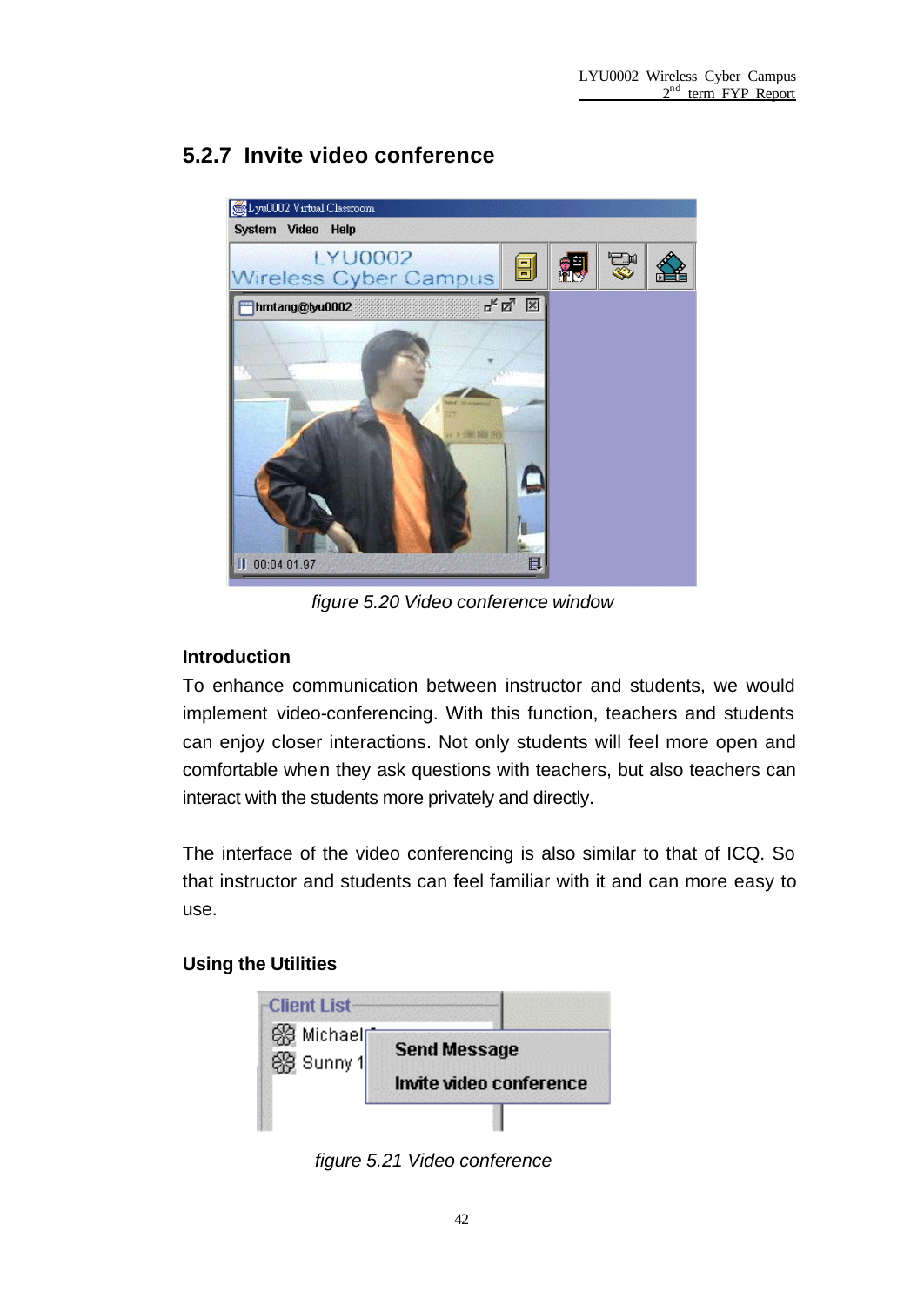## **5.2.7 Invite video conference**



*figure 5.20 Video conference window*

#### **Introduction**

To enhance communication between instructor and students, we would implement video-conferencing. With this function, teachers and students can enjoy closer interactions. Not only students will feel more open and comfortable when they ask questions with teachers, but also teachers can interact with the students more privately and directly.

The interface of the video conferencing is also similar to that of ICQ. So that instructor and students can feel familiar with it and can more easy to use.

#### **Using the Utilities**



*figure 5.21 Video conference*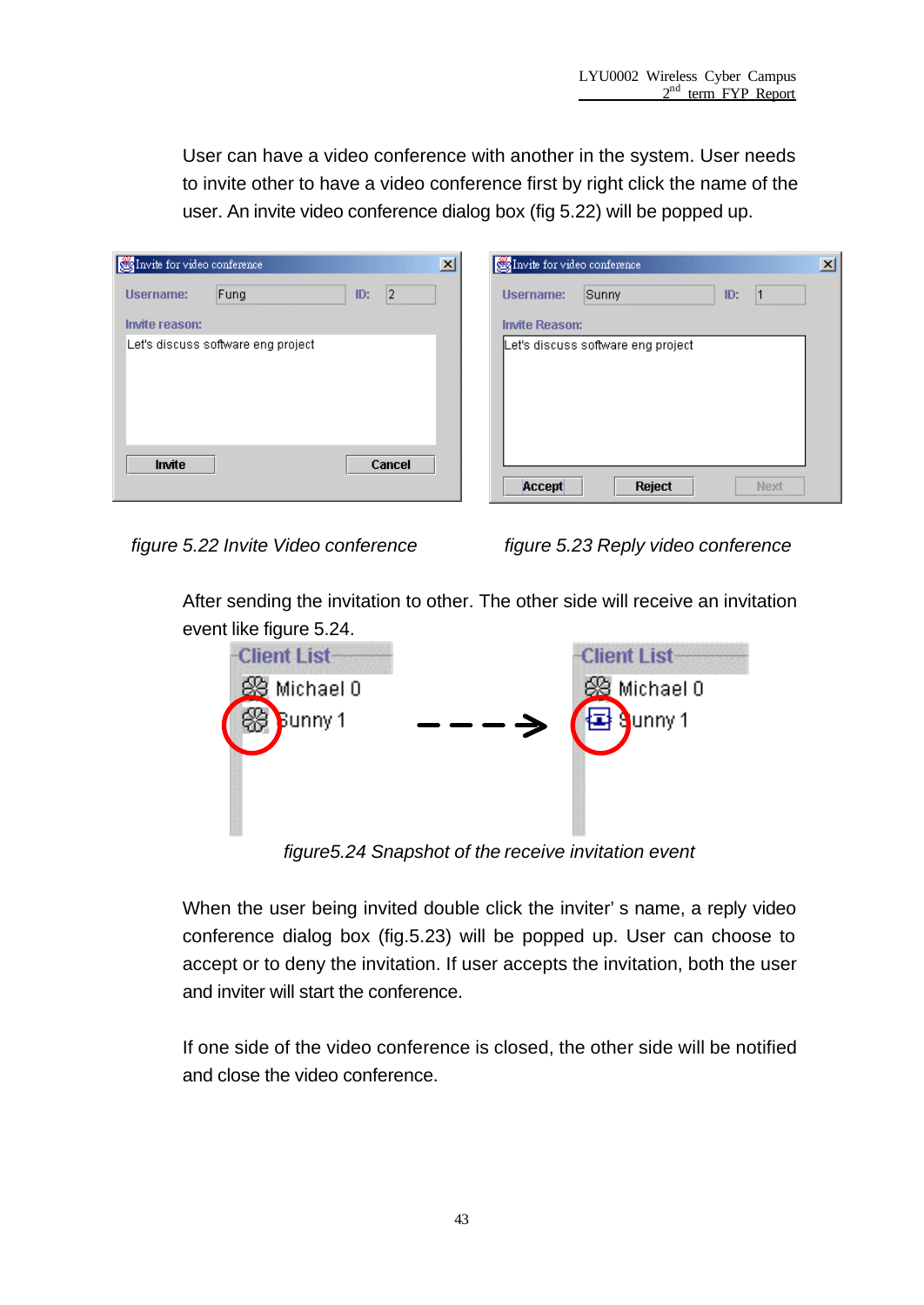User can have a video conference with another in the system. User needs to invite other to have a video conference first by right click the name of the user. An invite video conference dialog box (fig 5.22) will be popped up.

| Invite for video conference |                                    |           | $\overline{\mathbf{x}}$ | Invite for video conference |                                    |     |      | $\vert x \vert$ |
|-----------------------------|------------------------------------|-----------|-------------------------|-----------------------------|------------------------------------|-----|------|-----------------|
| <b>Username:</b>            | Fung                               | 12<br>ID: |                         | <b>Username:</b>            | Sunny                              | ID: |      |                 |
| Invite reason:              |                                    |           |                         | <b>Invite Reason:</b>       |                                    |     |      |                 |
|                             | Let's discuss software eng project |           |                         |                             | Let's discuss software eng project |     |      |                 |
| Invite                      |                                    | Cancel    |                         | Accept                      | Reject                             |     | Next |                 |

*figure 5.22 Invite Video conference figure 5.23 Reply video conference*

After sending the invitation to other. The other side will receive an invitation event like figure 5.24.



*figure5.24 Snapshot of the receive invitation event*

When the user being invited double click the inviter's name, a reply video conference dialog box (fig.5.23) will be popped up. User can choose to accept or to deny the invitation. If user accepts the invitation, both the user and inviter will start the conference.

If one side of the video conference is closed, the other side will be notified and close the video conference.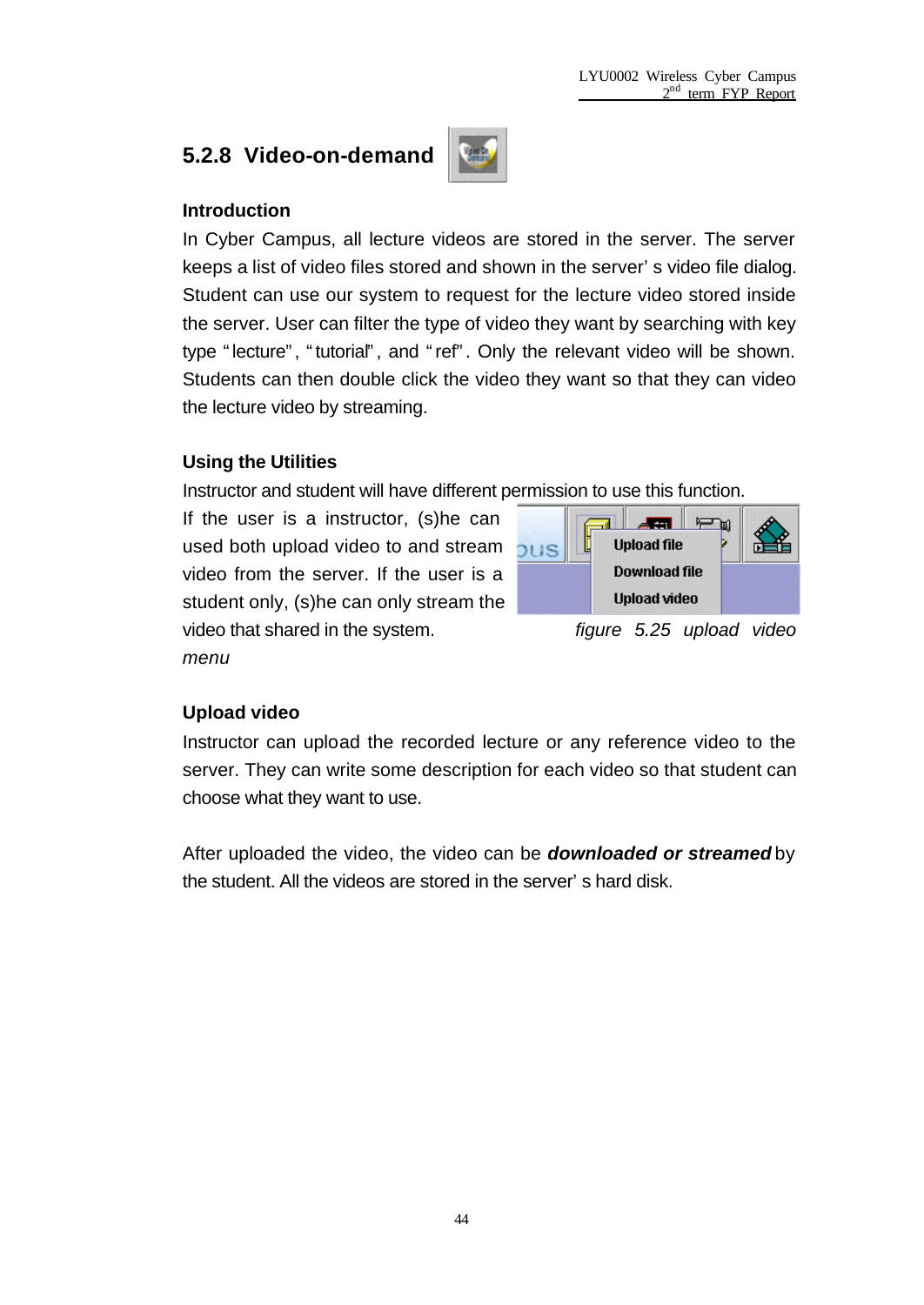### **5.2.8 Video-on-demand**



#### **Introduction**

In Cyber Campus, all lecture videos are stored in the server. The server keeps a list of video files stored and shown in the server's video file dialog. Student can use our system to request for the lecture video stored inside the server. User can filter the type of video they want by searching with key type "lecture", "tutorial", and "ref". Only the relevant video will be shown. Students can then double click the video they want so that they can video the lecture video by streaming.

#### **Using the Utilities**

Instructor and student will have different permission to use this function.

If the user is a instructor, (s)he can used both upload video to and stream video from the server. If the user is a student only, (s)he can only stream the video that shared in the system. *figure 5.25 upload video menu*



# **Upload video**

Instructor can upload the recorded lecture or any reference video to the server. They can write some description for each video so that student can choose what they want to use.

After uploaded the video, the video can be *downloaded or streamed* by the student. All the videos are stored in the server's hard disk.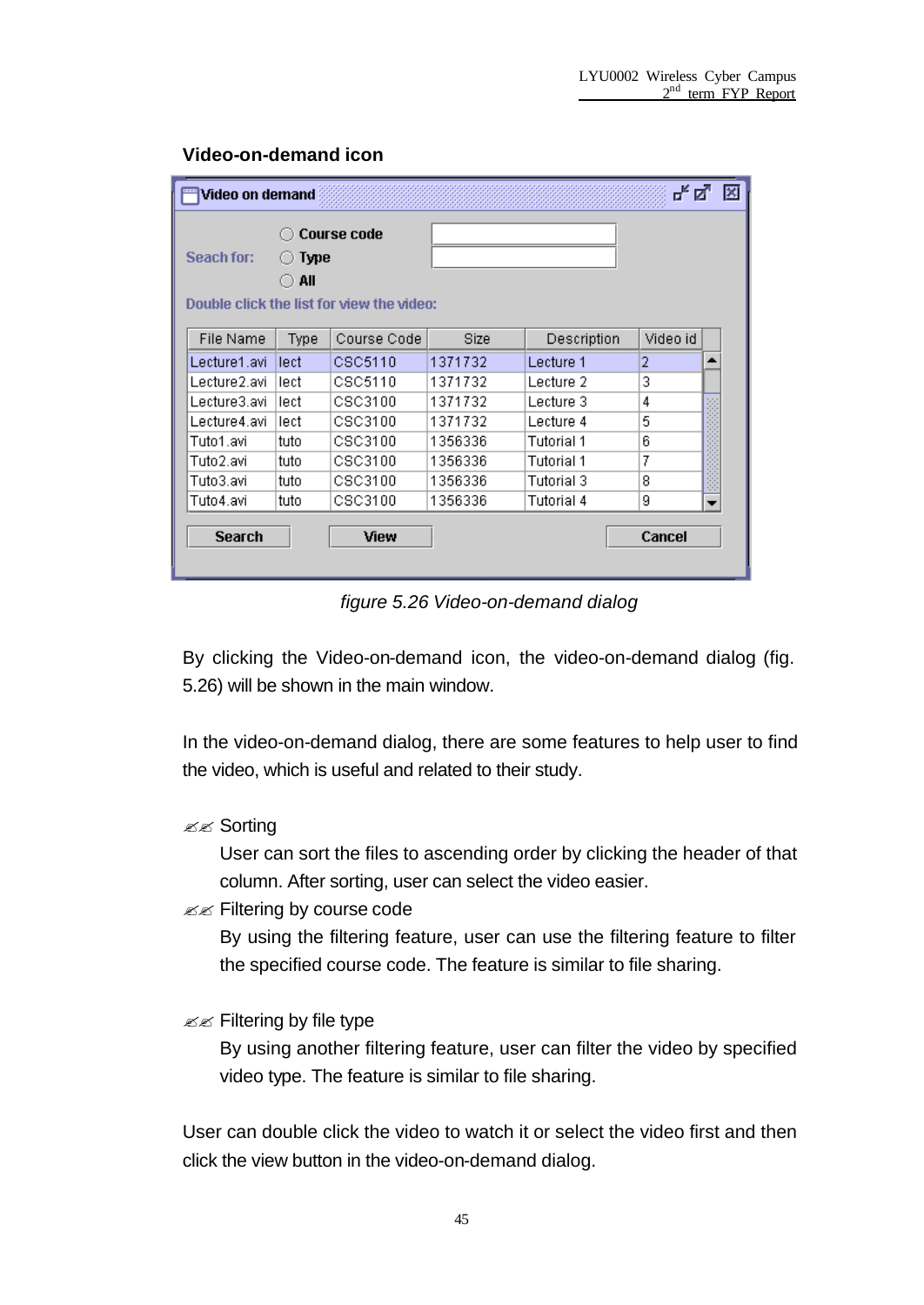#### **Video-on-demand icon**

| ದ್.⊠<br>×<br>Video on demand                    |      |             |             |             |          |                          |  |  |
|-------------------------------------------------|------|-------------|-------------|-------------|----------|--------------------------|--|--|
| <b>Course code</b><br>Seach for:<br>Type<br>All |      |             |             |             |          |                          |  |  |
| Double click the list for view the video:       |      |             |             |             |          |                          |  |  |
| <b>File Name</b>                                | Type | Course Code | <b>Size</b> | Description | Video id |                          |  |  |
| Lecture1.avi                                    | lect | CSC5110     | 1371732     | Lecture 1   | 2        |                          |  |  |
| Lecture2.avi                                    | lect | CSC5110     | 1371732     | Lecture 2   | 3        |                          |  |  |
| Lecture3.avi                                    | lect | CSC3100     | 1371732     | Lecture 3   | 4        |                          |  |  |
| Lecture4.avi                                    | lect | CSC3100     | 1371732     | Lecture 4   | 5        |                          |  |  |
| Tuto1.avi                                       | tuto | CSC3100     | 1356336     | Tutorial 1  | 6        |                          |  |  |
| Tuto2.avi                                       | tuto | CSC3100     | 1356336     | Tutorial 1  | 7        |                          |  |  |
| Tuto3.avi                                       | tuto | CSC3100     | 1356336     | Tutorial 3  | 8        |                          |  |  |
| Tuto4.avi                                       | tuto | CSC3100     | 1356336     | Tutorial 4  | 9        | $\overline{\phantom{a}}$ |  |  |
| <b>Search</b>                                   |      | View        |             |             | Cancel   |                          |  |  |

*figure 5.26 Video-on-demand dialog*

By clicking the Video-on-demand icon, the video-on-demand dialog (fig. 5.26) will be shown in the main window.

In the video-on-demand dialog, there are some features to help user to find the video, which is useful and related to their study.

#### **E** Sorting

User can sort the files to ascending order by clicking the header of that column. After sorting, user can select the video easier.

 $\mathscr{L}$  Filtering by course code

By using the filtering feature, user can use the filtering feature to filter the specified course code. The feature is similar to file sharing.

 $\mathscr{L}$  Filtering by file type

By using another filtering feature, user can filter the video by specified video type. The feature is similar to file sharing.

User can double click the video to watch it or select the video first and then click the view button in the video-on-demand dialog.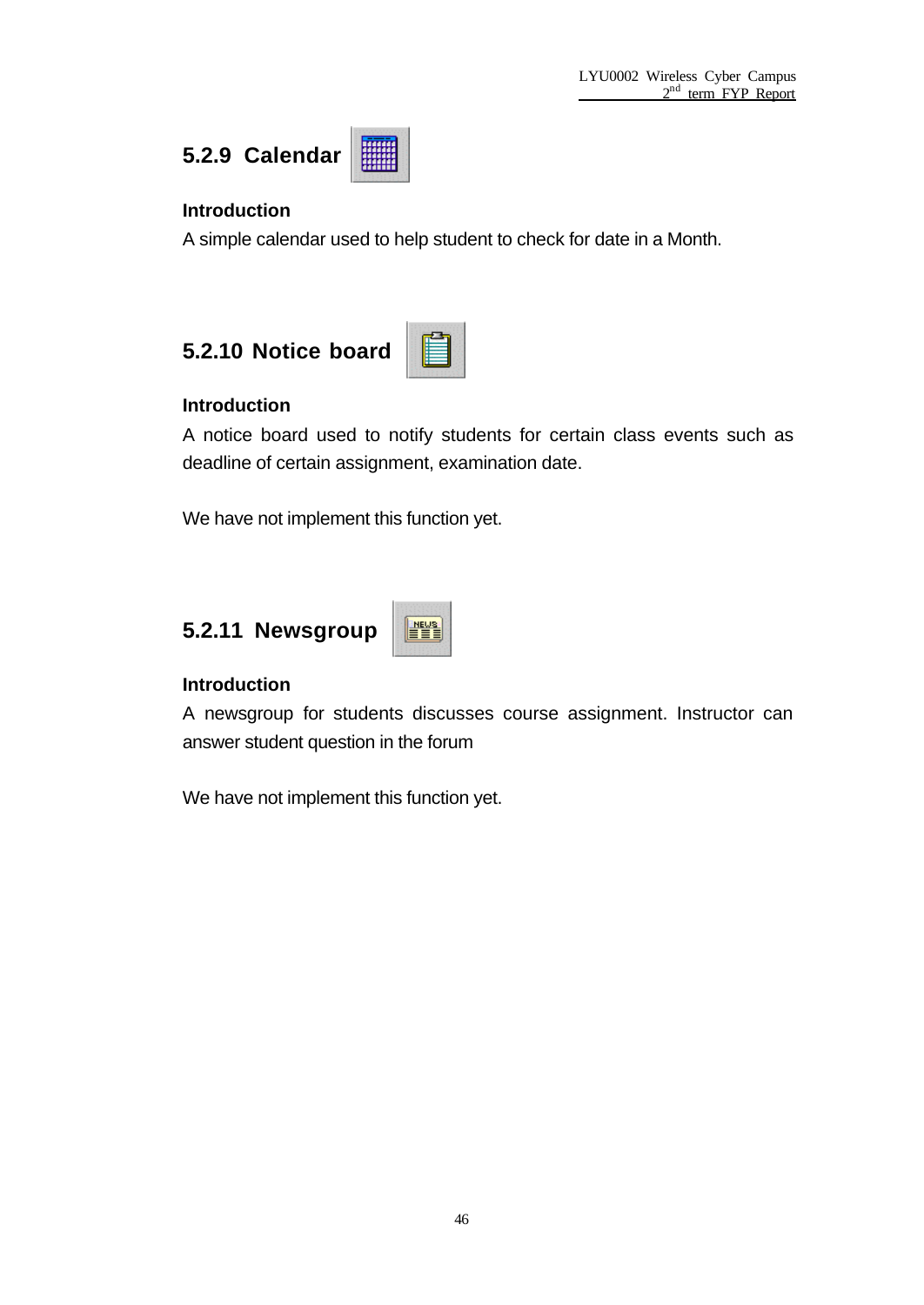

#### **Introduction**

A simple calendar used to help student to check for date in a Month.





#### **Introduction**

A notice board used to notify students for certain class events such as deadline of certain assignment, examination date.

We have not implement this function yet.

## **5.2.11 Newsgroup**



#### **Introduction**

A newsgroup for students discusses course assignment. Instructor can answer student question in the forum

We have not implement this function yet.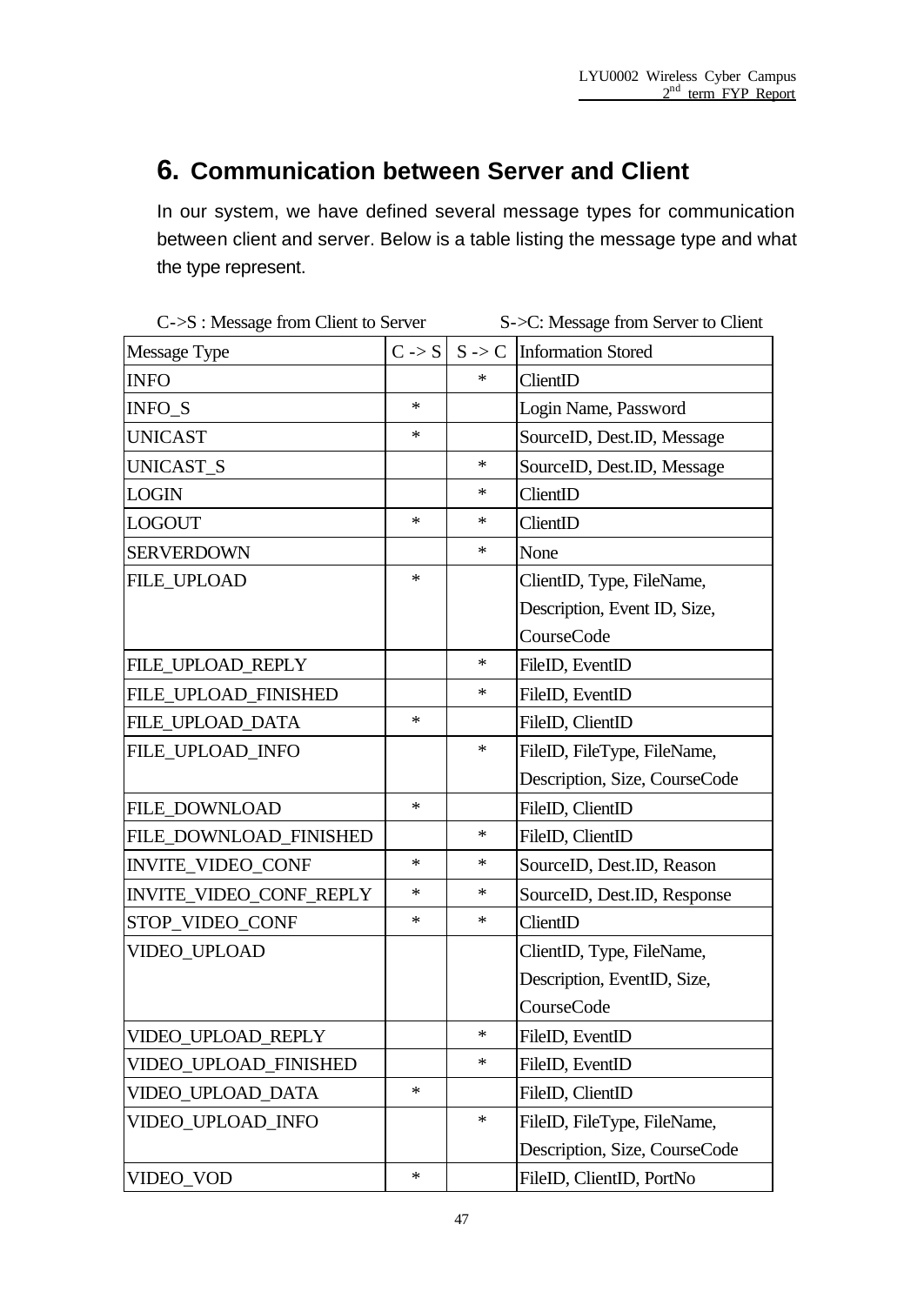# **6. Communication between Server and Client**

In our system, we have defined several message types for communication between client and server. Below is a table listing the message type and what the type represent.

| $C\rightarrow S$ : Message from Client to Server |                   | S->C: Message from Server to Client |                                      |  |
|--------------------------------------------------|-------------------|-------------------------------------|--------------------------------------|--|
| Message Type                                     | $C \rightarrow S$ |                                     | $S \rightarrow C$ Information Stored |  |
| <b>INFO</b>                                      |                   | $\ast$                              | ClientID                             |  |
| INFO_S                                           | *                 |                                     | Login Name, Password                 |  |
| <b>UNICAST</b>                                   | *                 |                                     | SourceID, Dest.ID, Message           |  |
| UNICAST_S                                        |                   | $\ast$                              | SourceID, Dest.ID, Message           |  |
| <b>LOGIN</b>                                     |                   | ∗                                   | ClientID                             |  |
| <b>LOGOUT</b>                                    | $\ast$            | ∗                                   | ClientID                             |  |
| <b>SERVERDOWN</b>                                |                   | $\ast$                              | None                                 |  |
| <b>FILE_UPLOAD</b>                               | *                 |                                     | ClientID, Type, FileName,            |  |
|                                                  |                   |                                     | Description, Event ID, Size,         |  |
|                                                  |                   |                                     | CourseCode                           |  |
| FILE_UPLOAD_REPLY                                |                   | $\ast$                              | FileID, EventID                      |  |
| FILE_UPLOAD_FINISHED                             |                   | ∗                                   | FileID, EventID                      |  |
| FILE_UPLOAD_DATA                                 | *                 |                                     | FileID, ClientID                     |  |
| FILE_UPLOAD_INFO                                 |                   | ∗                                   | FileID, FileType, FileName,          |  |
|                                                  |                   |                                     | Description, Size, CourseCode        |  |
| FILE_DOWNLOAD                                    | *                 |                                     | FileID, ClientID                     |  |
| FILE_DOWNLOAD_FINISHED                           |                   | ∗                                   | FileID, ClientID                     |  |
| <b>INVITE_VIDEO_CONF</b>                         | *                 | ∗                                   | SourceID, Dest.ID, Reason            |  |
| INVITE_VIDEO_CONF_REPLY                          | *                 | $\ast$                              | SourceID, Dest.ID, Response          |  |
| STOP_VIDEO_CONF                                  | *                 | $\ast$                              | ClientID                             |  |
| VIDEO_UPLOAD                                     |                   |                                     | ClientID, Type, FileName,            |  |
|                                                  |                   |                                     | Description, EventID, Size,          |  |
|                                                  |                   |                                     | CourseCode                           |  |
| VIDEO_UPLOAD_REPLY                               |                   | $\ast$                              | FileID, EventID                      |  |
| VIDEO_UPLOAD_FINISHED                            |                   | $\ast$                              | FileID, EventID                      |  |
| VIDEO_UPLOAD_DATA                                | *                 |                                     | FileID, ClientID                     |  |
| VIDEO_UPLOAD_INFO                                |                   | $\ast$                              | FileID, FileType, FileName,          |  |
|                                                  |                   |                                     | Description, Size, CourseCode        |  |
| VIDEO_VOD                                        | *                 |                                     | FileID, ClientID, PortNo             |  |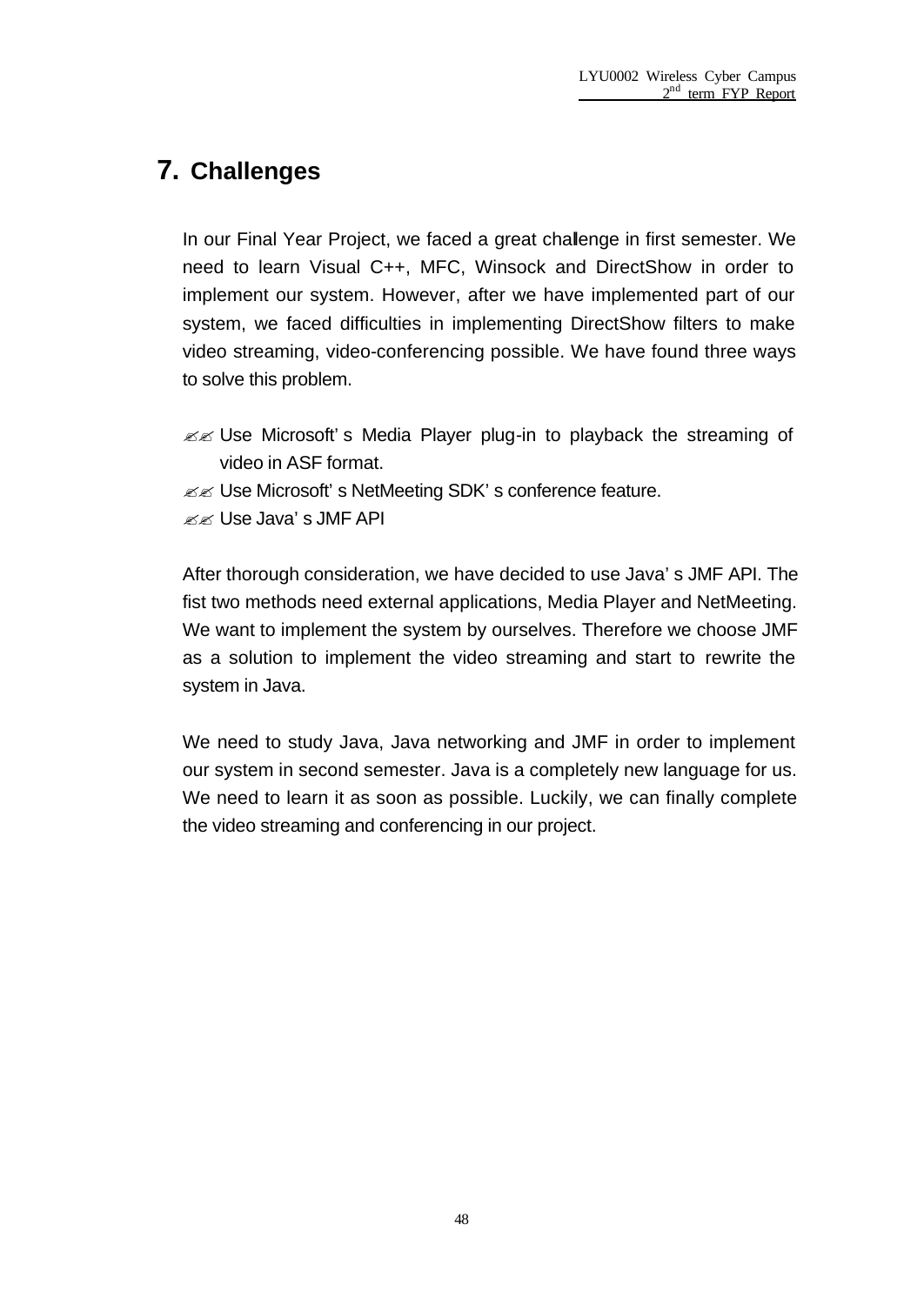## **7. Challenges**

In our Final Year Project, we faced a great challenge in first semester. We need to learn Visual C++, MFC, Winsock and DirectShow in order to implement our system. However, after we have implemented part of our system, we faced difficulties in implementing DirectShow filters to make video streaming, video-conferencing possible. We have found three ways to solve this problem.

- $\mathbb{Z}$  Use Microsoft's Media Player plug-in to playback the streaming of video in ASF format.
- **EE** Use Microsoft's NetMeeting SDK's conference feature.
- $\mathbb{Z}$  $\mathbb{Z}$  Use Java's JMF API

After thorough consideration, we have decided to use Java's JMF API. The fist two methods need external applications, Media Player and NetMeeting. We want to implement the system by ourselves. Therefore we choose JMF as a solution to implement the video streaming and start to rewrite the system in Java.

We need to study Java, Java networking and JMF in order to implement our system in second semester. Java is a completely new language for us. We need to learn it as soon as possible. Luckily, we can finally complete the video streaming and conferencing in our project.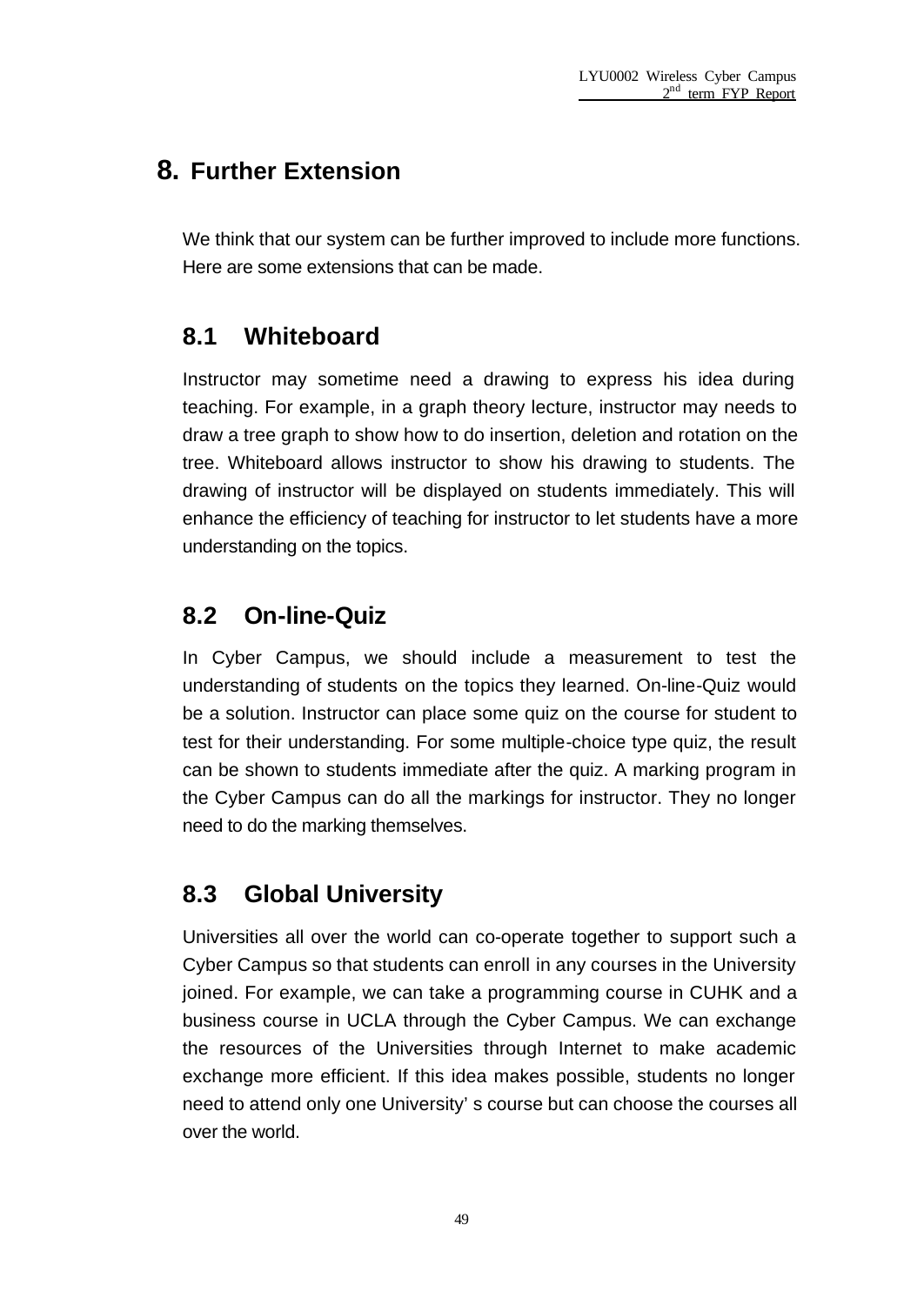## **8. Further Extension**

We think that our system can be further improved to include more functions. Here are some extensions that can be made.

## **8.1 Whiteboard**

Instructor may sometime need a drawing to express his idea during teaching. For example, in a graph theory lecture, instructor may needs to draw a tree graph to show how to do insertion, deletion and rotation on the tree. Whiteboard allows instructor to show his drawing to students. The drawing of instructor will be displayed on students immediately. This will enhance the efficiency of teaching for instructor to let students have a more understanding on the topics.

## **8.2 On-line-Quiz**

In Cyber Campus, we should include a measurement to test the understanding of students on the topics they learned. On-line-Quiz would be a solution. Instructor can place some quiz on the course for student to test for their understanding. For some multiple-choice type quiz, the result can be shown to students immediate after the quiz. A marking program in the Cyber Campus can do all the markings for instructor. They no longer need to do the marking themselves.

## **8.3 Global University**

Universities all over the world can co-operate together to support such a Cyber Campus so that students can enroll in any courses in the University joined. For example, we can take a programming course in CUHK and a business course in UCLA through the Cyber Campus. We can exchange the resources of the Universities through Internet to make academic exchange more efficient. If this idea makes possible, students no longer need to attend only one University's course but can choose the courses all over the world.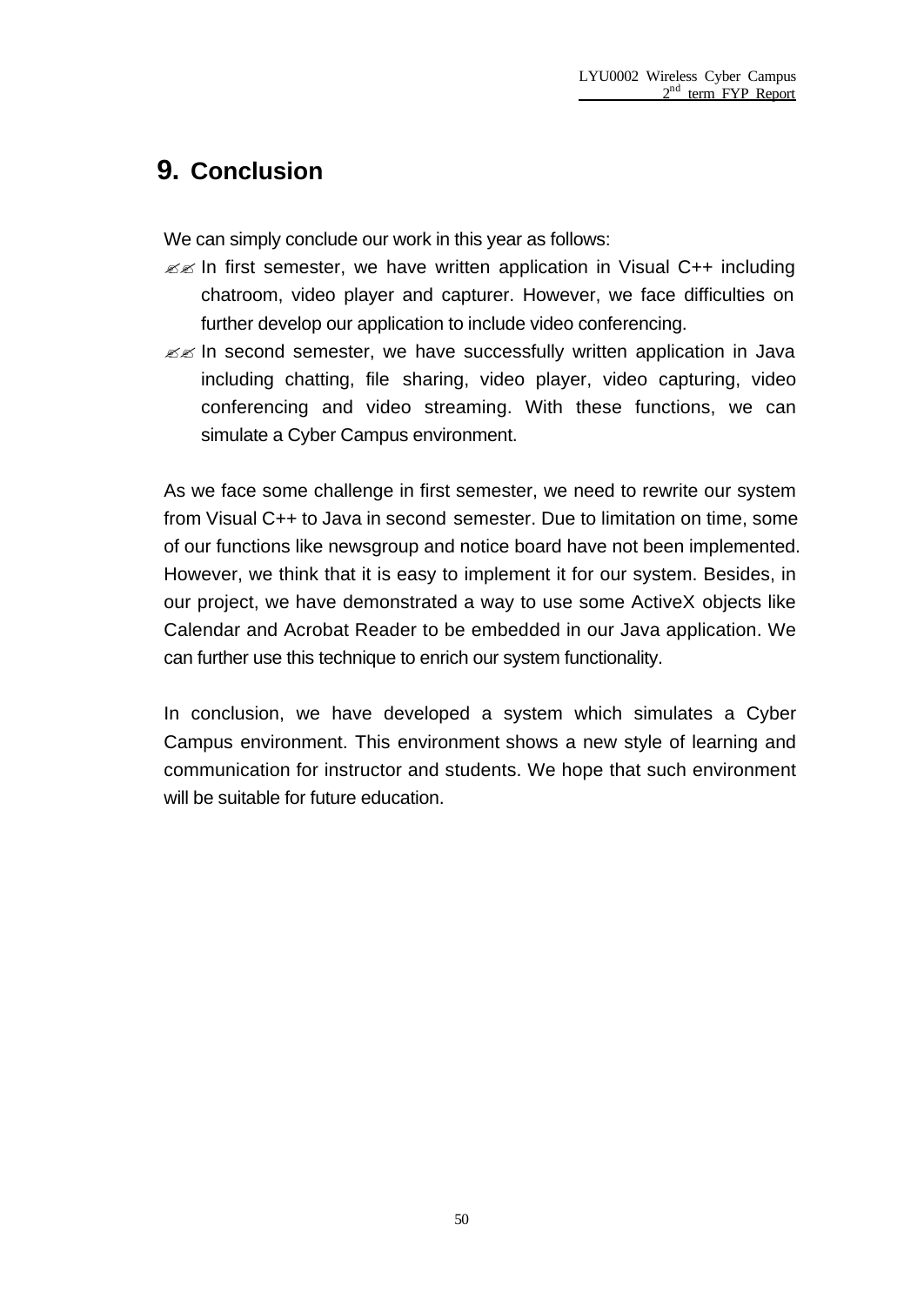## **9. Conclusion**

We can simply conclude our work in this year as follows:

- $\mathbb{Z}$  In first semester, we have written application in Visual C++ including chatroom, video player and capturer. However, we face difficulties on further develop our application to include video conferencing.
- $\mathbb{Z}$  In second semester, we have successfully written application in Java including chatting, file sharing, video player, video capturing, video conferencing and video streaming. With these functions, we can simulate a Cyber Campus environment.

As we face some challenge in first semester, we need to rewrite our system from Visual C++ to Java in second semester. Due to limitation on time, some of our functions like newsgroup and notice board have not been implemented. However, we think that it is easy to implement it for our system. Besides, in our project, we have demonstrated a way to use some ActiveX objects like Calendar and Acrobat Reader to be embedded in our Java application. We can further use this technique to enrich our system functionality.

In conclusion, we have developed a system which simulates a Cyber Campus environment. This environment shows a new style of learning and communication for instructor and students. We hope that such environment will be suitable for future education.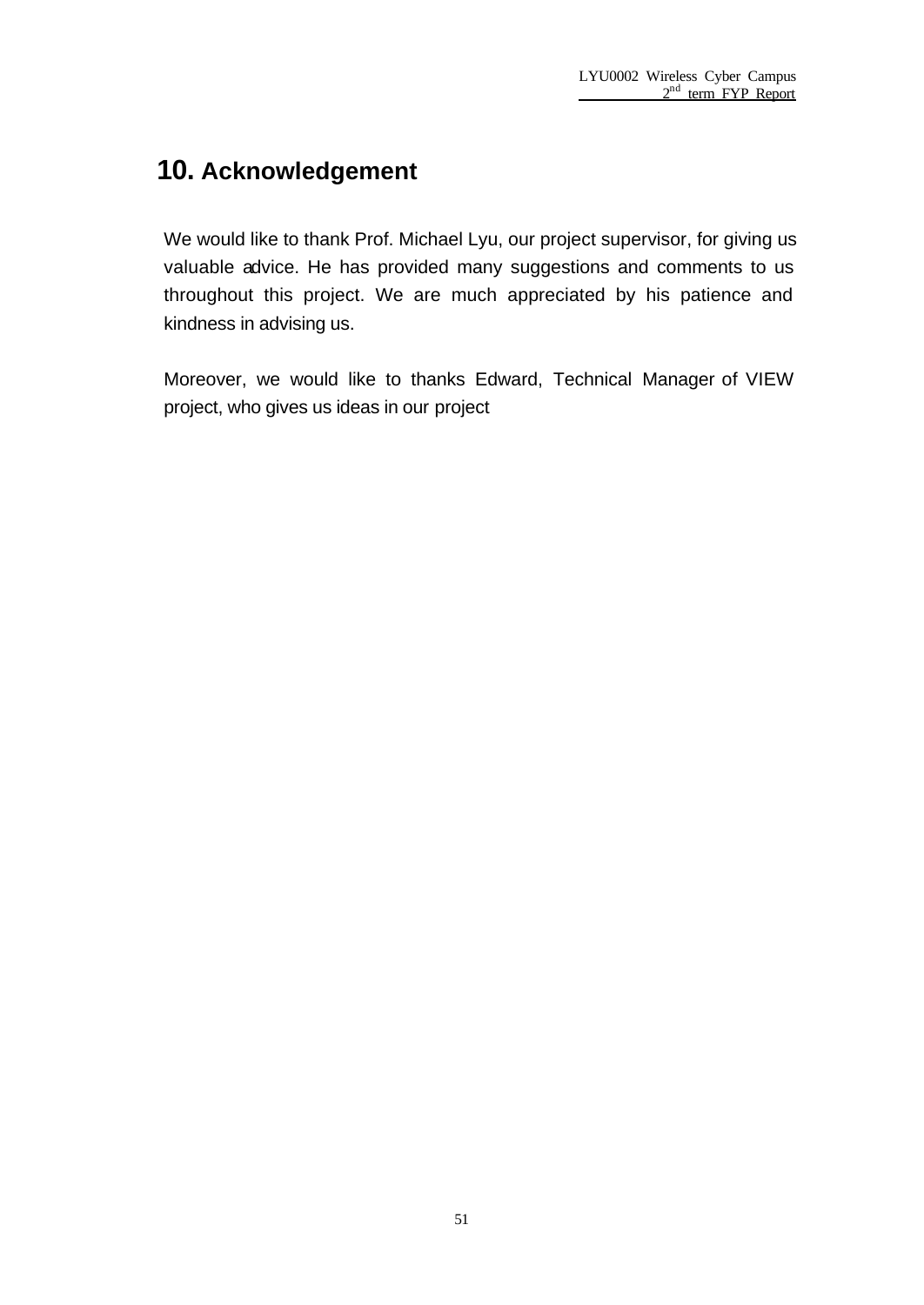## **10. Acknowledgement**

We would like to thank Prof. Michael Lyu, our project supervisor, for giving us valuable advice. He has provided many suggestions and comments to us throughout this project. We are much appreciated by his patience and kindness in advising us.

Moreover, we would like to thanks Edward, Technical Manager of VIEW project, who gives us ideas in our project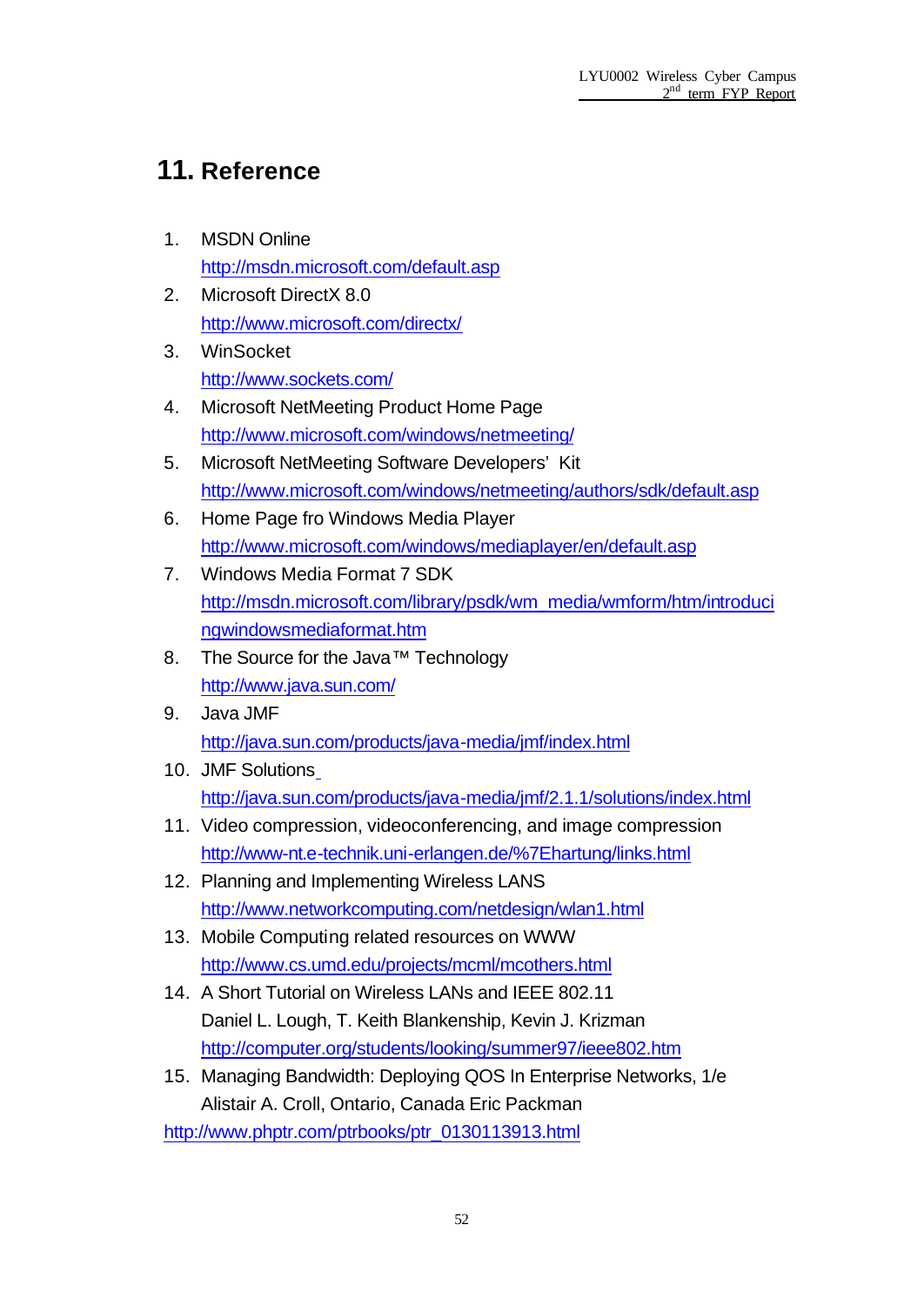## **11. Reference**

- 1. MSDN Online http://msdn.microsoft.com/default.asp
- 2. Microsoft DirectX 8.0 http://www.microsoft.com/directx/
- 3. WinSocket http://www.sockets.com/
- 4. Microsoft NetMeeting Product Home Page http://www.microsoft.com/windows/netmeeting/
- 5. Microsoft NetMeeting Software Developers' Kit http://www.microsoft.com/windows/netmeeting/authors/sdk/default.asp
- 6. Home Page fro Windows Media Player http://www.microsoft.com/windows/mediaplayer/en/default.asp
- 7. Windows Media Format 7 SDK http://msdn.microsoft.com/library/psdk/wm\_media/wmform/htm/introduci ngwindowsmediaformat.htm
- 8. The Source for the Java™ Technology http://www.java.sun.com/
- 9. Java JMF http://java.sun.com/products/java-media/jmf/index.html
- 10. JMF Solutions http://java.sun.com/products/java-media/jmf/2.1.1/solutions/index.html
- 11. Video compression, videoconferencing, and image compression http://www-nt.e-technik.uni-erlangen.de/%7Ehartung/links.html
- 12. Planning and Implementing Wireless LANS http://www.networkcomputing.com/netdesign/wlan1.html
- 13. Mobile Computing related resources on WWW http://www.cs.umd.edu/projects/mcml/mcothers.html
- 14. A Short Tutorial on Wireless LANs and IEEE 802.11 Daniel L. Lough, T. Keith Blankenship, Kevin J. Krizman http://computer.org/students/looking/summer97/ieee802.htm
- 15. Managing Bandwidth: Deploying QOS In Enterprise Networks, 1/e Alistair A. Croll, Ontario, Canada Eric Packman

http://www.phptr.com/ptrbooks/ptr\_0130113913.html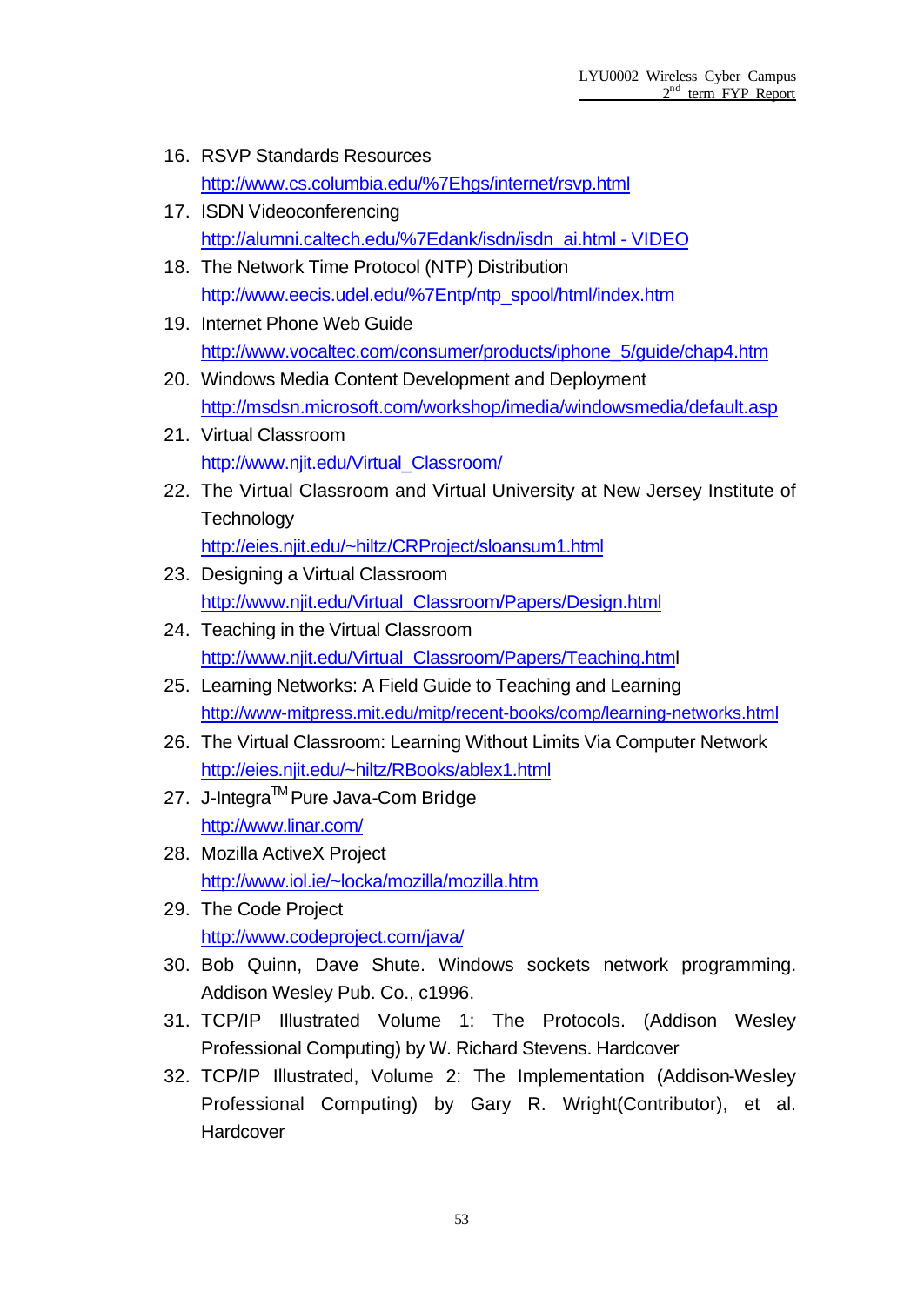- 16. RSVP Standards Resources http://www.cs.columbia.edu/%7Ehgs/internet/rsvp.html
- 17. ISDN Videoconferencing http://alumni.caltech.edu/%7Edank/isdn/isdn\_ai.html - VIDEO
- 18. The Network Time Protocol (NTP) Distribution http://www.eecis.udel.edu/%7Entp/ntp\_spool/html/index.htm
- 19. Internet Phone Web Guide http://www.vocaltec.com/consumer/products/iphone\_5/guide/chap4.htm
- 20. Windows Media Content Development and Deployment http://msdsn.microsoft.com/workshop/imedia/windowsmedia/default.asp
- 21. Virtual Classroom http://www.njit.edu/Virtual\_Classroom/
- 22. The Virtual Classroom and Virtual University at New Jersey Institute of **Technology** http://eies.njit.edu/~hiltz/CRProject/sloansum1.html
- 23. Designing a Virtual Classroom http://www.njit.edu/Virtual\_Classroom/Papers/Design.html
- 24. Teaching in the Virtual Classroom http://www.njit.edu/Virtual\_Classroom/Papers/Teaching.html
- 25. Learning Networks: A Field Guide to Teaching and Learning http://www-mitpress.mit.edu/mitp/recent-books/comp/learning-networks.html
- 26. The Virtual Classroom: Learning Without Limits Via Computer Network http://eies.njit.edu/~hiltz/RBooks/ablex1.html
- 27. J-Integra™ Pure Java-Com Bridge http://www.linar.com/
- 28. Mozilla ActiveX Project http://www.iol.ie/~locka/mozilla/mozilla.htm
- 29. The Code Project http://www.codeproject.com/java/
- 30. Bob Quinn, Dave Shute. Windows sockets network programming. Addison Wesley Pub. Co., c1996.
- 31. TCP/IP Illustrated Volume 1: The Protocols. (Addison Wesley Professional Computing) by W. Richard Stevens. Hardcover
- 32. TCP/IP Illustrated, Volume 2: The Implementation (Addison-Wesley Professional Computing) by Gary R. Wright(Contributor), et al. **Hardcover**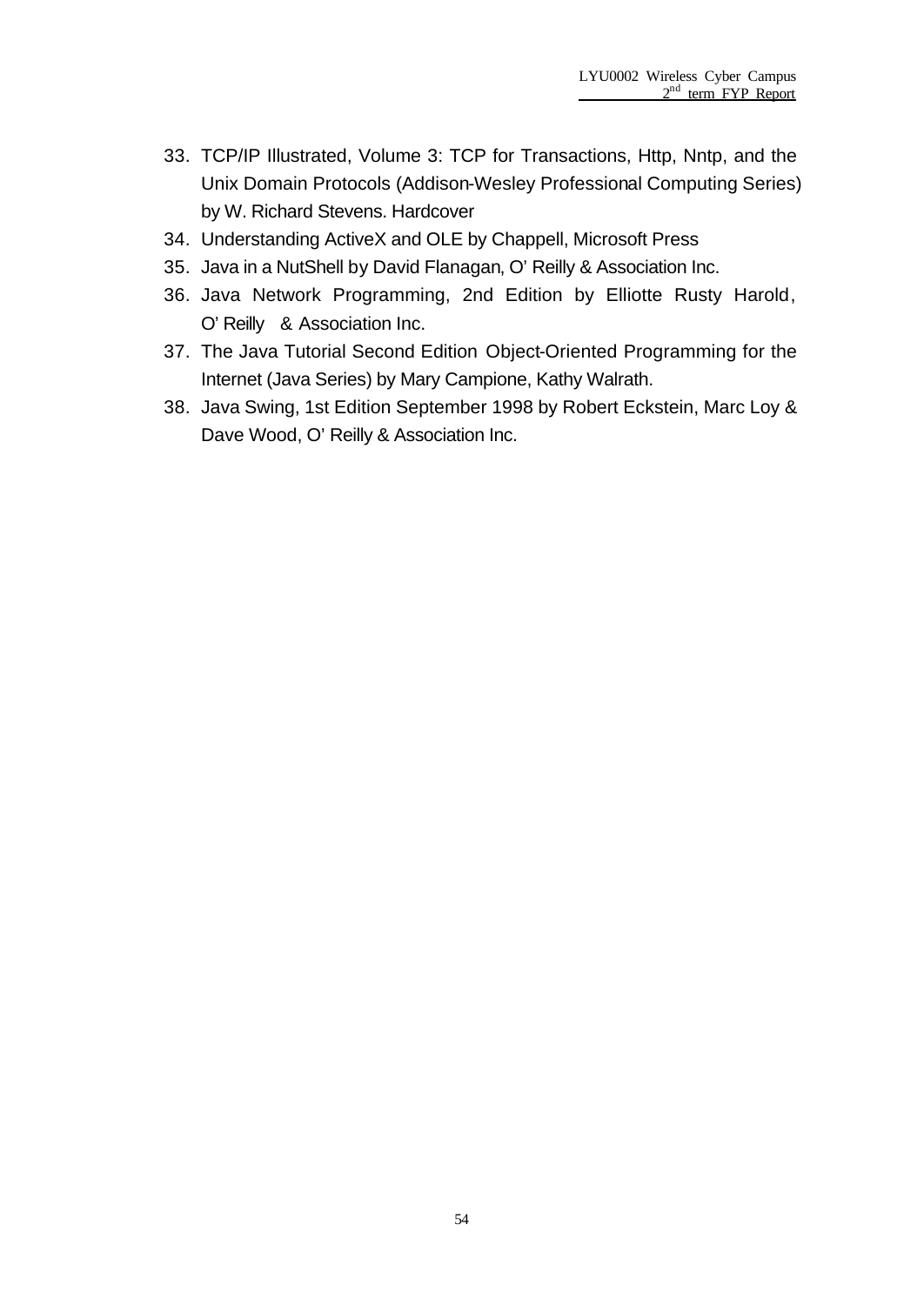- 33. TCP/IP Illustrated, Volume 3: TCP for Transactions, Http, Nntp, and the Unix Domain Protocols (Addison-Wesley Professional Computing Series) by W. Richard Stevens. Hardcover
- 34. Understanding ActiveX and OLE by Chappell, Microsoft Press
- 35. Java in a NutShell by David Flanagan, O'Reilly & Association Inc.
- 36. Java Network Programming, 2nd Edition by Elliotte Rusty Harold, O'Reilly & Association Inc.
- 37. The Java Tutorial Second Edition Object-Oriented Programming for the Internet (Java Series) by Mary Campione, Kathy Walrath.
- 38. Java Swing, 1st Edition September 1998 by Robert Eckstein, Marc Loy & Dave Wood, O' Reilly & Association Inc.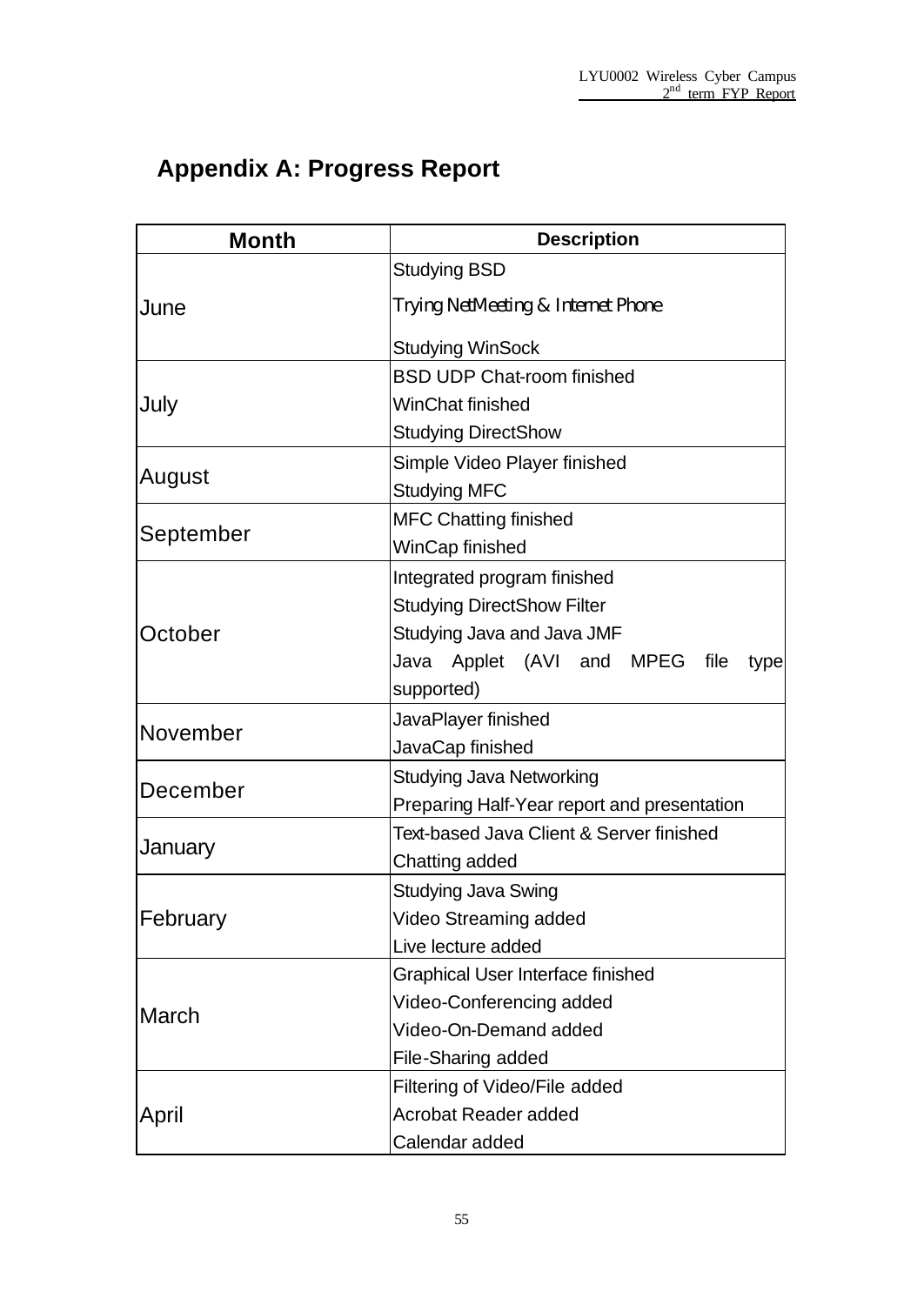# **Appendix A: Progress Report**

| <b>Month</b> | <b>Description</b>                          |  |  |  |  |  |  |
|--------------|---------------------------------------------|--|--|--|--|--|--|
|              | <b>Studying BSD</b>                         |  |  |  |  |  |  |
| June         | Trying NetMeeting & Internet Phone          |  |  |  |  |  |  |
|              | <b>Studying WinSock</b>                     |  |  |  |  |  |  |
|              | <b>BSD UDP Chat-room finished</b>           |  |  |  |  |  |  |
| July         | WinChat finished                            |  |  |  |  |  |  |
|              | <b>Studying DirectShow</b>                  |  |  |  |  |  |  |
|              | Simple Video Player finished                |  |  |  |  |  |  |
| August       | <b>Studying MFC</b>                         |  |  |  |  |  |  |
|              | <b>MFC Chatting finished</b>                |  |  |  |  |  |  |
| September    | WinCap finished                             |  |  |  |  |  |  |
|              | Integrated program finished                 |  |  |  |  |  |  |
|              | <b>Studying DirectShow Filter</b>           |  |  |  |  |  |  |
| October      | Studying Java and Java JMF                  |  |  |  |  |  |  |
|              | Java Applet (AVI and MPEG<br>file<br>type   |  |  |  |  |  |  |
|              | supported)                                  |  |  |  |  |  |  |
|              | JavaPlayer finished                         |  |  |  |  |  |  |
| November     | JavaCap finished                            |  |  |  |  |  |  |
|              | <b>Studying Java Networking</b>             |  |  |  |  |  |  |
| December     | Preparing Half-Year report and presentation |  |  |  |  |  |  |
|              | Text-based Java Client & Server finished    |  |  |  |  |  |  |
| January      | Chatting added                              |  |  |  |  |  |  |
|              | Studying Java Swing                         |  |  |  |  |  |  |
| February     | Video Streaming added                       |  |  |  |  |  |  |
|              | Live lecture added                          |  |  |  |  |  |  |
|              | <b>Graphical User Interface finished</b>    |  |  |  |  |  |  |
| March        | Video-Conferencing added                    |  |  |  |  |  |  |
|              | Video-On-Demand added                       |  |  |  |  |  |  |
|              | File-Sharing added                          |  |  |  |  |  |  |
|              | Filtering of Video/File added               |  |  |  |  |  |  |
| April        | <b>Acrobat Reader added</b>                 |  |  |  |  |  |  |
|              | Calendar added                              |  |  |  |  |  |  |